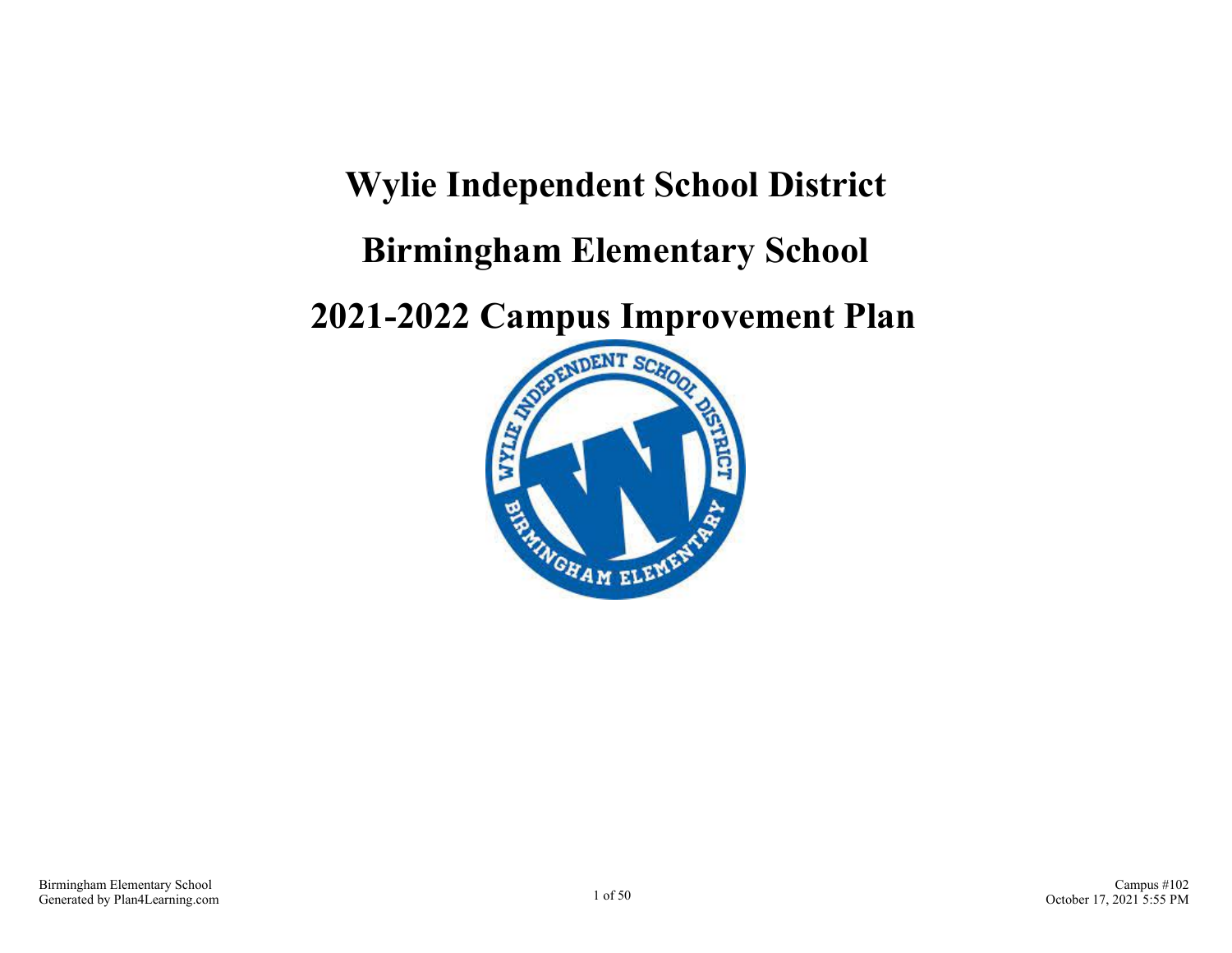# **Wylie Independent School District Birmingham Elementary School**

**2021-2022 Campus Improvement Plan**

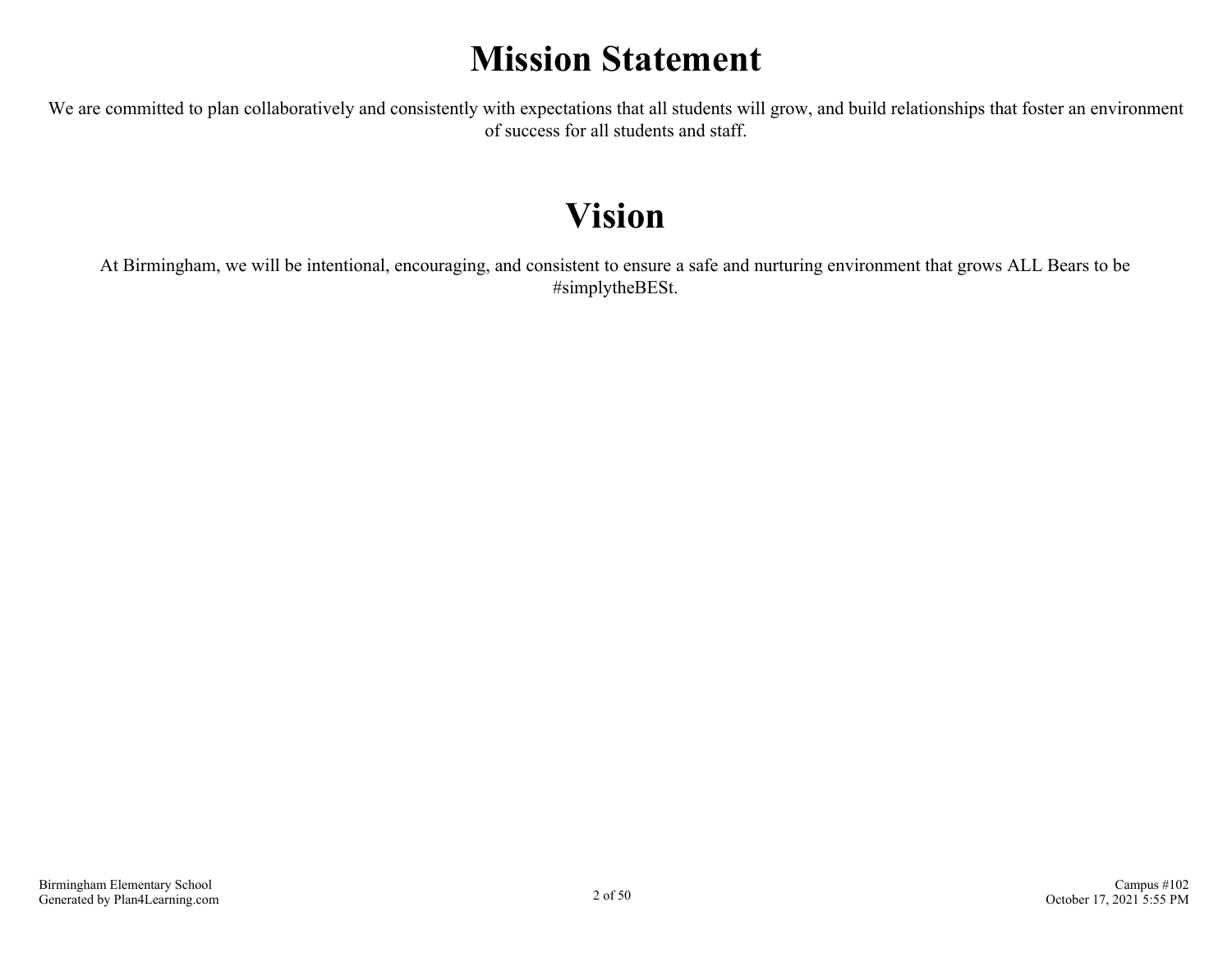# **Mission Statement**

We are committed to plan collaboratively and consistently with expectations that all students will grow, and build relationships that foster an environment of success for all students and staff.

# **Vision**

At Birmingham, we will be intentional, encouraging, and consistent to ensure a safe and nurturing environment that grows ALL Bears to be #simplytheBESt.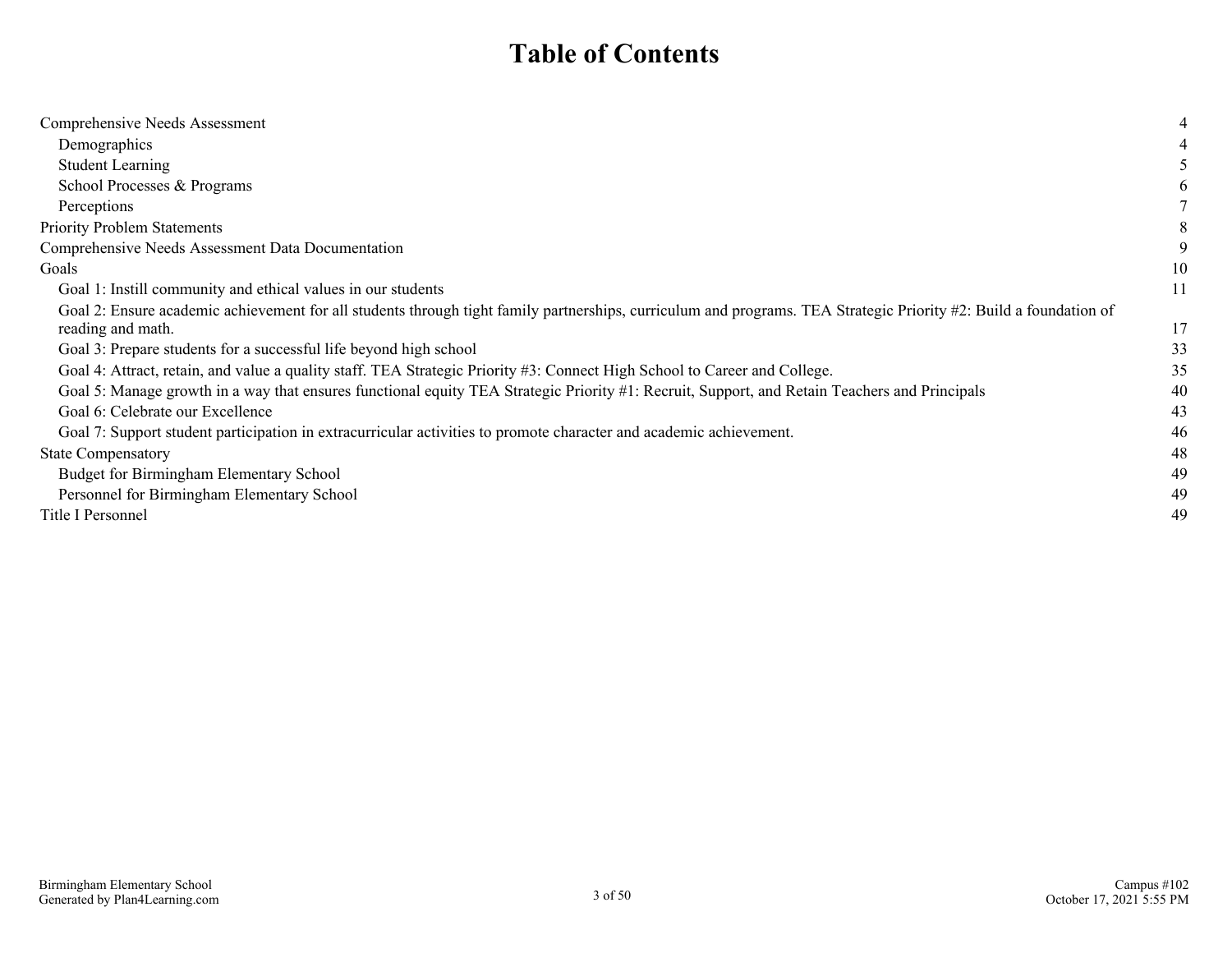### **Table of Contents**

| Comprehensive Needs Assessment                                                                                                                                    |    |
|-------------------------------------------------------------------------------------------------------------------------------------------------------------------|----|
| Demographics                                                                                                                                                      |    |
| <b>Student Learning</b>                                                                                                                                           |    |
| School Processes & Programs                                                                                                                                       |    |
| Perceptions                                                                                                                                                       |    |
| <b>Priority Problem Statements</b>                                                                                                                                |    |
| Comprehensive Needs Assessment Data Documentation                                                                                                                 |    |
| Goals                                                                                                                                                             | 10 |
| Goal 1: Instill community and ethical values in our students                                                                                                      | 11 |
| Goal 2: Ensure academic achievement for all students through tight family partnerships, curriculum and programs. TEA Strategic Priority #2: Build a foundation of |    |
| reading and math.                                                                                                                                                 | 17 |
| Goal 3: Prepare students for a successful life beyond high school                                                                                                 | 33 |
| Goal 4: Attract, retain, and value a quality staff. TEA Strategic Priority #3: Connect High School to Career and College.                                         | 35 |
| Goal 5: Manage growth in a way that ensures functional equity TEA Strategic Priority #1: Recruit, Support, and Retain Teachers and Principals                     | 40 |
| Goal 6: Celebrate our Excellence                                                                                                                                  | 43 |
| Goal 7: Support student participation in extracurricular activities to promote character and academic achievement.                                                | 46 |
| <b>State Compensatory</b>                                                                                                                                         | 48 |
| Budget for Birmingham Elementary School                                                                                                                           | 49 |
| Personnel for Birmingham Elementary School                                                                                                                        | 49 |
| Title I Personnel                                                                                                                                                 | 49 |
|                                                                                                                                                                   |    |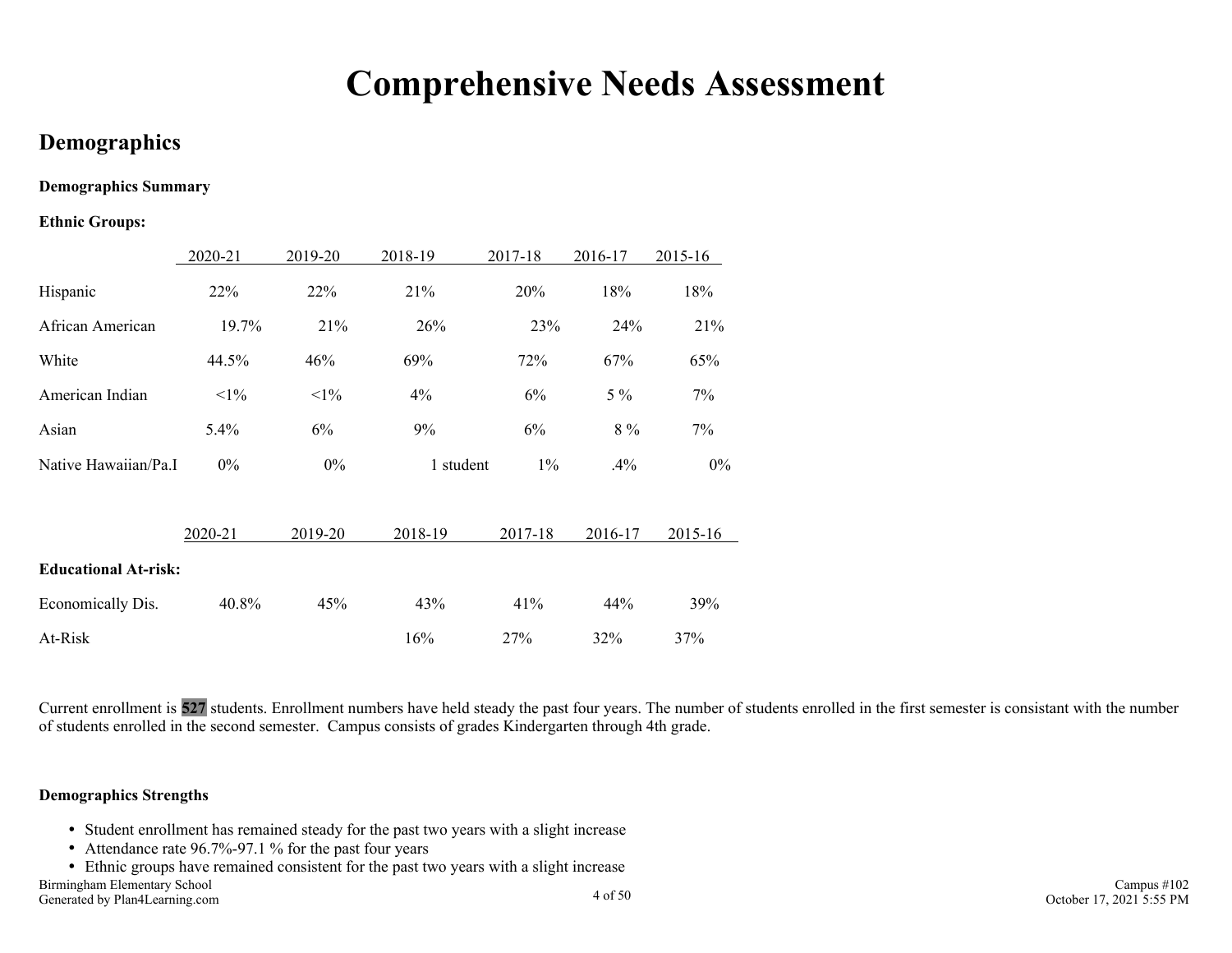# **Comprehensive Needs Assessment**

### <span id="page-3-0"></span>**Demographics**

#### **Demographics Summary**

#### **Ethnic Groups:**

|                             | 2020-21 | 2019-20 | 2018-19   | 2017-18 | 2016-17 | 2015-16 |
|-----------------------------|---------|---------|-----------|---------|---------|---------|
| Hispanic                    | 22%     | 22%     | 21%       | 20%     | 18%     | 18%     |
| African American            | 19.7%   | 21%     | 26%       | 23%     | 24%     | 21%     |
| White                       | 44.5%   | 46%     | 69%       | 72%     | 67%     | 65%     |
| American Indian             | $<1\%$  | $<1\%$  | 4%        | 6%      | $5\%$   | 7%      |
| Asian                       | 5.4%    | 6%      | 9%        | 6%      | $8\%$   | 7%      |
| Native Hawaiian/Pa.I        | $0\%$   | $0\%$   | 1 student | $1\%$   | .4%     | $0\%$   |
|                             | 2020-21 | 2019-20 | 2018-19   | 2017-18 | 2016-17 | 2015-16 |
| <b>Educational At-risk:</b> |         |         |           |         |         |         |
| Economically Dis.           | 40.8%   | 45%     | 43%       | 41%     | 44%     | 39%     |
| At-Risk                     |         |         | $16\%$    | 27%     | 32%     | 37%     |

Current enrollment is **527** students. Enrollment numbers have held steady the past four years. The number of students enrolled in the first semester is consistant with the number of students enrolled in the second semester. Campus consists of grades Kindergarten through 4th grade.

#### **Demographics Strengths**

- Student enrollment has remained steady for the past two years with a slight increase
- Attendance rate 96.7%-97.1 % for the past four years
- Ethnic groups have remained consistent for the past two years with a slight increase

Birmingham Elementary School Generated by Plan4Learning.com 4 of 50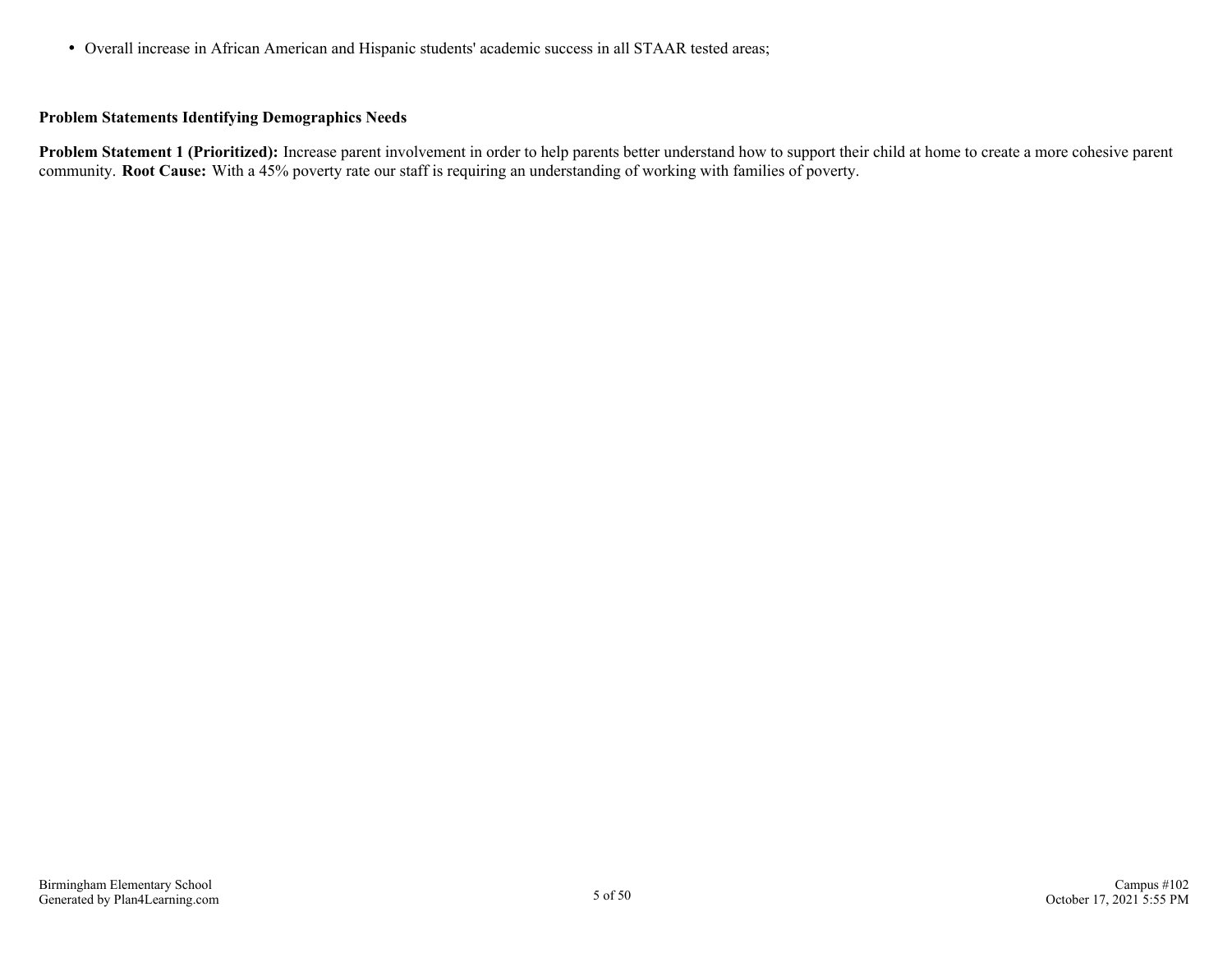Overall increase in African American and Hispanic students' academic success in all STAAR tested areas;

#### **Problem Statements Identifying Demographics Needs**

**Problem Statement 1 (Prioritized):** Increase parent involvement in order to help parents better understand how to support their child at home to create a more cohesive parent community. **Root Cause:** With a 45% poverty rate our staff is requiring an understanding of working with families of poverty.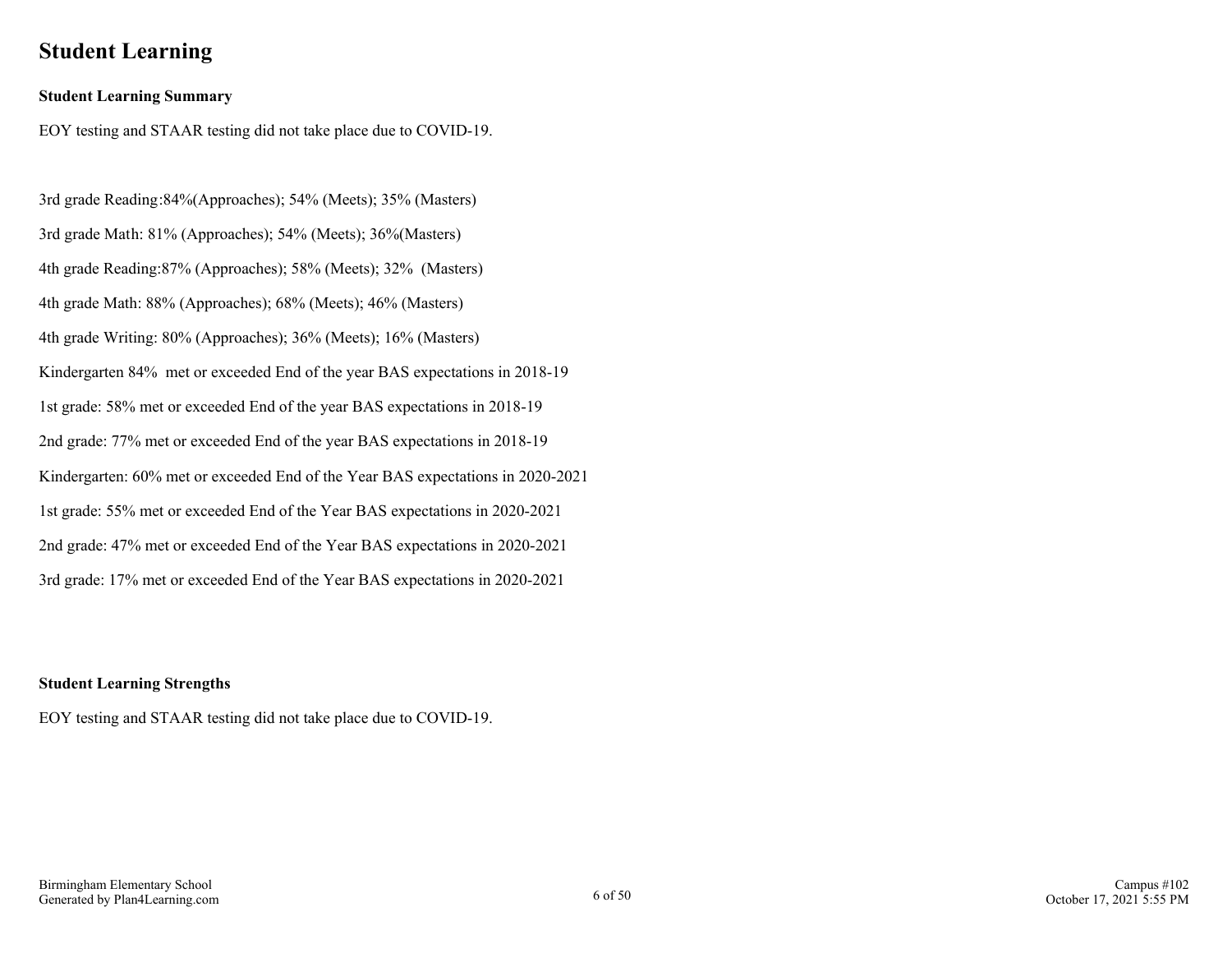### <span id="page-5-0"></span>**Student Learning**

#### **Student Learning Summary**

EOY testing and STAAR testing did not take place due to COVID-19.

3rd grade Reading:84%(Approaches); 54% (Meets); 35% (Masters) 3rd grade Math: 81% (Approaches); 54% (Meets); 36%(Masters) 4th grade Reading:87% (Approaches); 58% (Meets); 32% (Masters) 4th grade Math: 88% (Approaches); 68% (Meets); 46% (Masters) 4th grade Writing: 80% (Approaches); 36% (Meets); 16% (Masters) Kindergarten 84% met or exceeded End of the year BAS expectations in 2018-19 1st grade: 58% met or exceeded End of the year BAS expectations in 2018-19 2nd grade: 77% met or exceeded End of the year BAS expectations in 2018-19 Kindergarten: 60% met or exceeded End of the Year BAS expectations in 2020-2021 1st grade: 55% met or exceeded End of the Year BAS expectations in 2020-2021 2nd grade: 47% met or exceeded End of the Year BAS expectations in 2020-2021 3rd grade: 17% met or exceeded End of the Year BAS expectations in 2020-2021

#### **Student Learning Strengths**

EOY testing and STAAR testing did not take place due to COVID-19.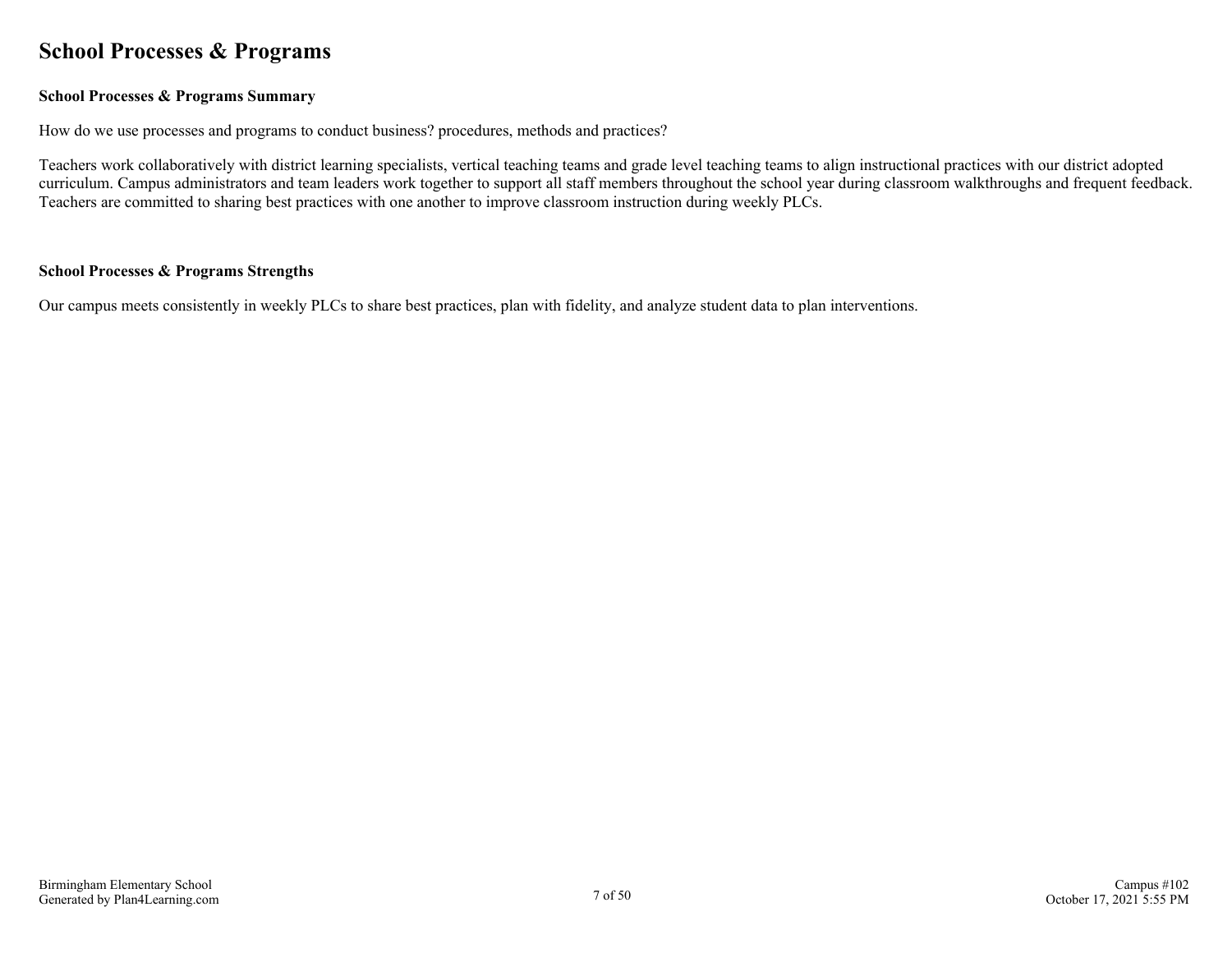### <span id="page-6-0"></span>**School Processes & Programs**

#### **School Processes & Programs Summary**

How do we use processes and programs to conduct business? procedures, methods and practices?

Teachers work collaboratively with district learning specialists, vertical teaching teams and grade level teaching teams to align instructional practices with our district adopted curriculum. Campus administrators and team leaders work together to support all staff members throughout the school year during classroom walkthroughs and frequent feedback. Teachers are committed to sharing best practices with one another to improve classroom instruction during weekly PLCs.

#### **School Processes & Programs Strengths**

Our campus meets consistently in weekly PLCs to share best practices, plan with fidelity, and analyze student data to plan interventions.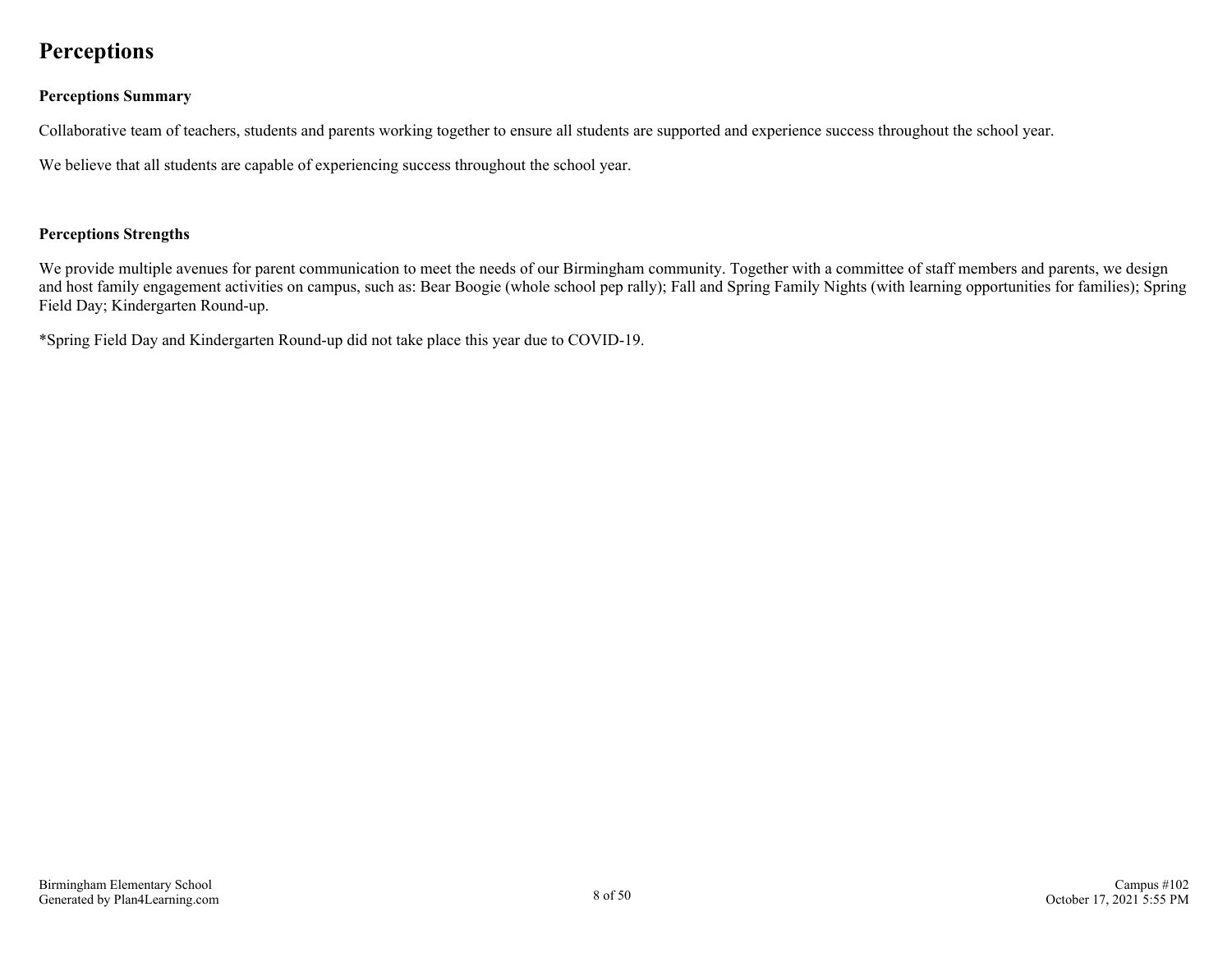### <span id="page-7-0"></span>**Perceptions**

#### **Perceptions Summary**

Collaborative team of teachers, students and parents working together to ensure all students are supported and experience success throughout the school year.

We believe that all students are capable of experiencing success throughout the school year.

#### **Perceptions Strengths**

We provide multiple avenues for parent communication to meet the needs of our Birmingham community. Together with a committee of staff members and parents, we design and host family engagement activities on campus, such as: Bear Boogie (whole school pep rally); Fall and Spring Family Nights (with learning opportunities for families); Spring Field Day; Kindergarten Round-up.

\*Spring Field Day and Kindergarten Round-up did not take place this year due to COVID-19.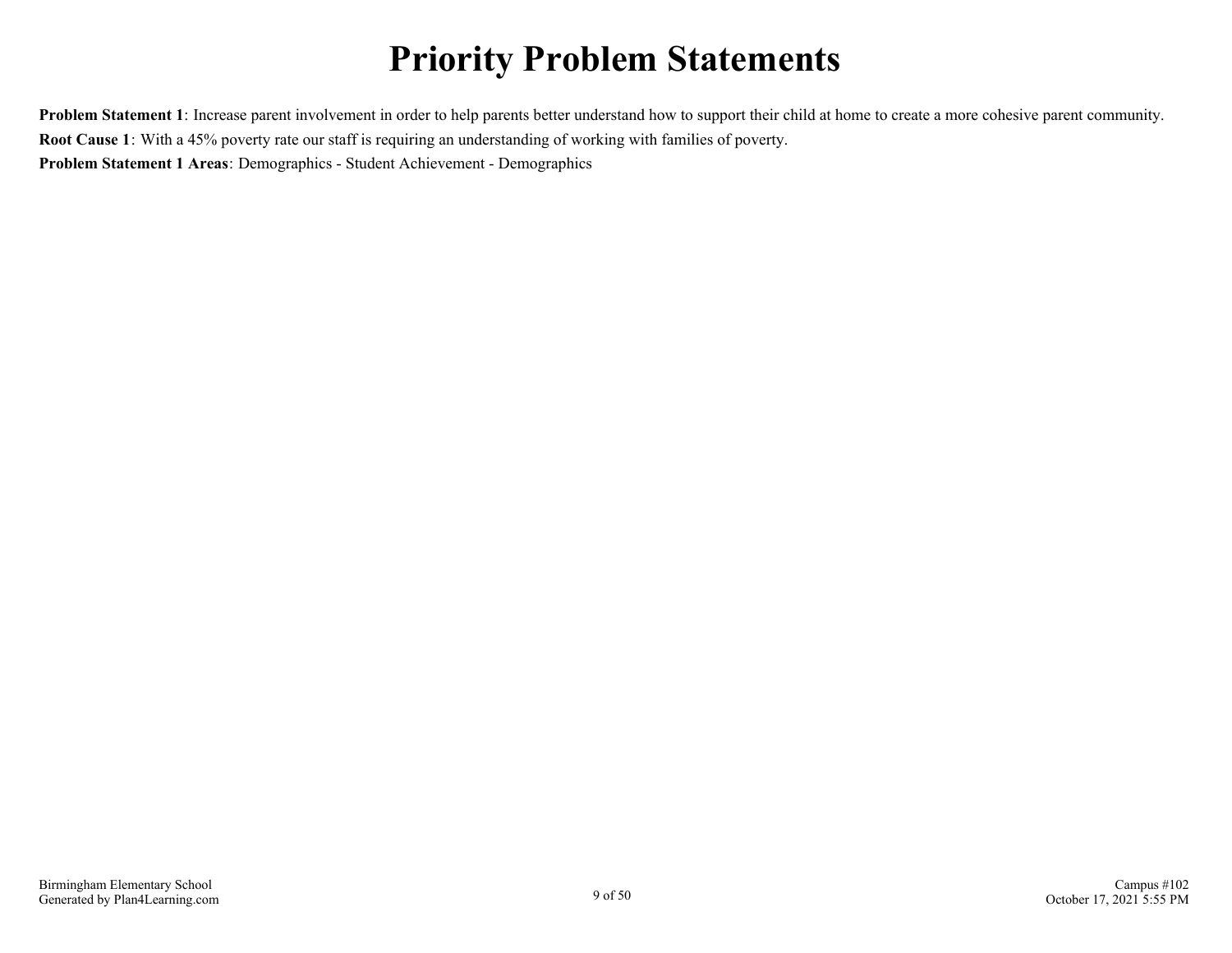# **Priority Problem Statements**

<span id="page-8-0"></span>**Problem Statement 1**: Increase parent involvement in order to help parents better understand how to support their child at home to create a more cohesive parent community. **Root Cause 1**: With a 45% poverty rate our staff is requiring an understanding of working with families of poverty. **Problem Statement 1 Areas**: Demographics - Student Achievement - Demographics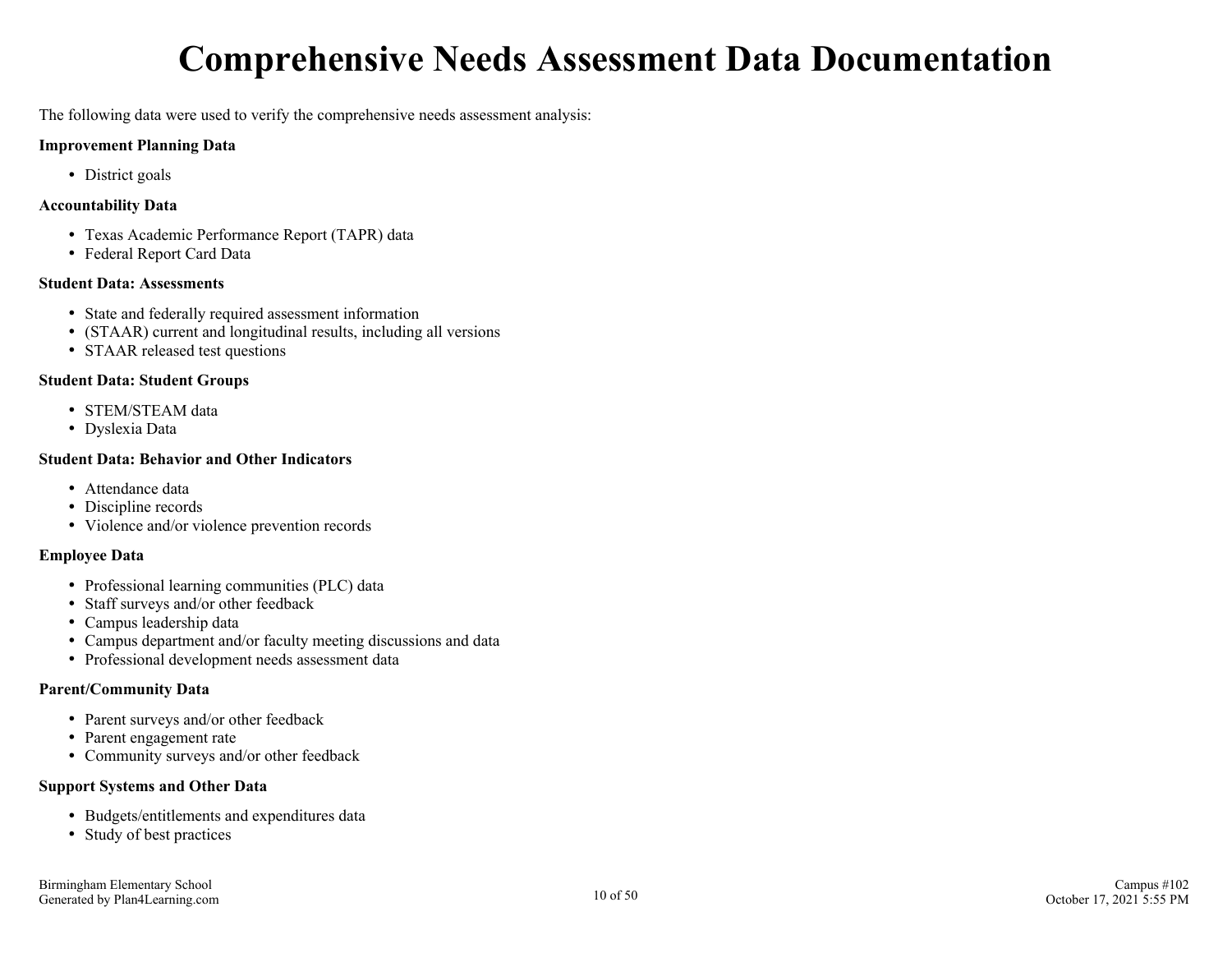# **Comprehensive Needs Assessment Data Documentation**

<span id="page-9-0"></span>The following data were used to verify the comprehensive needs assessment analysis:

#### **Improvement Planning Data**

• District goals

#### **Accountability Data**

- Texas Academic Performance Report (TAPR) data
- Federal Report Card Data

#### **Student Data: Assessments**

- State and federally required assessment information
- (STAAR) current and longitudinal results, including all versions
- STAAR released test questions

#### **Student Data: Student Groups**

- STEM/STEAM data
- Dyslexia Data

#### **Student Data: Behavior and Other Indicators**

- Attendance data
- Discipline records
- Violence and/or violence prevention records

#### **Employee Data**

- Professional learning communities (PLC) data
- Staff surveys and/or other feedback
- Campus leadership data
- Campus department and/or faculty meeting discussions and data
- Professional development needs assessment data

#### **Parent/Community Data**

- Parent surveys and/or other feedback
- Parent engagement rate
- Community surveys and/or other feedback

#### **Support Systems and Other Data**

- Budgets/entitlements and expenditures data
- Study of best practices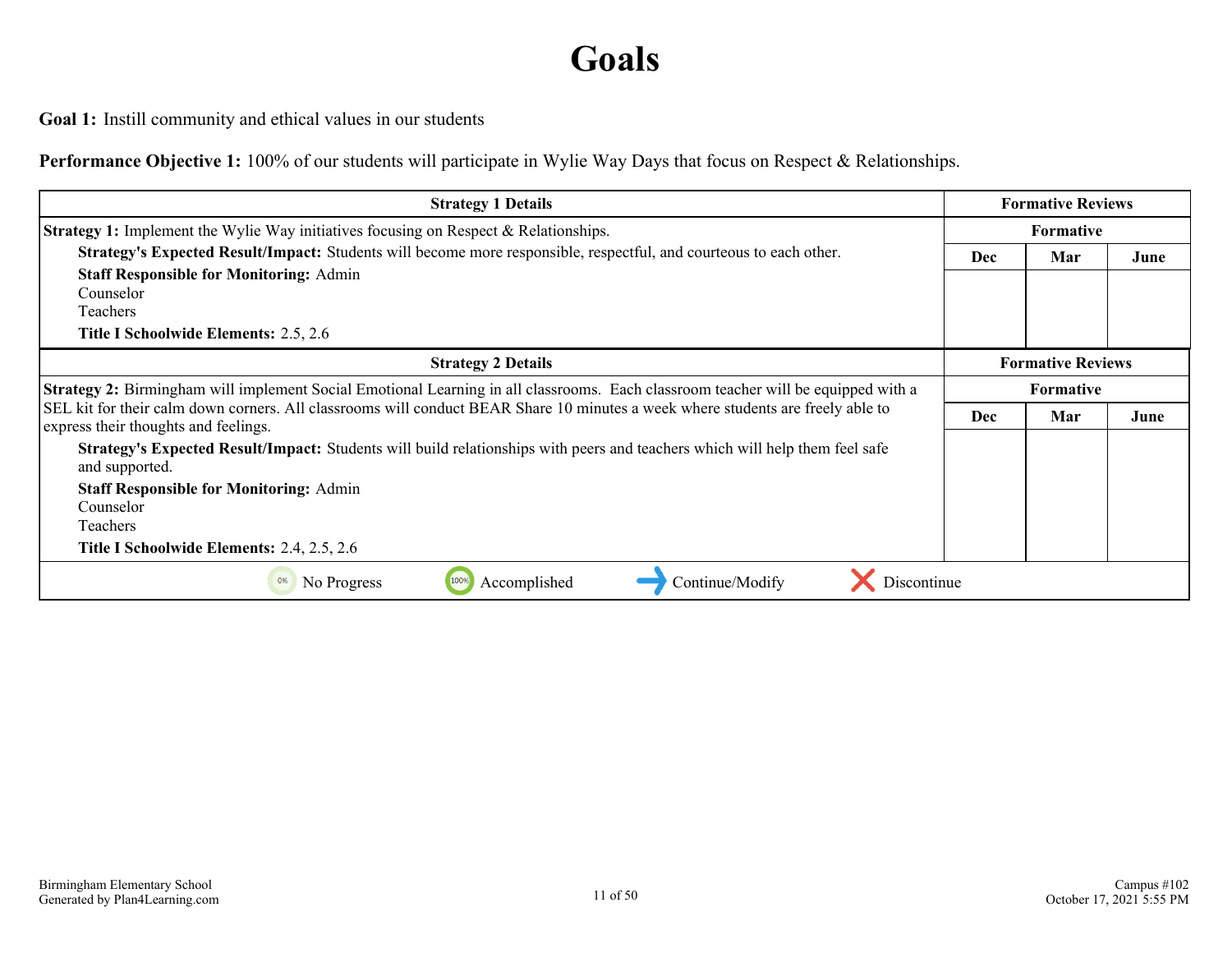# **Goals**

<span id="page-10-0"></span>**Goal 1:** Instill community and ethical values in our students

**Performance Objective 1:** 100% of our students will participate in Wylie Way Days that focus on Respect & Relationships.

| <b>Strategy 1 Details</b>                                                                                                                                               |            | <b>Formative Reviews</b> |      |  |
|-------------------------------------------------------------------------------------------------------------------------------------------------------------------------|------------|--------------------------|------|--|
| <b>Strategy 1:</b> Implement the Wylie Way initiatives focusing on Respect & Relationships.                                                                             |            |                          |      |  |
| Strategy's Expected Result/Impact: Students will become more responsible, respectful, and courteous to each other.                                                      | <b>Dec</b> | June                     |      |  |
| <b>Staff Responsible for Monitoring: Admin</b>                                                                                                                          |            |                          |      |  |
| Counselor                                                                                                                                                               |            |                          |      |  |
| Teachers                                                                                                                                                                |            |                          |      |  |
| Title I Schoolwide Elements: 2.5, 2.6                                                                                                                                   |            |                          |      |  |
| <b>Strategy 2 Details</b>                                                                                                                                               |            | <b>Formative Reviews</b> |      |  |
| <b>Strategy 2:</b> Birmingham will implement Social Emotional Learning in all classrooms. Each classroom teacher will be equipped with a                                |            | <b>Formative</b>         |      |  |
| SEL kit for their calm down corners. All classrooms will conduct BEAR Share 10 minutes a week where students are freely able to<br>express their thoughts and feelings. | <b>Dec</b> | Mar                      | June |  |
| Strategy's Expected Result/Impact: Students will build relationships with peers and teachers which will help them feel safe<br>and supported.                           |            |                          |      |  |
| <b>Staff Responsible for Monitoring: Admin</b>                                                                                                                          |            |                          |      |  |
| Counselor                                                                                                                                                               |            |                          |      |  |
| Teachers                                                                                                                                                                |            |                          |      |  |
| Title I Schoolwide Elements: 2.4, 2.5, 2.6                                                                                                                              |            |                          |      |  |
| Discontinue<br>100%<br>Accomplished<br>Continue/Modify<br>0%<br>No Progress                                                                                             |            |                          |      |  |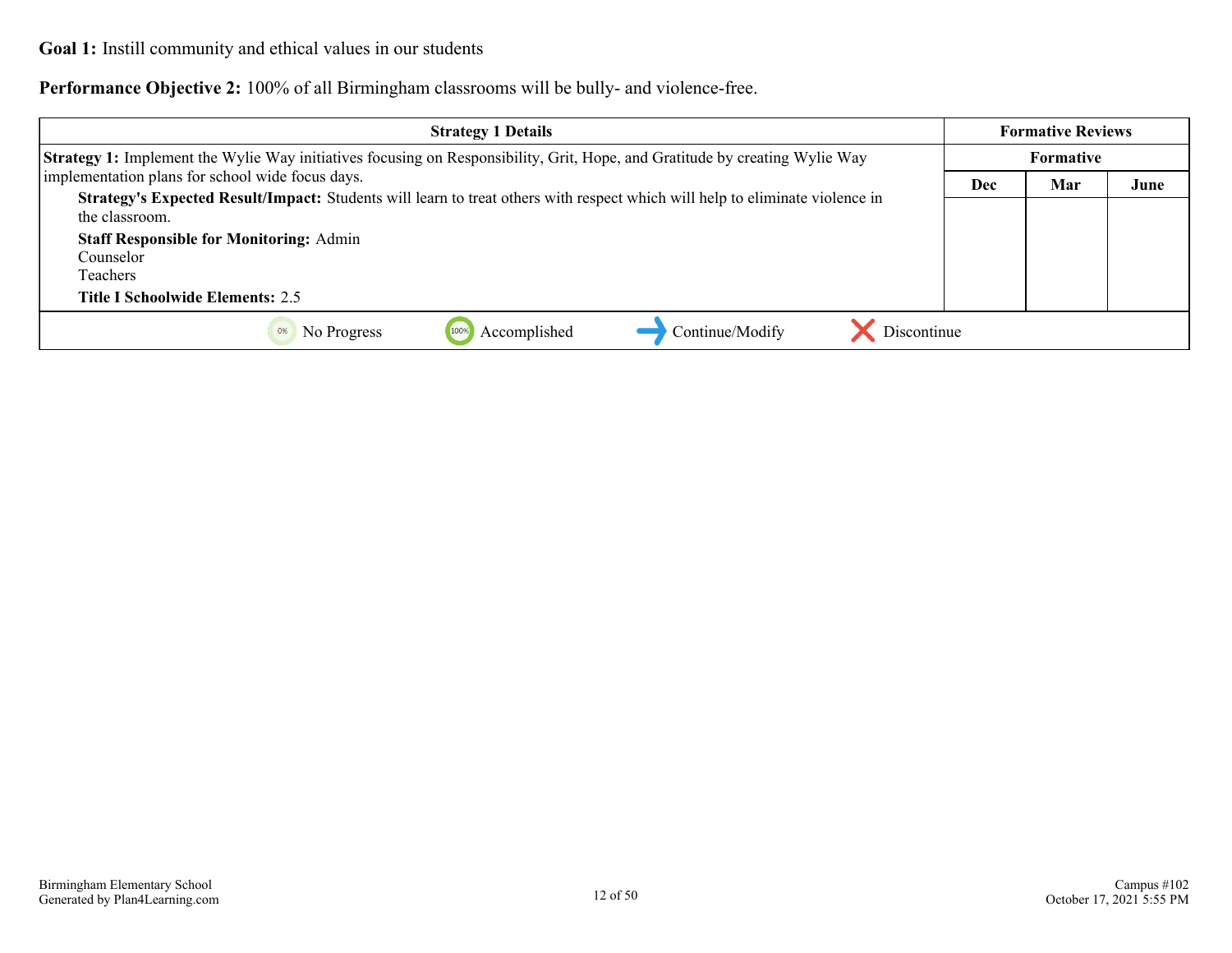**Performance Objective 2:** 100% of all Birmingham classrooms will be bully- and violence-free.

| <b>Strategy 1 Details</b>                                                                                                                      |            | <b>Formative Reviews</b> |      |
|------------------------------------------------------------------------------------------------------------------------------------------------|------------|--------------------------|------|
| <b>Strategy 1:</b> Implement the Wylie Way initiatives focusing on Responsibility, Grit, Hope, and Gratitude by creating Wylie Way             |            | Formative                |      |
| implementation plans for school wide focus days.                                                                                               | <b>Dec</b> | Mar                      | June |
| Strategy's Expected Result/Impact: Students will learn to treat others with respect which will help to eliminate violence in<br>the classroom. |            |                          |      |
| <b>Staff Responsible for Monitoring: Admin</b>                                                                                                 |            |                          |      |
| Counselor                                                                                                                                      |            |                          |      |
| Teachers                                                                                                                                       |            |                          |      |
| Title I Schoolwide Elements: 2.5                                                                                                               |            |                          |      |
| Discontinue<br>Continue/Modify<br>Accomplished<br>No Progress<br>0%                                                                            |            |                          |      |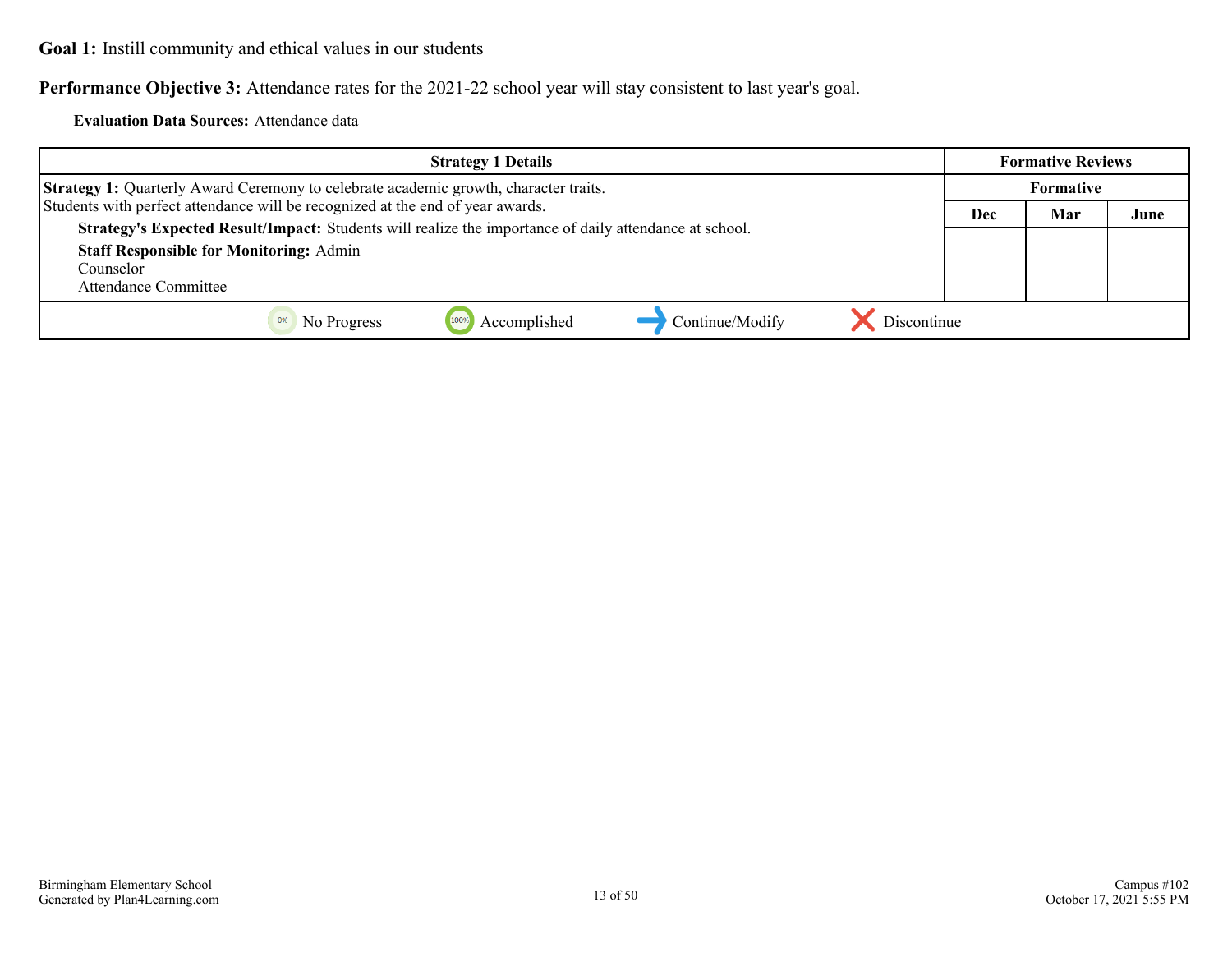**Performance Objective 3:** Attendance rates for the 2021-22 school year will stay consistent to last year's goal.

**Evaluation Data Sources:** Attendance data

| <b>Strategy 1 Details</b>                                                                              |     | <b>Formative Reviews</b> |      |
|--------------------------------------------------------------------------------------------------------|-----|--------------------------|------|
| <b>Strategy 1:</b> Quarterly Award Ceremony to celebrate academic growth, character traits.            |     | <b>Formative</b>         |      |
| Students with perfect attendance will be recognized at the end of year awards.                         | Dec | Mar                      | June |
| Strategy's Expected Result/Impact: Students will realize the importance of daily attendance at school. |     |                          |      |
| <b>Staff Responsible for Monitoring: Admin</b>                                                         |     |                          |      |
| Counselor                                                                                              |     |                          |      |
| Attendance Committee                                                                                   |     |                          |      |
| Discontinue<br>Continue/Modify<br>Accomplished<br>No Progress                                          |     |                          |      |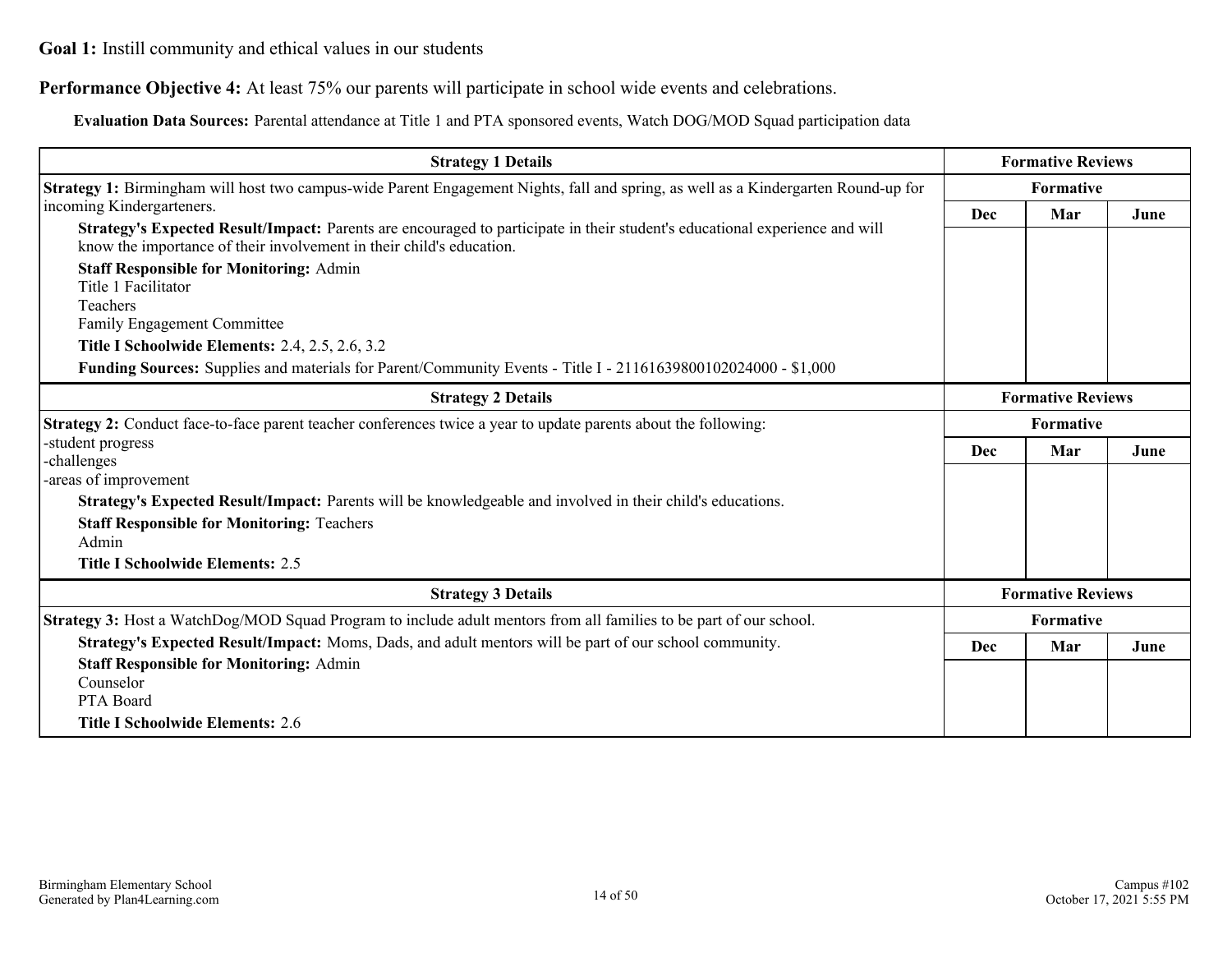#### **Performance Objective 4:** At least 75% our parents will participate in school wide events and celebrations.

**Evaluation Data Sources:** Parental attendance at Title 1 and PTA sponsored events, Watch DOG/MOD Squad participation data

| <b>Strategy 1 Details</b>                                                                                                                                                                           |                          | <b>Formative Reviews</b> |      |
|-----------------------------------------------------------------------------------------------------------------------------------------------------------------------------------------------------|--------------------------|--------------------------|------|
| Strategy 1: Birmingham will host two campus-wide Parent Engagement Nights, fall and spring, as well as a Kindergarten Round-up for                                                                  | <b>Formative</b>         |                          |      |
| incoming Kindergarteners.                                                                                                                                                                           | Dec                      | Mar                      | June |
| Strategy's Expected Result/Impact: Parents are encouraged to participate in their student's educational experience and will<br>know the importance of their involvement in their child's education. |                          |                          |      |
| <b>Staff Responsible for Monitoring: Admin</b><br>Title 1 Facilitator                                                                                                                               |                          |                          |      |
| Teachers                                                                                                                                                                                            |                          |                          |      |
| Family Engagement Committee                                                                                                                                                                         |                          |                          |      |
| <b>Title I Schoolwide Elements: 2.4, 2.5, 2.6, 3.2</b>                                                                                                                                              |                          |                          |      |
| Funding Sources: Supplies and materials for Parent/Community Events - Title I - 21161639800102024000 - \$1,000                                                                                      |                          |                          |      |
| <b>Strategy 2 Details</b>                                                                                                                                                                           | <b>Formative Reviews</b> |                          |      |
| Strategy 2: Conduct face-to-face parent teacher conferences twice a year to update parents about the following:                                                                                     | <b>Formative</b>         |                          |      |
| -student progress                                                                                                                                                                                   | Dec                      | Mar                      | June |
| -challenges                                                                                                                                                                                         |                          |                          |      |
| -areas of improvement                                                                                                                                                                               |                          |                          |      |
| Strategy's Expected Result/Impact: Parents will be knowledgeable and involved in their child's educations.                                                                                          |                          |                          |      |
| <b>Staff Responsible for Monitoring: Teachers</b>                                                                                                                                                   |                          |                          |      |
| Admin                                                                                                                                                                                               |                          |                          |      |
| <b>Title I Schoolwide Elements: 2.5</b>                                                                                                                                                             |                          |                          |      |
| <b>Strategy 3 Details</b>                                                                                                                                                                           |                          | <b>Formative Reviews</b> |      |
| Strategy 3: Host a WatchDog/MOD Squad Program to include adult mentors from all families to be part of our school.                                                                                  | Formative                |                          |      |
| Strategy's Expected Result/Impact: Moms, Dads, and adult mentors will be part of our school community.                                                                                              | Dec                      | Mar                      | June |
| <b>Staff Responsible for Monitoring: Admin</b>                                                                                                                                                      |                          |                          |      |
| Counselor                                                                                                                                                                                           |                          |                          |      |
| PTA Board                                                                                                                                                                                           |                          |                          |      |
| <b>Title I Schoolwide Elements: 2.6</b>                                                                                                                                                             |                          |                          |      |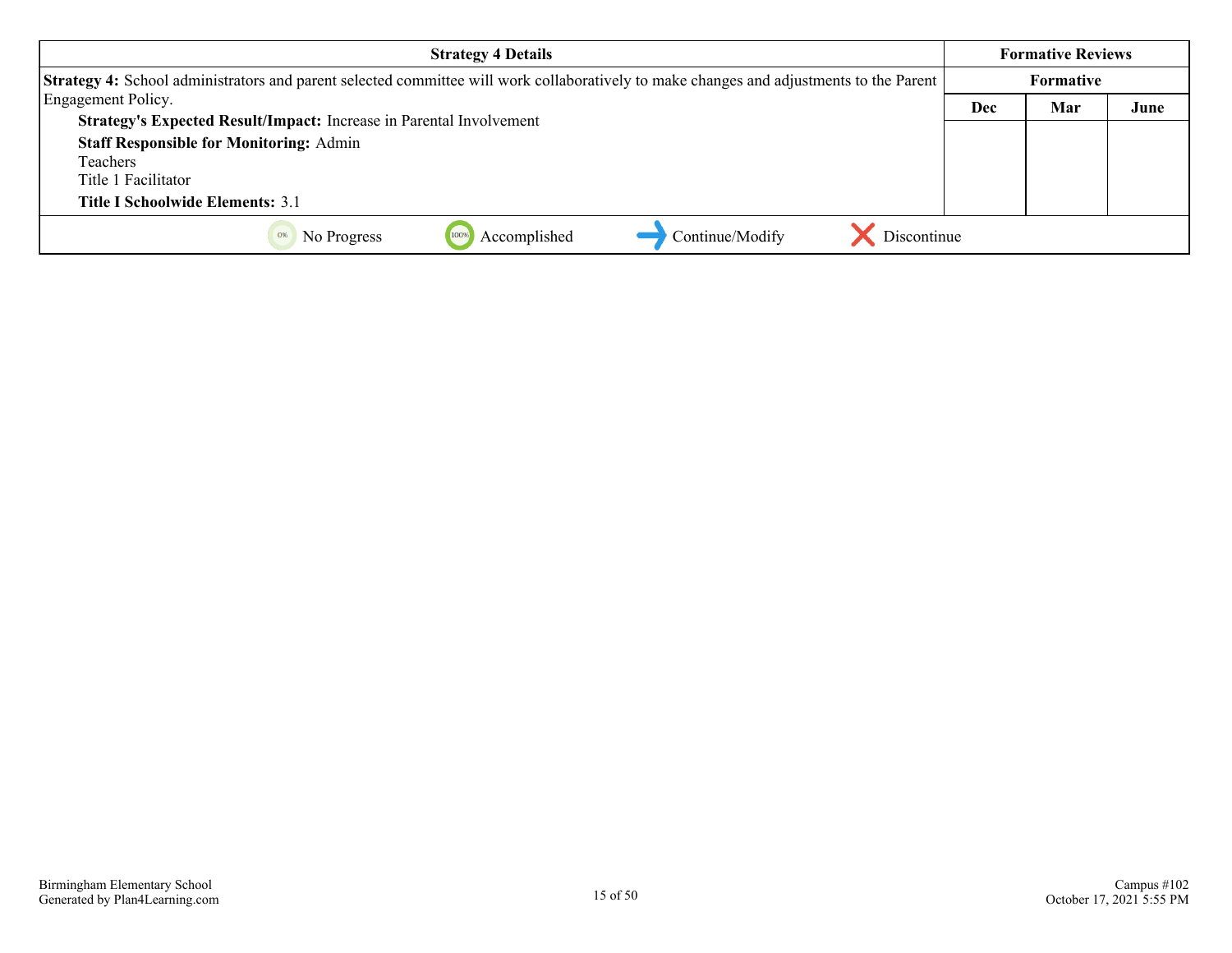| <b>Strategy 4 Details</b>                                                                                                                      |                  | <b>Formative Reviews</b> |      |
|------------------------------------------------------------------------------------------------------------------------------------------------|------------------|--------------------------|------|
| <b>Strategy 4:</b> School administrators and parent selected committee will work collaboratively to make changes and adjustments to the Parent | <b>Formative</b> |                          |      |
| Engagement Policy.                                                                                                                             | Dec              | Mar                      | June |
| Strategy's Expected Result/Impact: Increase in Parental Involvement                                                                            |                  |                          |      |
| <b>Staff Responsible for Monitoring: Admin</b>                                                                                                 |                  |                          |      |
| Teachers                                                                                                                                       |                  |                          |      |
| Title 1 Facilitator                                                                                                                            |                  |                          |      |
| <b>Title I Schoolwide Elements: 3.1</b>                                                                                                        |                  |                          |      |
| Discontinue<br>Continue/Modify<br>Accomplished<br>No Progress                                                                                  |                  |                          |      |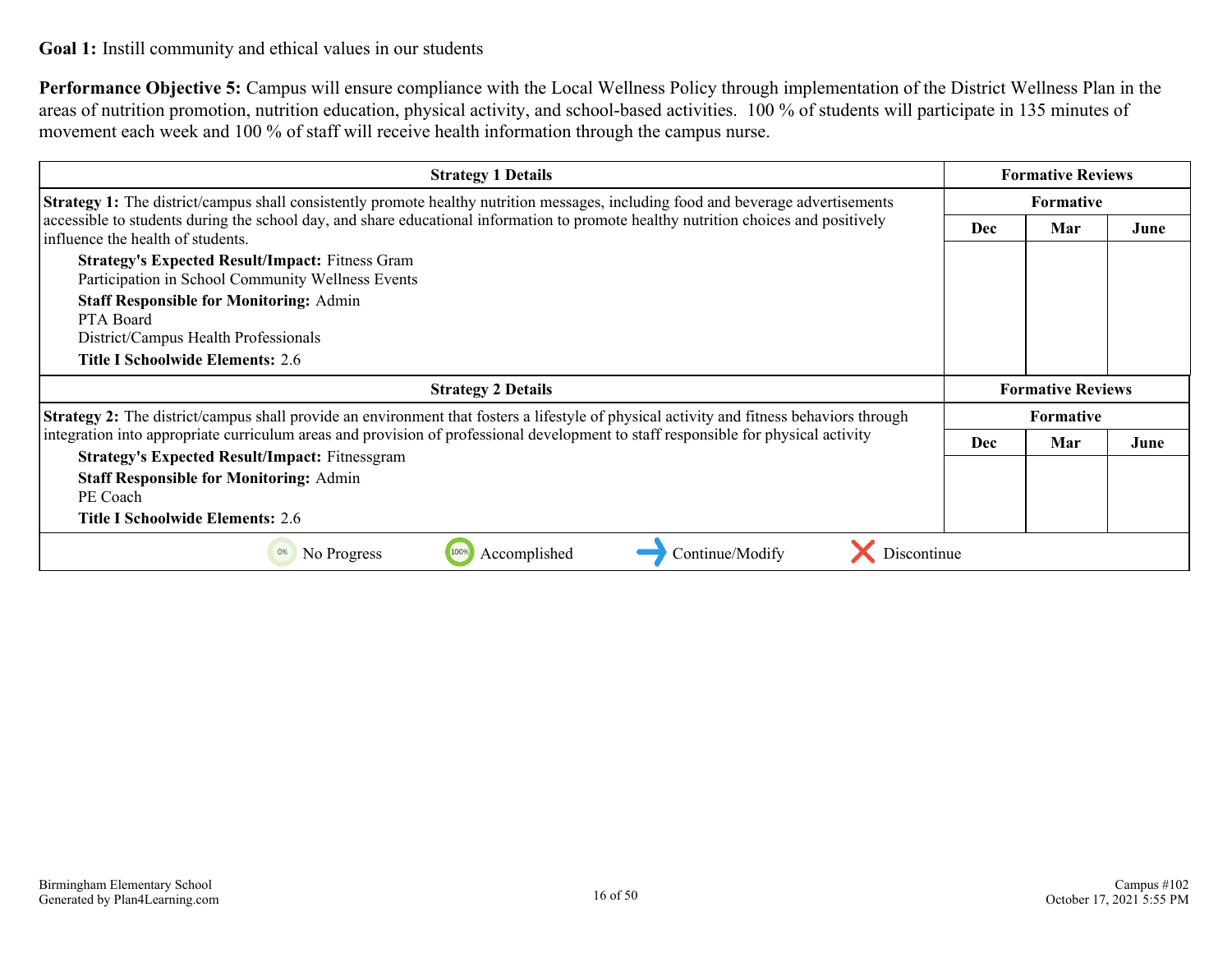**Performance Objective 5:** Campus will ensure compliance with the Local Wellness Policy through implementation of the District Wellness Plan in the areas of nutrition promotion, nutrition education, physical activity, and school-based activities. 100 % of students will participate in 135 minutes of movement each week and 100 % of staff will receive health information through the campus nurse.

| <b>Strategy 1 Details</b>                                                                                                                                                | <b>Formative Reviews</b> |                          |      |
|--------------------------------------------------------------------------------------------------------------------------------------------------------------------------|--------------------------|--------------------------|------|
| <b>Strategy 1:</b> The district/campus shall consistently promote healthy nutrition messages, including food and beverage advertisements                                 | <b>Formative</b>         |                          |      |
| accessible to students during the school day, and share educational information to promote healthy nutrition choices and positively<br>influence the health of students. | <b>Dec</b>               | Mar                      | June |
| <b>Strategy's Expected Result/Impact: Fitness Gram</b><br>Participation in School Community Wellness Events                                                              |                          |                          |      |
| <b>Staff Responsible for Monitoring: Admin</b><br>PTA Board<br>District/Campus Health Professionals                                                                      |                          |                          |      |
| Title I Schoolwide Elements: 2.6                                                                                                                                         |                          |                          |      |
| <b>Strategy 2 Details</b>                                                                                                                                                |                          | <b>Formative Reviews</b> |      |
| <b>Strategy 2:</b> The district/campus shall provide an environment that fosters a lifestyle of physical activity and fitness behaviors through                          |                          | <b>Formative</b>         |      |
| integration into appropriate curriculum areas and provision of professional development to staff responsible for physical activity                                       | Dec                      | Mar                      | June |
| <b>Strategy's Expected Result/Impact: Fitnessgram</b>                                                                                                                    |                          |                          |      |
| <b>Staff Responsible for Monitoring: Admin</b><br>PE Coach                                                                                                               |                          |                          |      |
| Title I Schoolwide Elements: 2.6                                                                                                                                         |                          |                          |      |
| Accomplished<br>No Progress<br>Continue/Modify<br><b>Discontinue</b>                                                                                                     |                          |                          |      |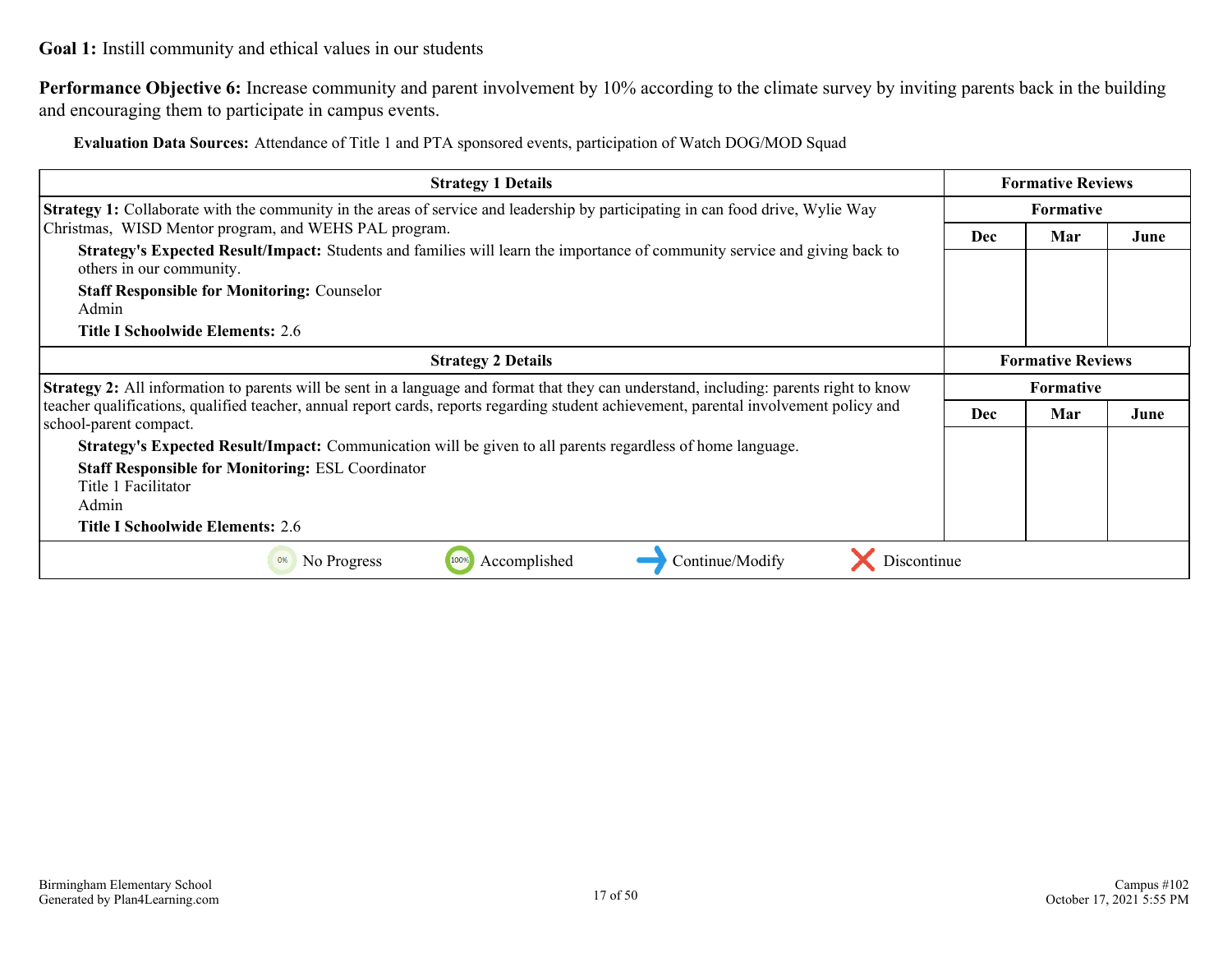**Performance Objective 6:** Increase community and parent involvement by 10% according to the climate survey by inviting parents back in the building and encouraging them to participate in campus events.

**Evaluation Data Sources:** Attendance of Title 1 and PTA sponsored events, participation of Watch DOG/MOD Squad

| <b>Strategy 1 Details</b>                                                                                                                                                           |                  | <b>Formative Reviews</b> |      |
|-------------------------------------------------------------------------------------------------------------------------------------------------------------------------------------|------------------|--------------------------|------|
| <b>Strategy 1:</b> Collaborate with the community in the areas of service and leadership by participating in can food drive, Wylie Way                                              | <b>Formative</b> |                          |      |
| Christmas, WISD Mentor program, and WEHS PAL program.<br>Strategy's Expected Result/Impact: Students and families will learn the importance of community service and giving back to | Dec              | Mar                      | June |
| others in our community.<br><b>Staff Responsible for Monitoring: Counselor</b><br>Admin<br>Title I Schoolwide Elements: 2.6                                                         |                  |                          |      |
| <b>Strategy 2 Details</b>                                                                                                                                                           |                  | <b>Formative Reviews</b> |      |
| <b>Strategy 2:</b> All information to parents will be sent in a language and format that they can understand, including: parents right to know                                      |                  | <b>Formative</b>         |      |
| teacher qualifications, qualified teacher, annual report cards, reports regarding student achievement, parental involvement policy and<br>school-parent compact.                    | <b>Dec</b>       | Mar                      | June |
| Strategy's Expected Result/Impact: Communication will be given to all parents regardless of home language.                                                                          |                  |                          |      |
| <b>Staff Responsible for Monitoring: ESL Coordinator</b><br>Title 1 Facilitator<br>Admin<br><b>Title I Schoolwide Elements: 2.6</b>                                                 |                  |                          |      |
| Accomplished<br>100%<br>Continue/Modify<br>No Progress<br>Discontinue<br>0%                                                                                                         |                  |                          |      |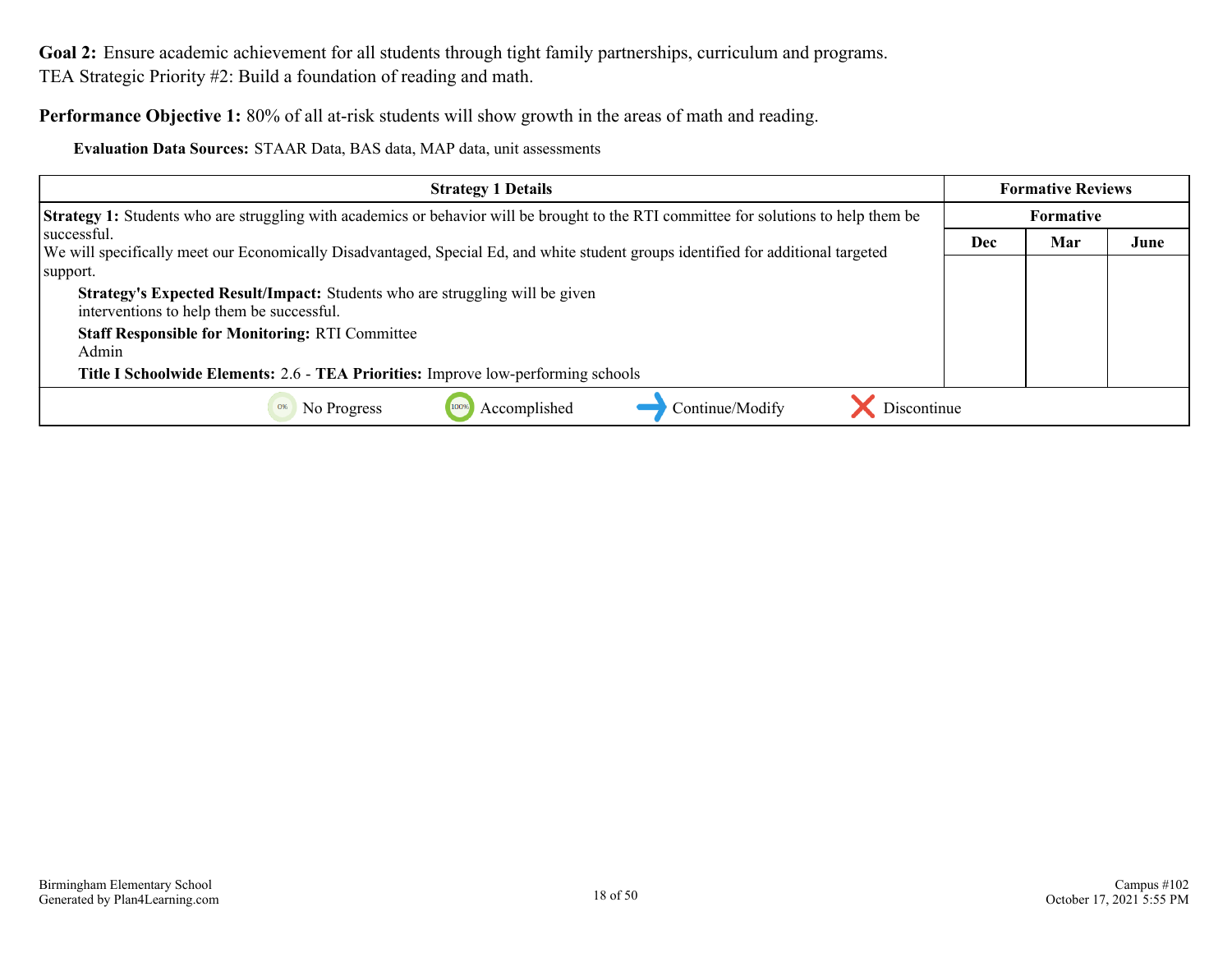<span id="page-17-0"></span>**Performance Objective 1:** 80% of all at-risk students will show growth in the areas of math and reading.

**Evaluation Data Sources:** STAAR Data, BAS data, MAP data, unit assessments

| <b>Strategy 1 Details</b>                                                                                                                    |     | <b>Formative Reviews</b> |      |
|----------------------------------------------------------------------------------------------------------------------------------------------|-----|--------------------------|------|
| <b>Strategy 1:</b> Students who are struggling with academics or behavior will be brought to the RTI committee for solutions to help them be |     | <b>Formative</b>         |      |
| successful.                                                                                                                                  | Dec | Mar                      | June |
| We will specifically meet our Economically Disadvantaged, Special Ed, and white student groups identified for additional targeted            |     |                          |      |
| support.                                                                                                                                     |     |                          |      |
| <b>Strategy's Expected Result/Impact:</b> Students who are struggling will be given<br>interventions to help them be successful.             |     |                          |      |
| <b>Staff Responsible for Monitoring: RTI Committee</b>                                                                                       |     |                          |      |
| Admin                                                                                                                                        |     |                          |      |
| Title I Schoolwide Elements: 2.6 - TEA Priorities: Improve low-performing schools                                                            |     |                          |      |
| Accomplished<br>Continue/Modify<br>Discontinue<br>No Progress<br>0%                                                                          |     |                          |      |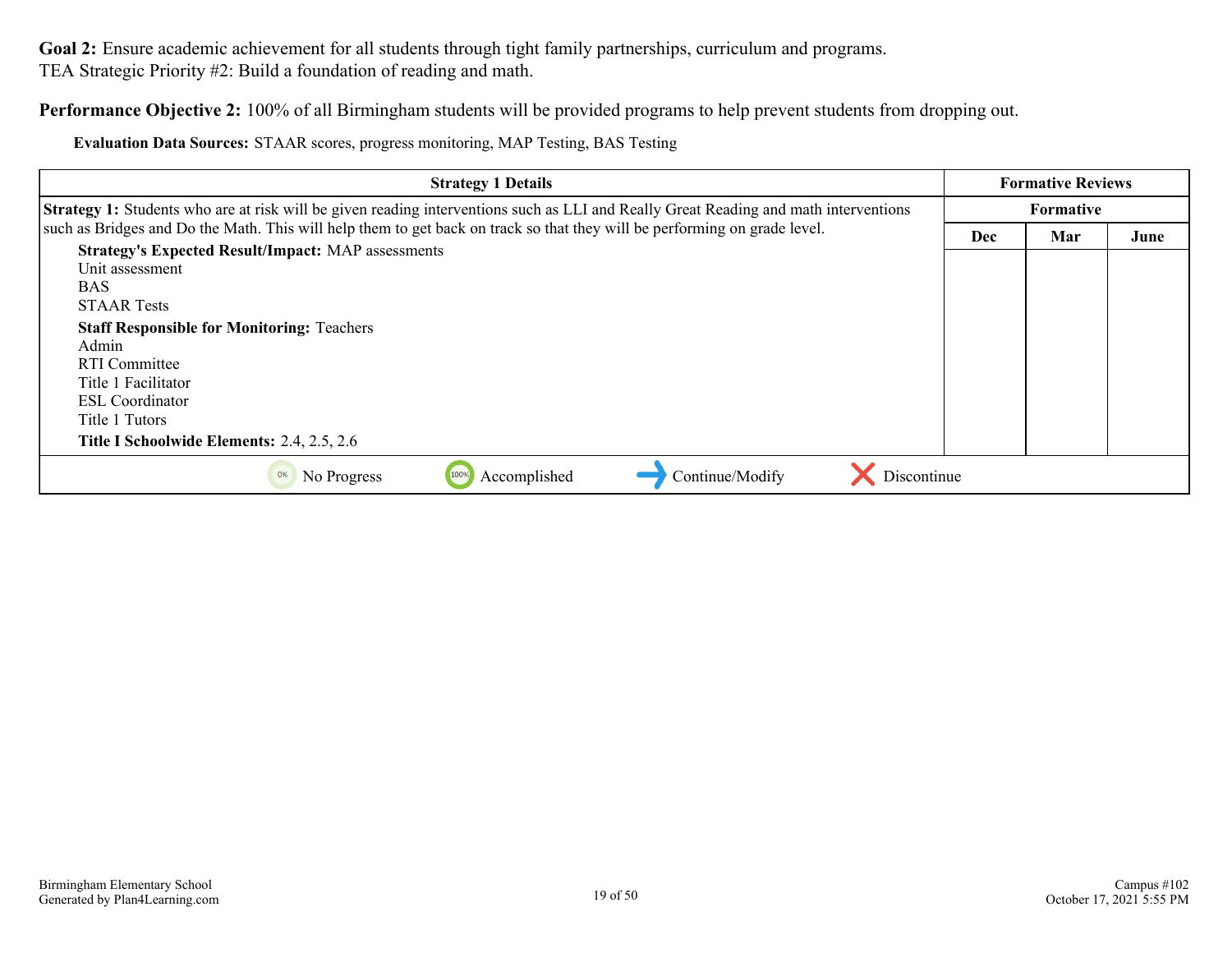**Performance Objective 2:** 100% of all Birmingham students will be provided programs to help prevent students from dropping out.

**Evaluation Data Sources:** STAAR scores, progress monitoring, MAP Testing, BAS Testing

| <b>Strategy 1 Details</b>                                                                                                                   |            | <b>Formative Reviews</b> |      |
|---------------------------------------------------------------------------------------------------------------------------------------------|------------|--------------------------|------|
| <b>Strategy 1:</b> Students who are at risk will be given reading interventions such as LLI and Really Great Reading and math interventions |            | <b>Formative</b>         |      |
| such as Bridges and Do the Math. This will help them to get back on track so that they will be performing on grade level.                   | <b>Dec</b> | Mar                      | June |
| <b>Strategy's Expected Result/Impact: MAP assessments</b>                                                                                   |            |                          |      |
| Unit assessment                                                                                                                             |            |                          |      |
| <b>BAS</b>                                                                                                                                  |            |                          |      |
| <b>STAAR Tests</b>                                                                                                                          |            |                          |      |
| <b>Staff Responsible for Monitoring: Teachers</b>                                                                                           |            |                          |      |
| Admin                                                                                                                                       |            |                          |      |
| RTI Committee                                                                                                                               |            |                          |      |
| Title 1 Facilitator                                                                                                                         |            |                          |      |
| <b>ESL</b> Coordinator                                                                                                                      |            |                          |      |
| Title 1 Tutors                                                                                                                              |            |                          |      |
| Title I Schoolwide Elements: 2.4, 2.5, 2.6                                                                                                  |            |                          |      |
| Accomplished<br>Continue/Modify<br>Discontinue<br>No Progress<br>100%<br>0%                                                                 |            |                          |      |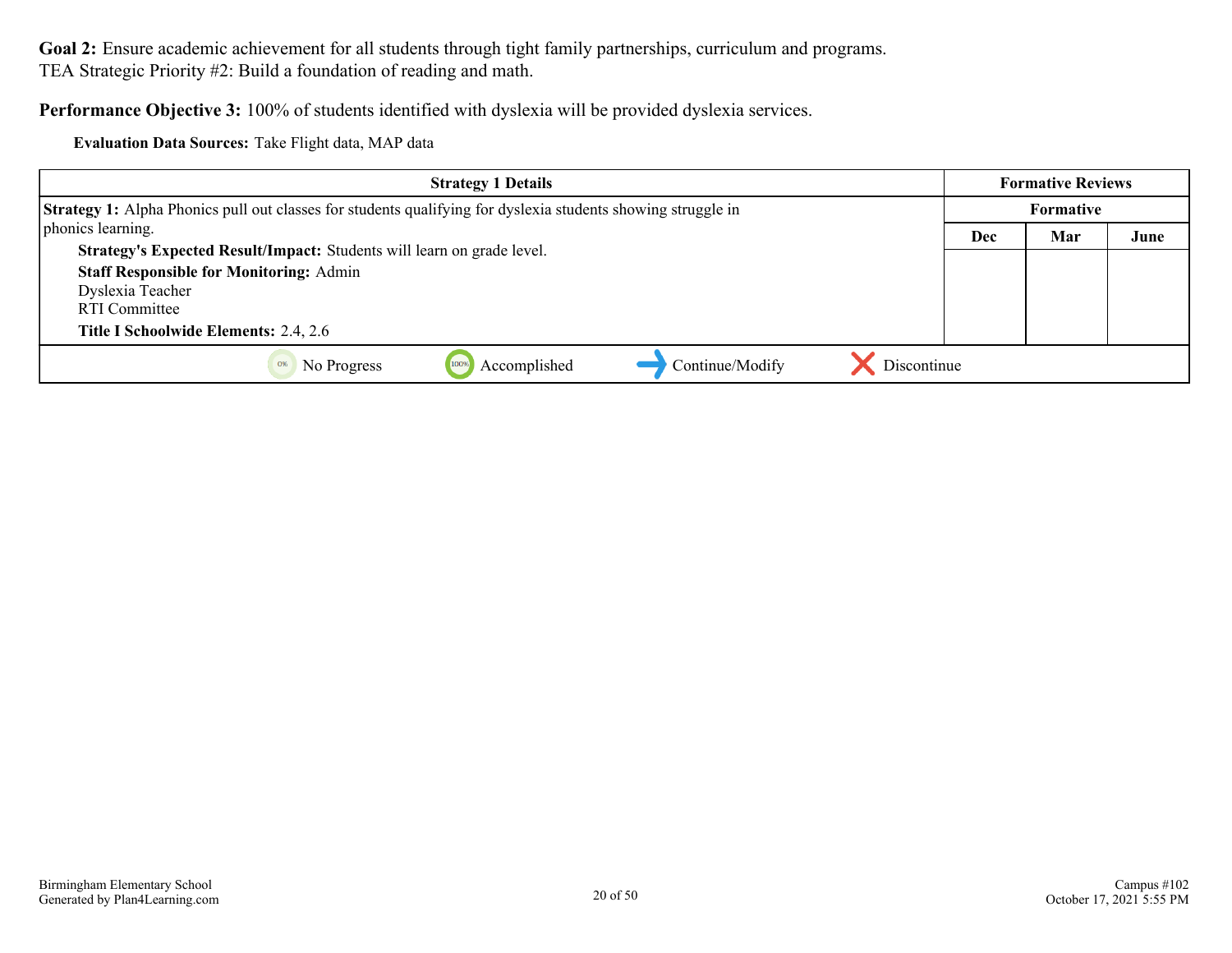**Performance Objective 3:** 100% of students identified with dyslexia will be provided dyslexia services.

**Evaluation Data Sources:** Take Flight data, MAP data

| <b>Strategy 1 Details</b>                                                                                           | <b>Formative Reviews</b> |     |      |
|---------------------------------------------------------------------------------------------------------------------|--------------------------|-----|------|
| <b>Strategy 1:</b> Alpha Phonics pull out classes for students qualifying for dyslexia students showing struggle in | <b>Formative</b>         |     |      |
| phonics learning.                                                                                                   | Dec                      | Mar | June |
| Strategy's Expected Result/Impact: Students will learn on grade level.                                              |                          |     |      |
| <b>Staff Responsible for Monitoring: Admin</b>                                                                      |                          |     |      |
| Dyslexia Teacher                                                                                                    |                          |     |      |
| RTI Committee                                                                                                       |                          |     |      |
| <b>Title I Schoolwide Elements: 2.4, 2.6</b>                                                                        |                          |     |      |
| Discontinue<br>Accomplished<br>Continue/Modify<br>No Progress                                                       |                          |     |      |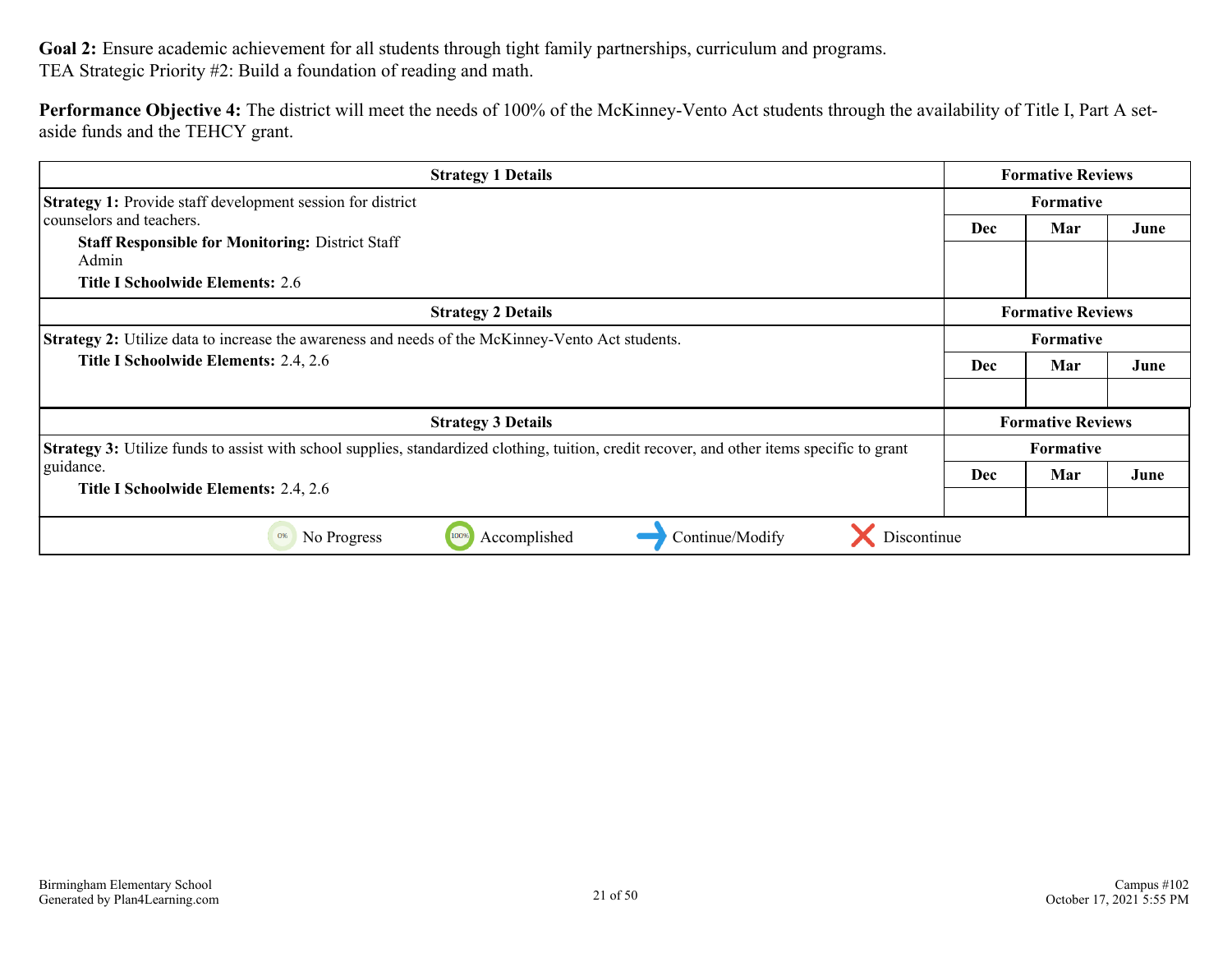**Performance Objective 4:** The district will meet the needs of 100% of the McKinney-Vento Act students through the availability of Title I, Part A setaside funds and the TEHCY grant.

| <b>Strategy 1 Details</b>                                                                                                                          | <b>Formative Reviews</b> |                          |      |
|----------------------------------------------------------------------------------------------------------------------------------------------------|--------------------------|--------------------------|------|
| <b>Strategy 1:</b> Provide staff development session for district                                                                                  | <b>Formative</b>         |                          |      |
| counselors and teachers.                                                                                                                           | <b>Dec</b>               | Mar                      | June |
| <b>Staff Responsible for Monitoring: District Staff</b>                                                                                            |                          |                          |      |
| Admin                                                                                                                                              |                          |                          |      |
| Title I Schoolwide Elements: 2.6                                                                                                                   |                          |                          |      |
| <b>Strategy 2 Details</b>                                                                                                                          |                          | <b>Formative Reviews</b> |      |
| <b>Strategy 2:</b> Utilize data to increase the awareness and needs of the McKinney-Vento Act students.                                            | <b>Formative</b>         |                          |      |
| Title I Schoolwide Elements: 2.4, 2.6                                                                                                              | <b>Dec</b><br>Mar        |                          | June |
|                                                                                                                                                    |                          |                          |      |
| <b>Strategy 3 Details</b>                                                                                                                          |                          | <b>Formative Reviews</b> |      |
| <b>Strategy 3:</b> Utilize funds to assist with school supplies, standardized clothing, tuition, credit recover, and other items specific to grant | <b>Formative</b>         |                          |      |
| guidance.                                                                                                                                          | <b>Dec</b>               | Mar                      | June |
| Title I Schoolwide Elements: 2.4, 2.6                                                                                                              |                          |                          |      |
| Discontinue<br>Accomplished<br>Continue/Modify<br>No Progress<br>100%<br>0%                                                                        |                          |                          |      |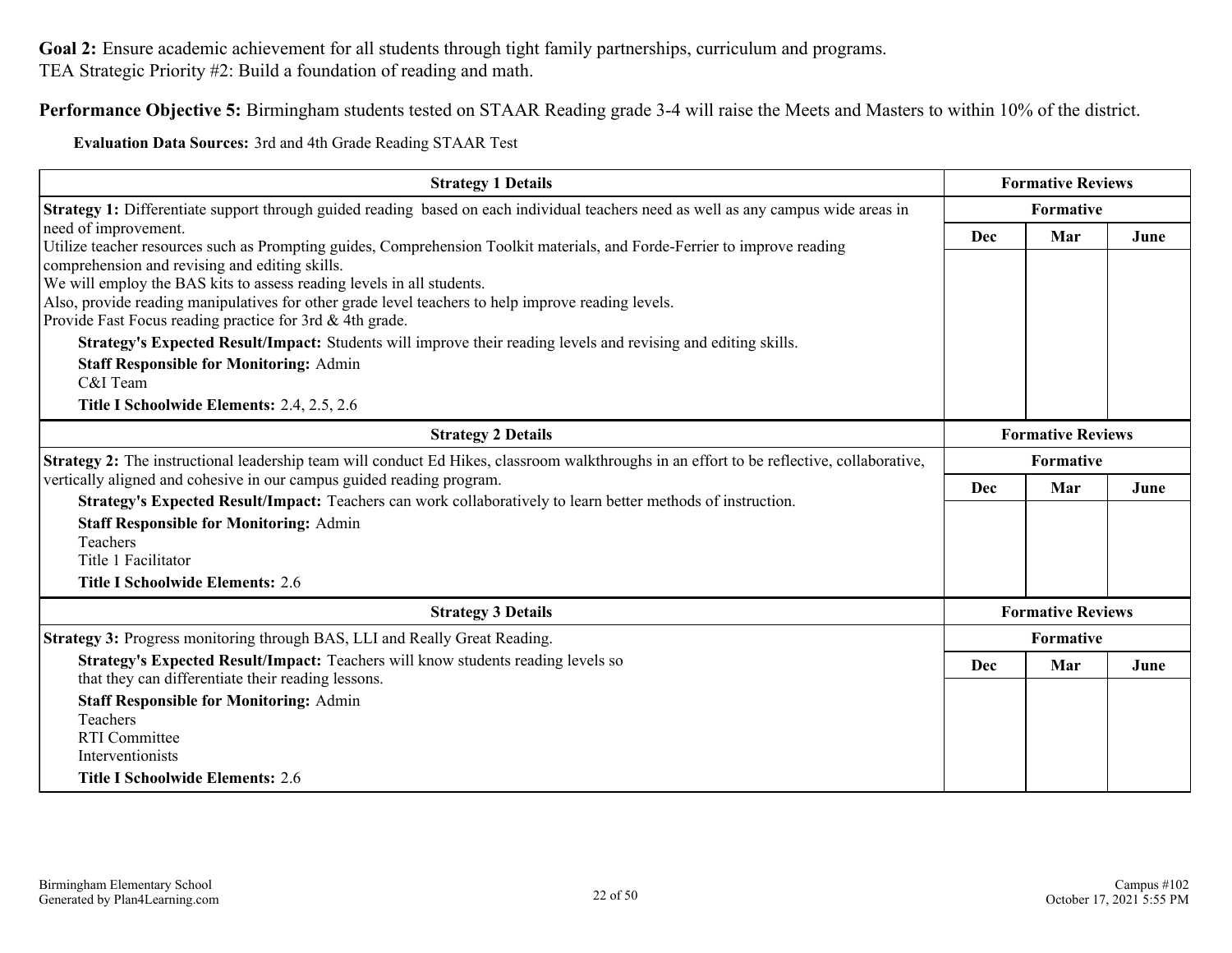**Performance Objective 5:** Birmingham students tested on STAAR Reading grade 3-4 will raise the Meets and Masters to within 10% of the district.

**Evaluation Data Sources:** 3rd and 4th Grade Reading STAAR Test

| <b>Strategy 1 Details</b>                                                                                                                                                   |                          | <b>Formative Reviews</b> |      |
|-----------------------------------------------------------------------------------------------------------------------------------------------------------------------------|--------------------------|--------------------------|------|
| <b>Strategy 1:</b> Differentiate support through guided reading based on each individual teachers need as well as any campus wide areas in                                  |                          | Formative                |      |
| need of improvement.                                                                                                                                                        | Dec<br>Mar               |                          | June |
| Utilize teacher resources such as Prompting guides, Comprehension Toolkit materials, and Forde-Ferrier to improve reading<br>comprehension and revising and editing skills. |                          |                          |      |
| We will employ the BAS kits to assess reading levels in all students.                                                                                                       |                          |                          |      |
| Also, provide reading manipulatives for other grade level teachers to help improve reading levels.                                                                          |                          |                          |      |
| Provide Fast Focus reading practice for 3rd & 4th grade.                                                                                                                    |                          |                          |      |
| Strategy's Expected Result/Impact: Students will improve their reading levels and revising and editing skills.                                                              |                          |                          |      |
| <b>Staff Responsible for Monitoring: Admin</b>                                                                                                                              |                          |                          |      |
| C&I Team                                                                                                                                                                    |                          |                          |      |
| Title I Schoolwide Elements: 2.4, 2.5, 2.6                                                                                                                                  |                          |                          |      |
| <b>Strategy 2 Details</b>                                                                                                                                                   | <b>Formative Reviews</b> |                          |      |
| Strategy 2: The instructional leadership team will conduct Ed Hikes, classroom walkthroughs in an effort to be reflective, collaborative,                                   | <b>Formative</b>         |                          |      |
| vertically aligned and cohesive in our campus guided reading program.                                                                                                       | <b>Dec</b>               | Mar                      | June |
| Strategy's Expected Result/Impact: Teachers can work collaboratively to learn better methods of instruction.                                                                |                          |                          |      |
| <b>Staff Responsible for Monitoring: Admin</b>                                                                                                                              |                          |                          |      |
| Teachers                                                                                                                                                                    |                          |                          |      |
| Title 1 Facilitator                                                                                                                                                         |                          |                          |      |
| <b>Title I Schoolwide Elements: 2.6</b>                                                                                                                                     |                          |                          |      |
| <b>Strategy 3 Details</b>                                                                                                                                                   |                          | <b>Formative Reviews</b> |      |
| <b>Strategy 3: Progress monitoring through BAS, LLI and Really Great Reading.</b>                                                                                           | Formative                |                          |      |
| Strategy's Expected Result/Impact: Teachers will know students reading levels so                                                                                            | Dec                      | Mar                      | June |
| that they can differentiate their reading lessons.                                                                                                                          |                          |                          |      |
| <b>Staff Responsible for Monitoring: Admin</b>                                                                                                                              |                          |                          |      |
| Teachers                                                                                                                                                                    |                          |                          |      |
| <b>RTI</b> Committee                                                                                                                                                        |                          |                          |      |
| Interventionists                                                                                                                                                            |                          |                          |      |
| <b>Title I Schoolwide Elements: 2.6</b>                                                                                                                                     |                          |                          |      |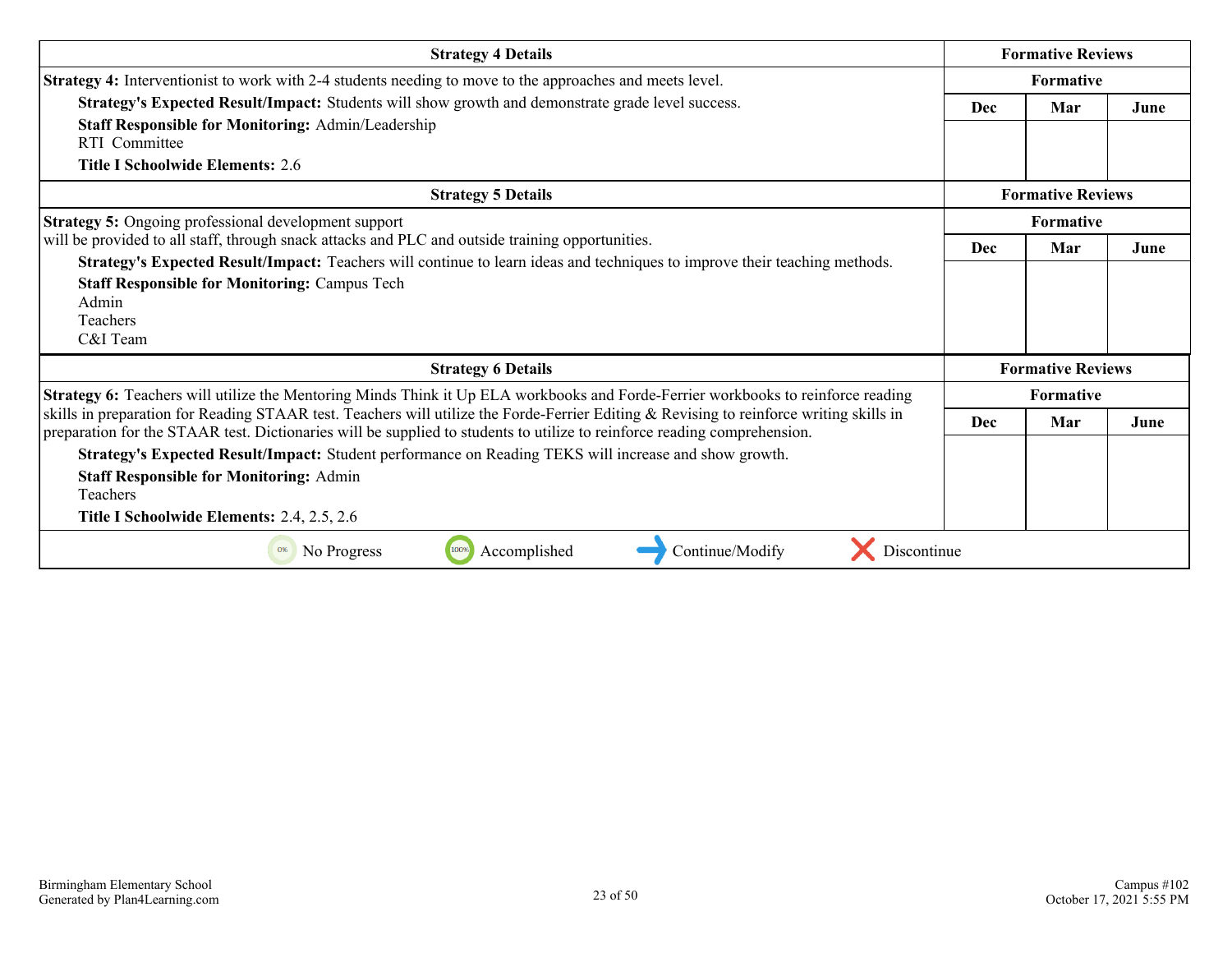| <b>Strategy 4 Details</b>                                                                                                                                                                                                                                           |                   | <b>Formative Reviews</b> |      |
|---------------------------------------------------------------------------------------------------------------------------------------------------------------------------------------------------------------------------------------------------------------------|-------------------|--------------------------|------|
| Strategy 4: Interventionist to work with 2-4 students needing to move to the approaches and meets level.                                                                                                                                                            | Formative         |                          |      |
| Strategy's Expected Result/Impact: Students will show growth and demonstrate grade level success.                                                                                                                                                                   | <b>Dec</b>        | Mar                      | June |
| <b>Staff Responsible for Monitoring: Admin/Leadership</b>                                                                                                                                                                                                           |                   |                          |      |
| <b>RTI</b> Committee<br><b>Title I Schoolwide Elements: 2.6</b>                                                                                                                                                                                                     |                   |                          |      |
| <b>Strategy 5 Details</b>                                                                                                                                                                                                                                           |                   | <b>Formative Reviews</b> |      |
| <b>Strategy 5:</b> Ongoing professional development support                                                                                                                                                                                                         | <b>Formative</b>  |                          |      |
| will be provided to all staff, through snack attacks and PLC and outside training opportunities.                                                                                                                                                                    | <b>Dec</b><br>Mar |                          | June |
| Strategy's Expected Result/Impact: Teachers will continue to learn ideas and techniques to improve their teaching methods.<br><b>Staff Responsible for Monitoring: Campus Tech</b><br>Admin<br><b>Teachers</b><br>C&I Team                                          |                   |                          |      |
| <b>Strategy 6 Details</b>                                                                                                                                                                                                                                           |                   | <b>Formative Reviews</b> |      |
| Strategy 6: Teachers will utilize the Mentoring Minds Think it Up ELA workbooks and Forde-Ferrier workbooks to reinforce reading                                                                                                                                    |                   | <b>Formative</b>         |      |
| skills in preparation for Reading STAAR test. Teachers will utilize the Forde-Ferrier Editing & Revising to reinforce writing skills in<br>preparation for the STAAR test. Dictionaries will be supplied to students to utilize to reinforce reading comprehension. | <b>Dec</b>        | Mar                      | June |
| Strategy's Expected Result/Impact: Student performance on Reading TEKS will increase and show growth.                                                                                                                                                               |                   |                          |      |
| <b>Staff Responsible for Monitoring: Admin</b><br>Teachers<br>Title I Schoolwide Elements: 2.4, 2.5, 2.6                                                                                                                                                            |                   |                          |      |
| No Progress<br>Accomplished<br>Continue/Modify<br>100%<br>Discontinue                                                                                                                                                                                               |                   |                          |      |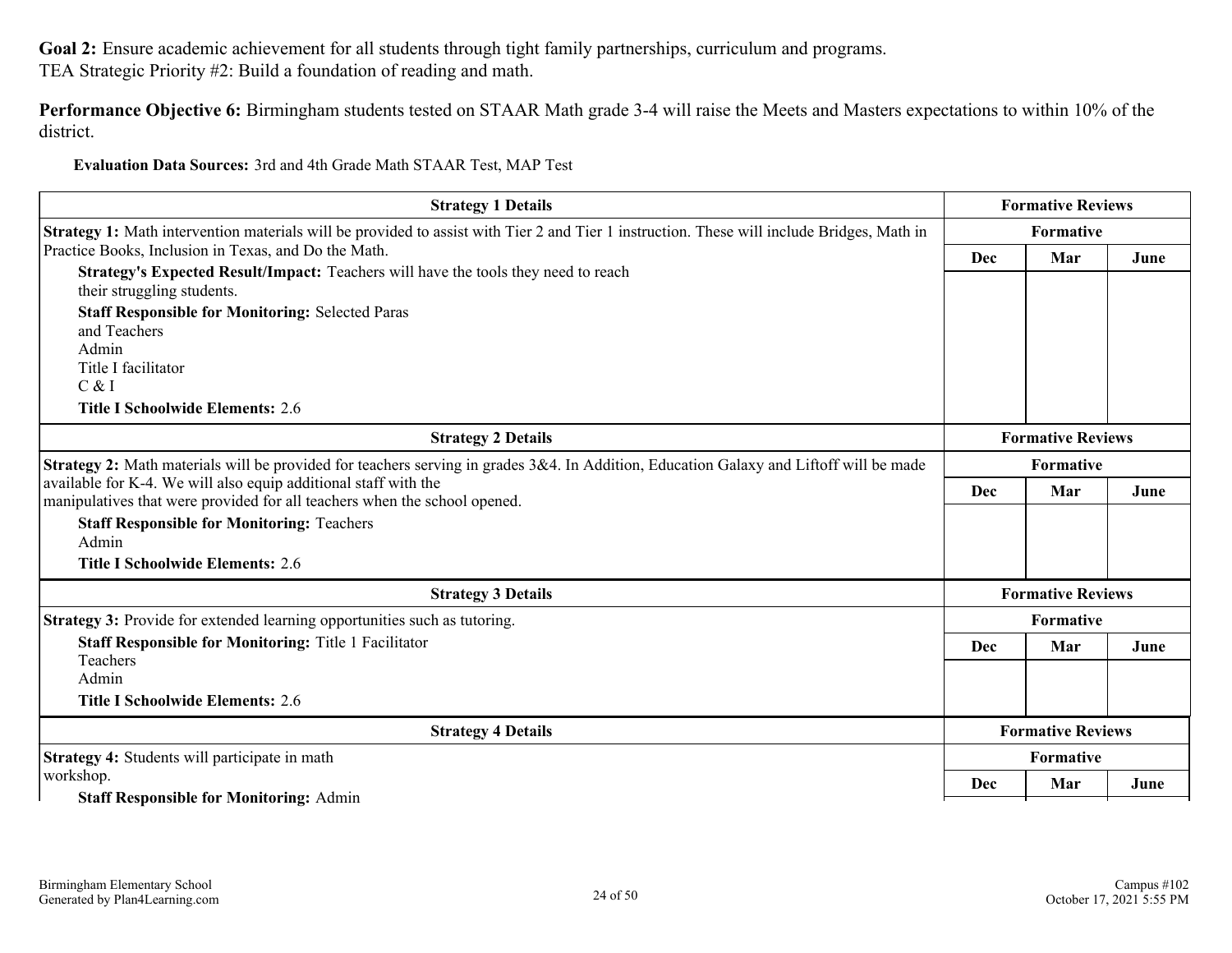**Performance Objective 6:** Birmingham students tested on STAAR Math grade 3-4 will raise the Meets and Masters expectations to within 10% of the district.

**Evaluation Data Sources:** 3rd and 4th Grade Math STAAR Test, MAP Test

| <b>Strategy 1 Details</b>                                                                                                                    |                          | <b>Formative Reviews</b> |      |
|----------------------------------------------------------------------------------------------------------------------------------------------|--------------------------|--------------------------|------|
| Strategy 1: Math intervention materials will be provided to assist with Tier 2 and Tier 1 instruction. These will include Bridges, Math in   |                          | Formative                |      |
| Practice Books, Inclusion in Texas, and Do the Math.                                                                                         | Dec<br>Mar               |                          | June |
| Strategy's Expected Result/Impact: Teachers will have the tools they need to reach<br>their struggling students.                             |                          |                          |      |
| <b>Staff Responsible for Monitoring: Selected Paras</b><br>and Teachers                                                                      |                          |                          |      |
| Admin                                                                                                                                        |                          |                          |      |
| Title I facilitator                                                                                                                          |                          |                          |      |
| C & I                                                                                                                                        |                          |                          |      |
| <b>Title I Schoolwide Elements: 2.6</b>                                                                                                      |                          |                          |      |
| <b>Strategy 2 Details</b>                                                                                                                    | <b>Formative Reviews</b> |                          |      |
| Strategy 2: Math materials will be provided for teachers serving in grades 3&4. In Addition, Education Galaxy and Liftoff will be made       | Formative                |                          |      |
| available for K-4. We will also equip additional staff with the<br>manipulatives that were provided for all teachers when the school opened. | Dec                      | Mar                      | June |
| <b>Staff Responsible for Monitoring: Teachers</b>                                                                                            |                          |                          |      |
| Admin                                                                                                                                        |                          |                          |      |
| <b>Title I Schoolwide Elements: 2.6</b>                                                                                                      |                          |                          |      |
| <b>Strategy 3 Details</b>                                                                                                                    |                          | <b>Formative Reviews</b> |      |
| <b>Strategy 3:</b> Provide for extended learning opportunities such as tutoring.                                                             |                          | <b>Formative</b>         |      |
| <b>Staff Responsible for Monitoring: Title 1 Facilitator</b>                                                                                 | Dec                      | Mar                      | June |
| Teachers                                                                                                                                     |                          |                          |      |
| Admin                                                                                                                                        |                          |                          |      |
| <b>Title I Schoolwide Elements: 2.6</b>                                                                                                      |                          |                          |      |
| <b>Strategy 4 Details</b>                                                                                                                    | <b>Formative Reviews</b> |                          |      |
| Strategy 4: Students will participate in math                                                                                                | Formative                |                          |      |
| workshop.                                                                                                                                    | Dec                      | Mar                      | June |
| <b>Staff Responsible for Monitoring: Admin</b>                                                                                               |                          |                          |      |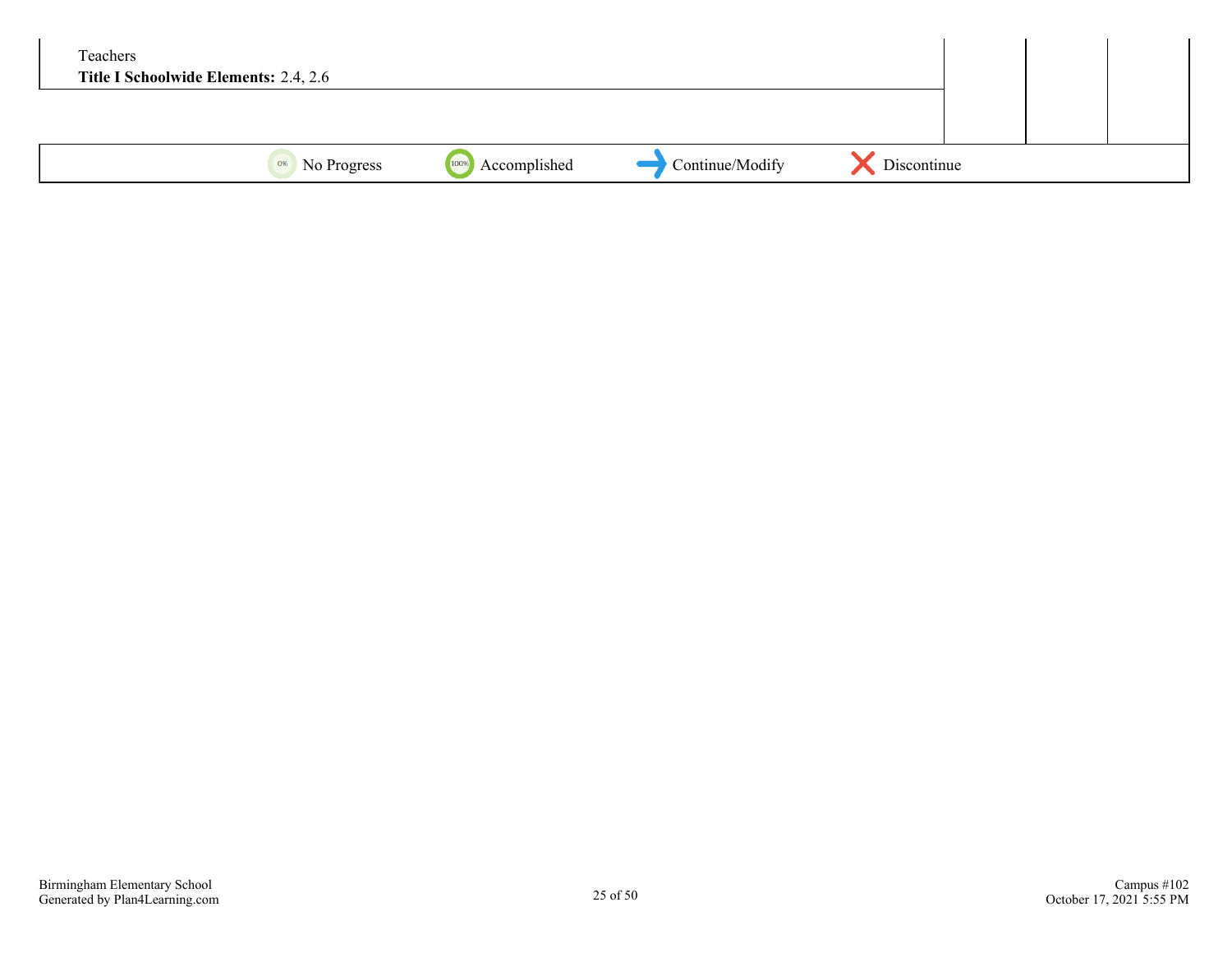| Teachers<br>Title I Schoolwide Elements: 2.4, 2.6 |                           |                      |                 |             |  |  |
|---------------------------------------------------|---------------------------|----------------------|-----------------|-------------|--|--|
|                                                   |                           |                      |                 |             |  |  |
|                                                   | <sup>0%</sup> No Progress | 100%<br>Accomplished | Continue/Modify | Discontinue |  |  |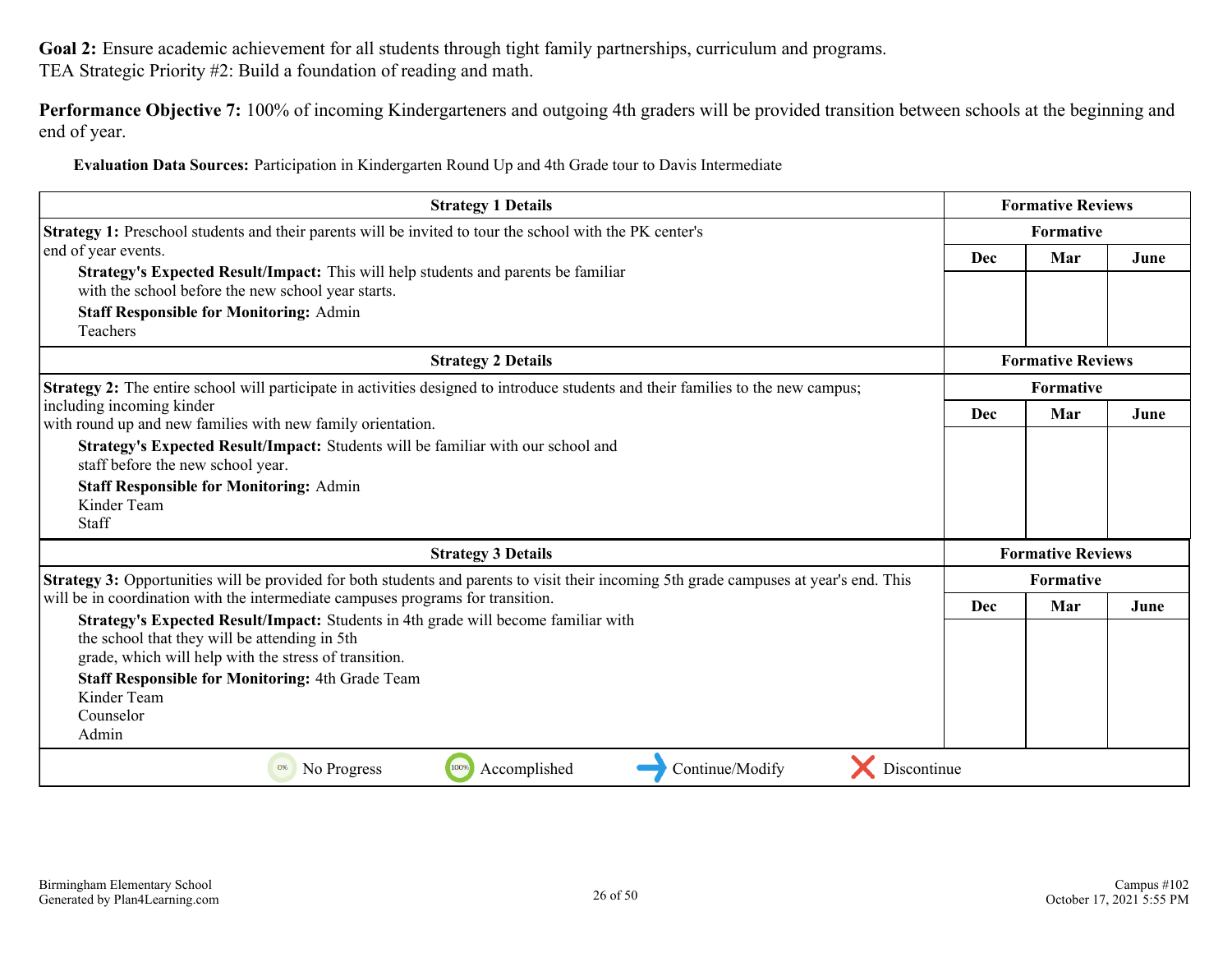**Performance Objective 7:** 100% of incoming Kindergarteners and outgoing 4th graders will be provided transition between schools at the beginning and end of year.

**Evaluation Data Sources:** Participation in Kindergarten Round Up and 4th Grade tour to Davis Intermediate

|            | Formative  |                                                                                 |
|------------|------------|---------------------------------------------------------------------------------|
|            |            | June                                                                            |
|            |            |                                                                                 |
|            |            |                                                                                 |
|            |            |                                                                                 |
| Formative  |            |                                                                                 |
| <b>Dec</b> | Mar        | June                                                                            |
|            |            |                                                                                 |
|            |            |                                                                                 |
|            |            |                                                                                 |
|            |            |                                                                                 |
| Dec        | Mar        | June                                                                            |
|            |            |                                                                                 |
|            |            |                                                                                 |
|            |            |                                                                                 |
|            |            |                                                                                 |
|            | <b>Dec</b> | Mar<br><b>Formative Reviews</b><br><b>Formative Reviews</b><br><b>Formative</b> |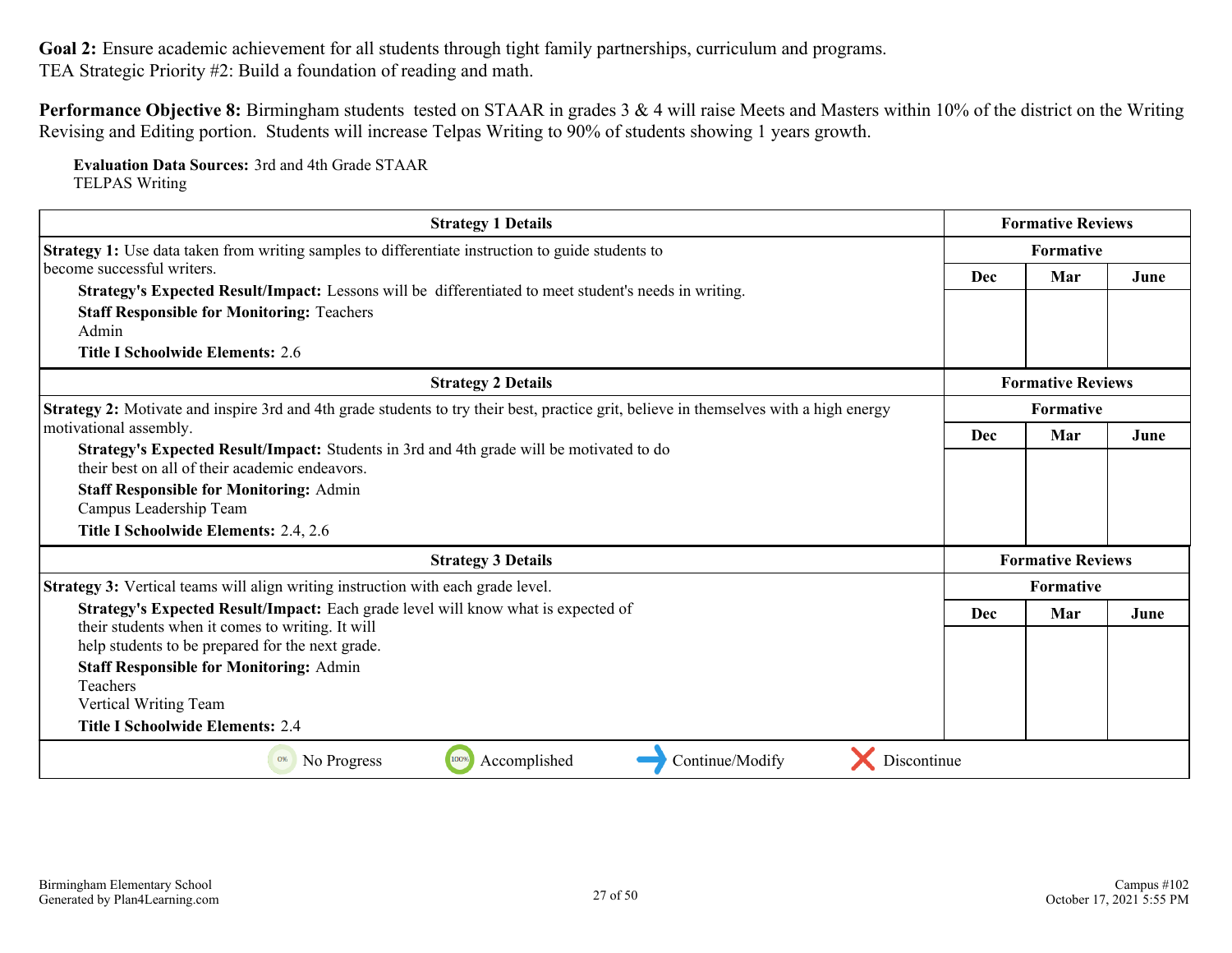**Performance Objective 8:** Birmingham students tested on STAAR in grades 3 & 4 will raise Meets and Masters within 10% of the district on the Writing Revising and Editing portion. Students will increase Telpas Writing to 90% of students showing 1 years growth.

**Evaluation Data Sources:** 3rd and 4th Grade STAAR TELPAS Writing

| <b>Strategy 1 Details</b>                                                                                                                     |            | <b>Formative Reviews</b> |      |
|-----------------------------------------------------------------------------------------------------------------------------------------------|------------|--------------------------|------|
| Strategy 1: Use data taken from writing samples to differentiate instruction to guide students to                                             | Formative  |                          |      |
| become successful writers.                                                                                                                    | Dec        | Mar                      | June |
| Strategy's Expected Result/Impact: Lessons will be differentiated to meet student's needs in writing.                                         |            |                          |      |
| <b>Staff Responsible for Monitoring: Teachers</b>                                                                                             |            |                          |      |
| Admin                                                                                                                                         |            |                          |      |
| <b>Title I Schoolwide Elements: 2.6</b>                                                                                                       |            |                          |      |
| <b>Strategy 2 Details</b>                                                                                                                     |            | <b>Formative Reviews</b> |      |
| <b>Strategy 2:</b> Motivate and inspire 3rd and 4th grade students to try their best, practice grit, believe in themselves with a high energy | Formative  |                          |      |
| motivational assembly.                                                                                                                        | Dec<br>Mar |                          | June |
| Strategy's Expected Result/Impact: Students in 3rd and 4th grade will be motivated to do<br>their best on all of their academic endeavors     |            |                          |      |
| <b>Staff Responsible for Monitoring: Admin</b>                                                                                                |            |                          |      |
| Campus Leadership Team                                                                                                                        |            |                          |      |
| Title I Schoolwide Elements: 2.4, 2.6                                                                                                         |            |                          |      |
| <b>Strategy 3 Details</b>                                                                                                                     |            | <b>Formative Reviews</b> |      |
| Strategy 3: Vertical teams will align writing instruction with each grade level.                                                              |            | Formative                |      |
| Strategy's Expected Result/Impact: Each grade level will know what is expected of                                                             | Dec        | Mar                      | June |
| their students when it comes to writing. It will                                                                                              |            |                          |      |
| help students to be prepared for the next grade.                                                                                              |            |                          |      |
| <b>Staff Responsible for Monitoring: Admin</b>                                                                                                |            |                          |      |
| Teachers                                                                                                                                      |            |                          |      |
| Vertical Writing Team                                                                                                                         |            |                          |      |
| <b>Title I Schoolwide Elements: 2.4</b>                                                                                                       |            |                          |      |
| Continue/Modify<br>100%<br>Accomplished<br>0%<br>No Progress<br>Discontinue                                                                   |            |                          |      |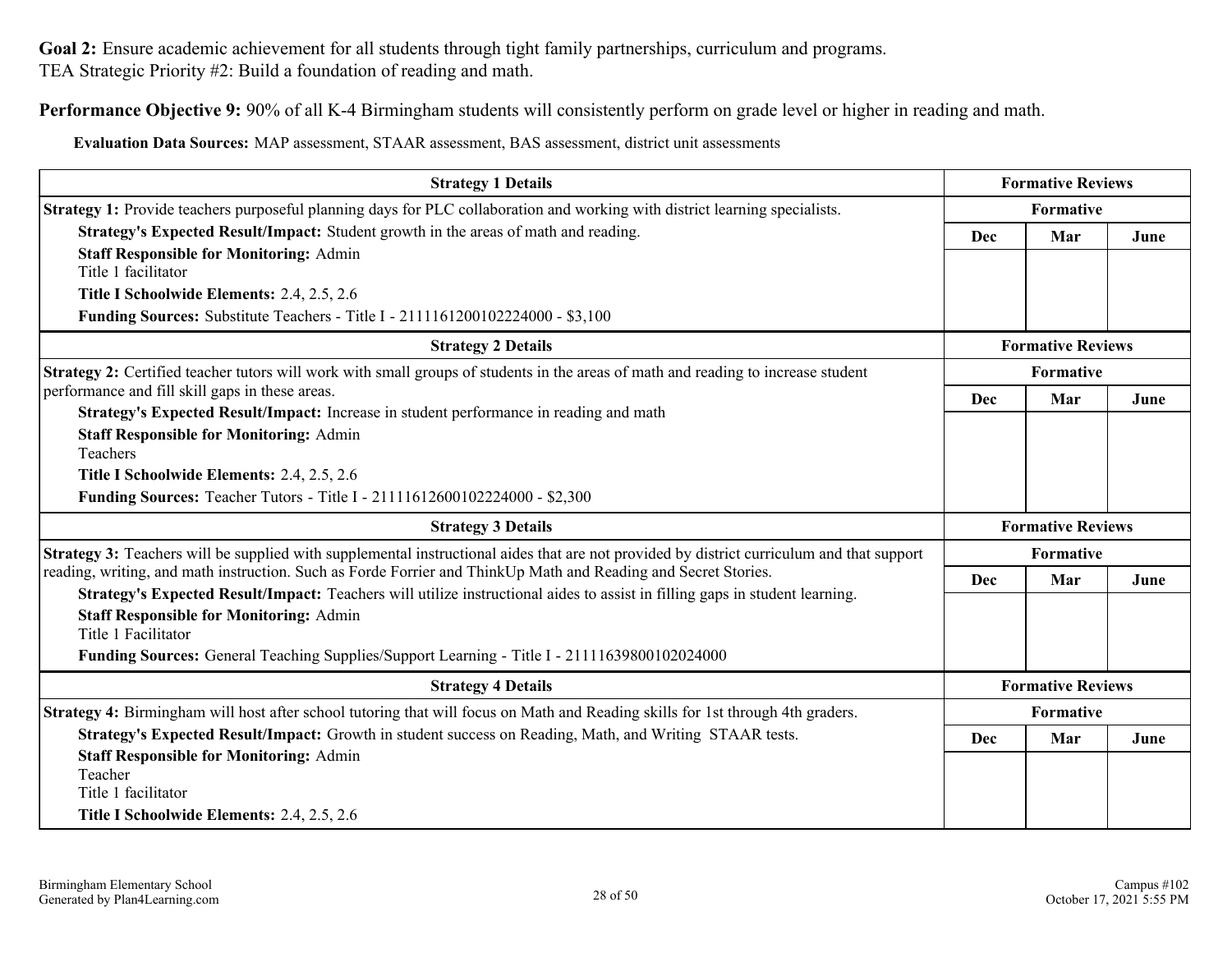**Performance Objective 9:** 90% of all K-4 Birmingham students will consistently perform on grade level or higher in reading and math.

**Evaluation Data Sources:** MAP assessment, STAAR assessment, BAS assessment, district unit assessments

| <b>Strategy 1 Details</b>                                                                                                                                                                                                                                                                            |                          | <b>Formative Reviews</b> |      |
|------------------------------------------------------------------------------------------------------------------------------------------------------------------------------------------------------------------------------------------------------------------------------------------------------|--------------------------|--------------------------|------|
| <b>Strategy 1:</b> Provide teachers purposeful planning days for PLC collaboration and working with district learning specialists.                                                                                                                                                                   |                          | Formative                |      |
| Strategy's Expected Result/Impact: Student growth in the areas of math and reading.                                                                                                                                                                                                                  | Dec                      | Mar                      | June |
| <b>Staff Responsible for Monitoring: Admin</b><br>Title 1 facilitator                                                                                                                                                                                                                                |                          |                          |      |
| Title I Schoolwide Elements: 2.4, 2.5, 2.6                                                                                                                                                                                                                                                           |                          |                          |      |
| <b>Funding Sources:</b> Substitute Teachers - Title I - 2111161200102224000 - \$3,100                                                                                                                                                                                                                |                          |                          |      |
| <b>Strategy 2 Details</b>                                                                                                                                                                                                                                                                            |                          | <b>Formative Reviews</b> |      |
| Strategy 2: Certified teacher tutors will work with small groups of students in the areas of math and reading to increase student<br>performance and fill skill gaps in these areas.                                                                                                                 |                          | Formative                |      |
| Strategy's Expected Result/Impact: Increase in student performance in reading and math                                                                                                                                                                                                               | Dec                      | Mar                      | June |
| <b>Staff Responsible for Monitoring: Admin</b><br>Teachers                                                                                                                                                                                                                                           |                          |                          |      |
| Title I Schoolwide Elements: 2.4, 2.5, 2.6                                                                                                                                                                                                                                                           |                          |                          |      |
| Funding Sources: Teacher Tutors - Title I - 21111612600102224000 - \$2,300                                                                                                                                                                                                                           |                          |                          |      |
| <b>Strategy 3 Details</b>                                                                                                                                                                                                                                                                            |                          | <b>Formative Reviews</b> |      |
| Strategy 3: Teachers will be supplied with supplemental instructional aides that are not provided by district curriculum and that support                                                                                                                                                            |                          | Formative                |      |
| reading, writing, and math instruction. Such as Forde Forrier and ThinkUp Math and Reading and Secret Stories.                                                                                                                                                                                       | <b>Dec</b>               | Mar                      | June |
| Strategy's Expected Result/Impact: Teachers will utilize instructional aides to assist in filling gaps in student learning.<br><b>Staff Responsible for Monitoring: Admin</b><br>Title 1 Facilitator<br>Funding Sources: General Teaching Supplies/Support Learning - Title I - 21111639800102024000 |                          |                          |      |
|                                                                                                                                                                                                                                                                                                      |                          |                          |      |
| <b>Strategy 4 Details</b>                                                                                                                                                                                                                                                                            | <b>Formative Reviews</b> |                          |      |
| Strategy 4: Birmingham will host after school tutoring that will focus on Math and Reading skills for 1st through 4th graders.                                                                                                                                                                       | Formative                |                          |      |
| Strategy's Expected Result/Impact: Growth in student success on Reading, Math, and Writing STAAR tests.                                                                                                                                                                                              | <b>Dec</b>               | Mar                      | June |
| <b>Staff Responsible for Monitoring: Admin</b>                                                                                                                                                                                                                                                       |                          |                          |      |
| Teacher<br>Title 1 facilitator                                                                                                                                                                                                                                                                       |                          |                          |      |
| Title I Schoolwide Elements: 2.4, 2.5, 2.6                                                                                                                                                                                                                                                           |                          |                          |      |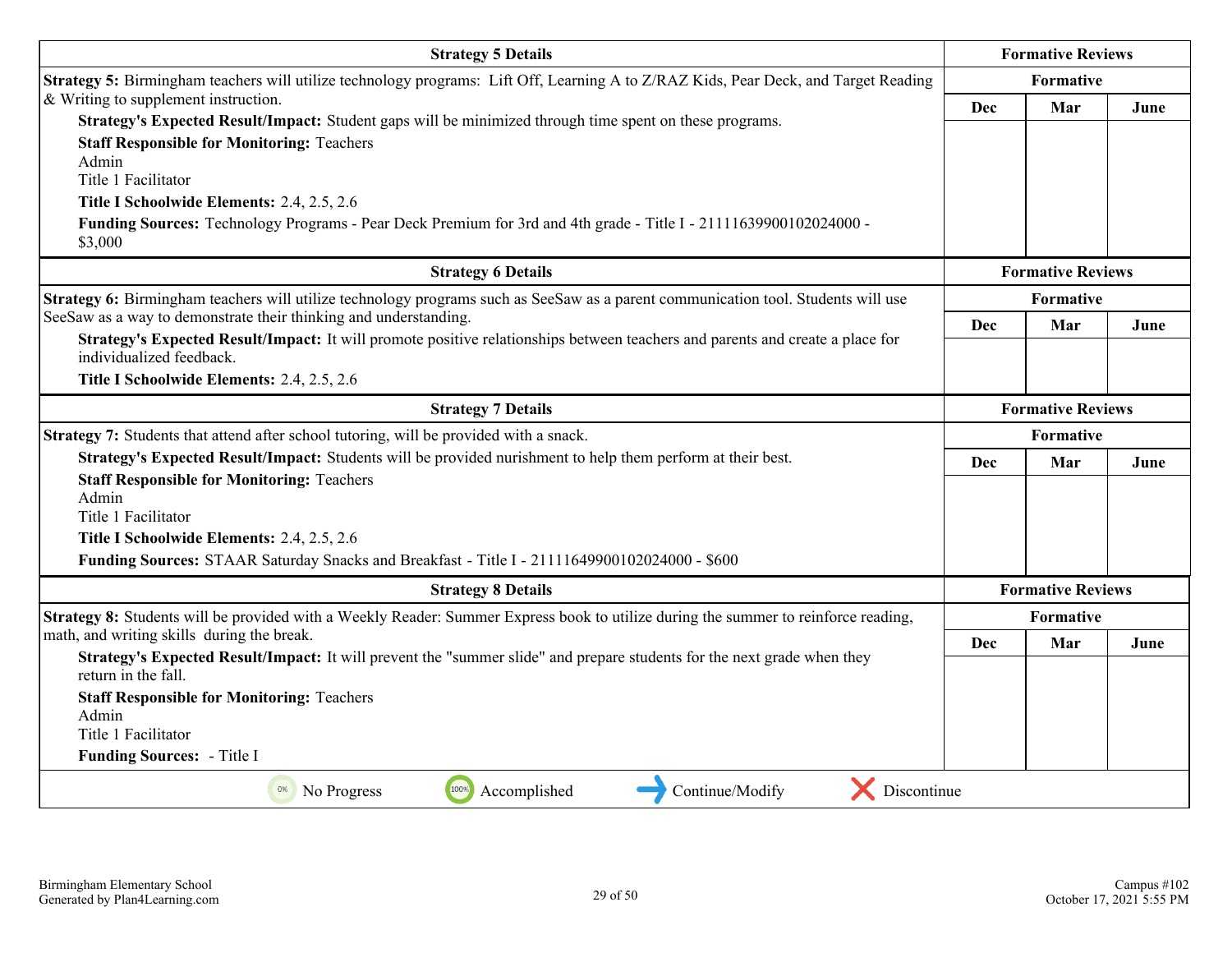| <b>Strategy 5 Details</b>                                                                                                                                                                                                                                                                                                                                                                                          |                          | <b>Formative Reviews</b> |      |
|--------------------------------------------------------------------------------------------------------------------------------------------------------------------------------------------------------------------------------------------------------------------------------------------------------------------------------------------------------------------------------------------------------------------|--------------------------|--------------------------|------|
| Strategy 5: Birmingham teachers will utilize technology programs: Lift Off, Learning A to Z/RAZ Kids, Pear Deck, and Target Reading                                                                                                                                                                                                                                                                                |                          | <b>Formative</b>         |      |
| & Writing to supplement instruction.<br>Strategy's Expected Result/Impact: Student gaps will be minimized through time spent on these programs.<br><b>Staff Responsible for Monitoring: Teachers</b><br>Admin<br>Title 1 Facilitator<br>Title I Schoolwide Elements: 2.4, 2.5, 2.6<br>Funding Sources: Technology Programs - Pear Deck Premium for 3rd and 4th grade - Title I - 21111639900102024000 -<br>\$3,000 | Dec                      | Mar                      | June |
| <b>Strategy 6 Details</b>                                                                                                                                                                                                                                                                                                                                                                                          |                          | <b>Formative Reviews</b> |      |
| Strategy 6: Birmingham teachers will utilize technology programs such as SeeSaw as a parent communication tool. Students will use                                                                                                                                                                                                                                                                                  | <b>Formative</b>         |                          |      |
| SeeSaw as a way to demonstrate their thinking and understanding.<br>Strategy's Expected Result/Impact: It will promote positive relationships between teachers and parents and create a place for<br>individualized feedback.                                                                                                                                                                                      | <b>Dec</b>               | Mar                      | June |
| Title I Schoolwide Elements: 2.4, 2.5, 2.6                                                                                                                                                                                                                                                                                                                                                                         |                          |                          |      |
| <b>Strategy 7 Details</b>                                                                                                                                                                                                                                                                                                                                                                                          | <b>Formative Reviews</b> |                          |      |
| Strategy 7: Students that attend after school tutoring, will be provided with a snack.                                                                                                                                                                                                                                                                                                                             | Formative                |                          |      |
| Strategy's Expected Result/Impact: Students will be provided nurishment to help them perform at their best.<br><b>Staff Responsible for Monitoring: Teachers</b><br>Admin<br>Title 1 Facilitator                                                                                                                                                                                                                   | Dec                      | Mar                      | June |
| Title I Schoolwide Elements: 2.4, 2.5, 2.6                                                                                                                                                                                                                                                                                                                                                                         |                          |                          |      |
| Funding Sources: STAAR Saturday Snacks and Breakfast - Title I - 21111649900102024000 - \$600                                                                                                                                                                                                                                                                                                                      |                          |                          |      |
| <b>Strategy 8 Details</b>                                                                                                                                                                                                                                                                                                                                                                                          |                          | <b>Formative Reviews</b> |      |
| Strategy 8: Students will be provided with a Weekly Reader: Summer Express book to utilize during the summer to reinforce reading,                                                                                                                                                                                                                                                                                 |                          | <b>Formative</b>         |      |
| math, and writing skills during the break.<br>Strategy's Expected Result/Impact: It will prevent the "summer slide" and prepare students for the next grade when they<br>return in the fall.<br><b>Staff Responsible for Monitoring: Teachers</b><br>Admin<br>Title 1 Facilitator<br>Funding Sources: - Title I                                                                                                    | Dec                      | Mar                      | June |
| Continue/Modify<br>Discontinue<br>Accomplished<br><sup>0%</sup> No Progress<br>100%                                                                                                                                                                                                                                                                                                                                |                          |                          |      |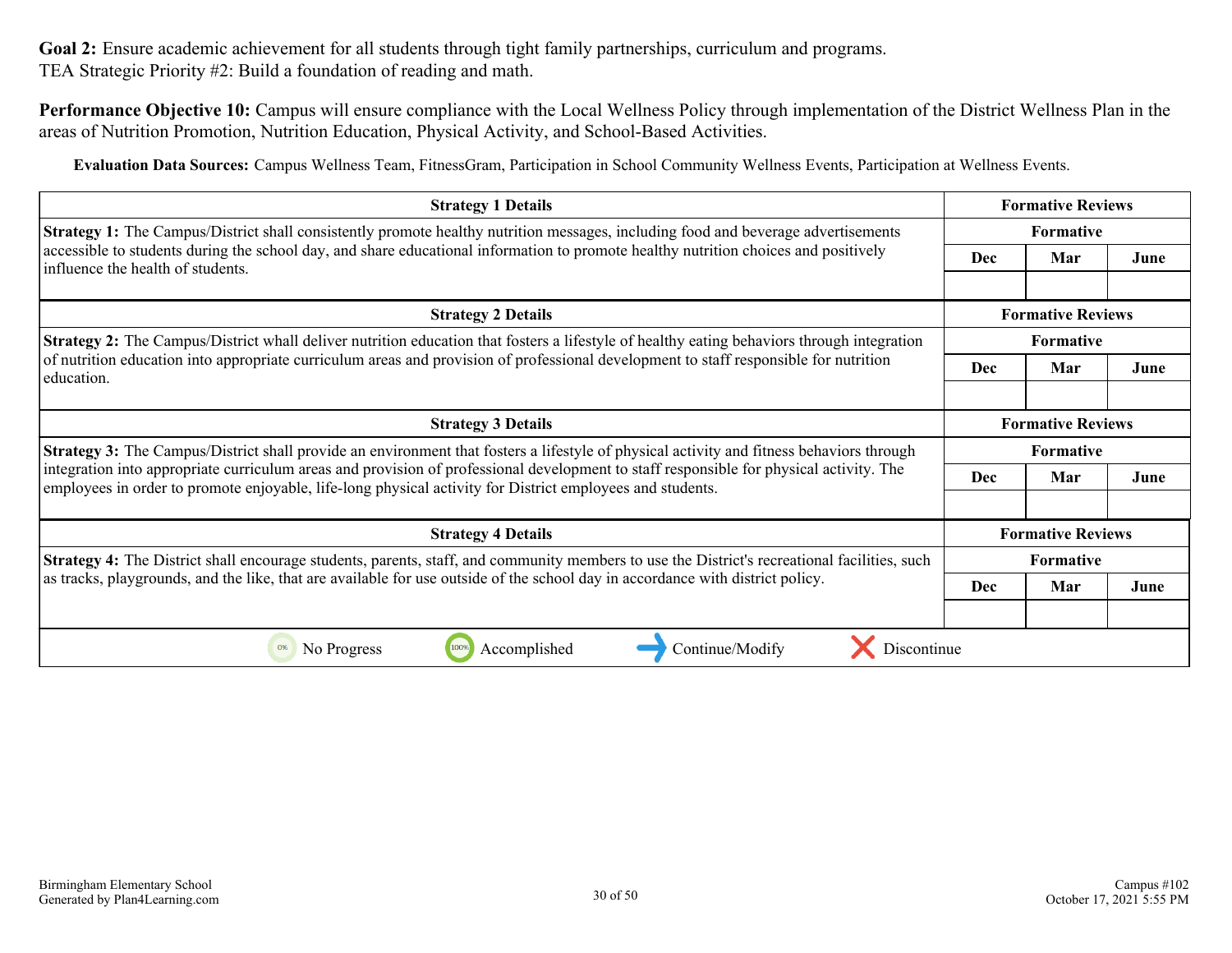**Performance Objective 10:** Campus will ensure compliance with the Local Wellness Policy through implementation of the District Wellness Plan in the areas of Nutrition Promotion, Nutrition Education, Physical Activity, and School-Based Activities.

**Evaluation Data Sources:** Campus Wellness Team, FitnessGram, Participation in School Community Wellness Events, Participation at Wellness Events.

| <b>Strategy 1 Details</b>                                                                                                                                                                                                                            |                                       | <b>Formative Reviews</b> |      |
|------------------------------------------------------------------------------------------------------------------------------------------------------------------------------------------------------------------------------------------------------|---------------------------------------|--------------------------|------|
| <b>Strategy 1:</b> The Campus/District shall consistently promote healthy nutrition messages, including food and beverage advertisements                                                                                                             | Formative                             |                          |      |
| accessible to students during the school day, and share educational information to promote healthy nutrition choices and positively<br>influence the health of students.                                                                             |                                       | Mar                      | June |
| <b>Strategy 2 Details</b>                                                                                                                                                                                                                            |                                       | <b>Formative Reviews</b> |      |
| <b>Strategy 2:</b> The Campus/District whall deliver nutrition education that fosters a lifestyle of healthy eating behaviors through integration                                                                                                    | <b>Formative</b>                      |                          |      |
| of nutrition education into appropriate curriculum areas and provision of professional development to staff responsible for nutrition<br>education.                                                                                                  | <b>Dec</b>                            | Mar                      | June |
|                                                                                                                                                                                                                                                      |                                       |                          |      |
| <b>Strategy 3 Details</b>                                                                                                                                                                                                                            | <b>Formative Reviews</b>              |                          |      |
| Strategy 3: The Campus/District shall provide an environment that fosters a lifestyle of physical activity and fitness behaviors through                                                                                                             | <b>Formative</b><br><b>Dec</b><br>Mar |                          |      |
| integration into appropriate curriculum areas and provision of professional development to staff responsible for physical activity. The<br>employees in order to promote enjoyable, life-long physical activity for District employees and students. |                                       |                          | June |
|                                                                                                                                                                                                                                                      |                                       |                          |      |
| <b>Strategy 4 Details</b>                                                                                                                                                                                                                            |                                       | <b>Formative Reviews</b> |      |
| Strategy 4: The District shall encourage students, parents, staff, and community members to use the District's recreational facilities, such                                                                                                         | Formative                             |                          |      |
| as tracks, playgrounds, and the like, that are available for use outside of the school day in accordance with district policy.                                                                                                                       | Dec                                   | Mar                      | June |
|                                                                                                                                                                                                                                                      |                                       |                          |      |
| Continue/Modify<br>Discontinue<br>No Progress<br>Accomplished<br>0%                                                                                                                                                                                  |                                       |                          |      |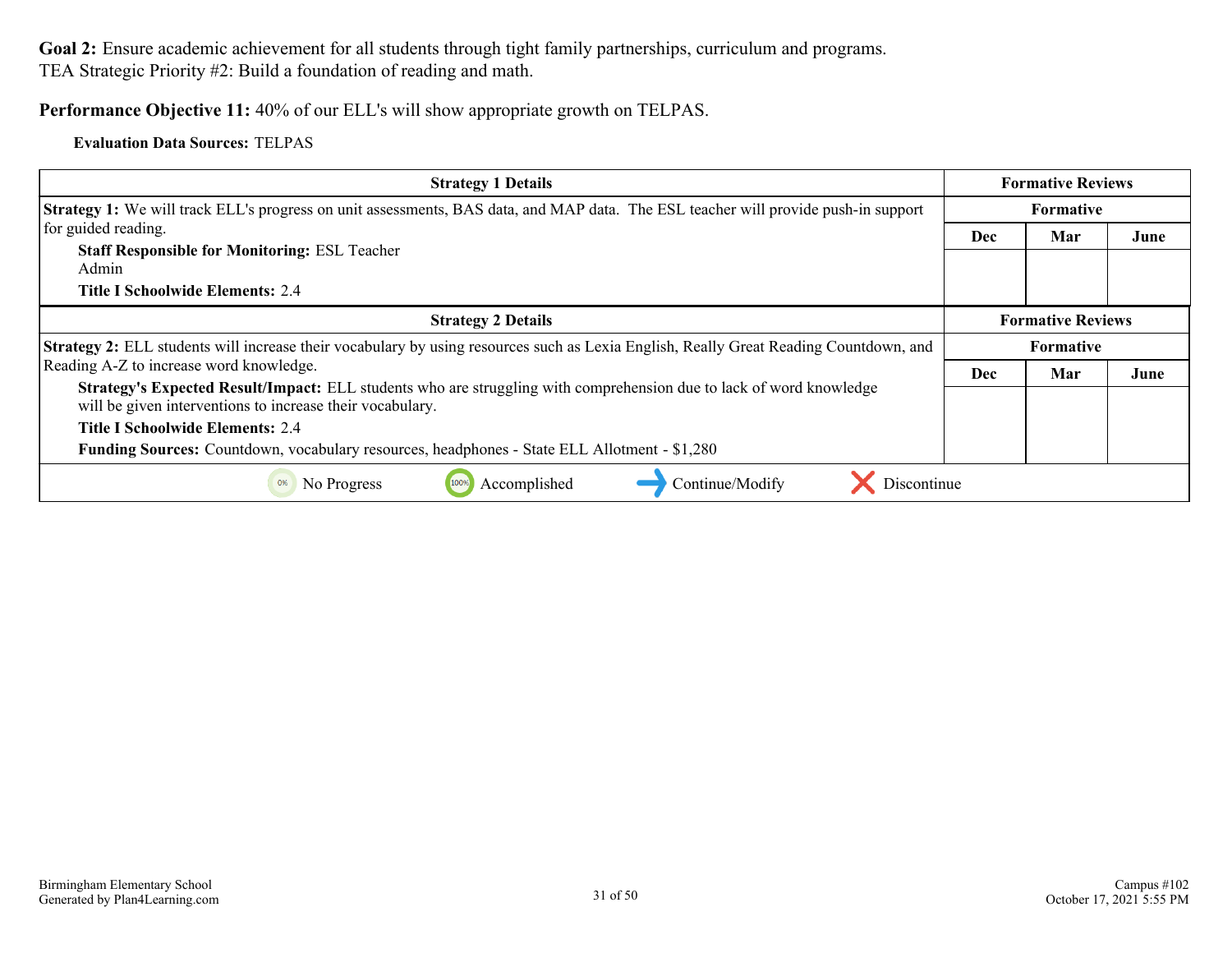#### **Performance Objective 11:** 40% of our ELL's will show appropriate growth on TELPAS.

#### **Evaluation Data Sources:** TELPAS

| <b>Strategy 1 Details</b>                                                                                                                                                        | <b>Formative Reviews</b> |                          |      |
|----------------------------------------------------------------------------------------------------------------------------------------------------------------------------------|--------------------------|--------------------------|------|
| <b>Strategy 1:</b> We will track ELL's progress on unit assessments, BAS data, and MAP data. The ESL teacher will provide push-in support                                        | <b>Formative</b>         |                          |      |
| for guided reading.                                                                                                                                                              | <b>Dec</b>               | Mar                      | June |
| <b>Staff Responsible for Monitoring: ESL Teacher</b>                                                                                                                             |                          |                          |      |
| Admin                                                                                                                                                                            |                          |                          |      |
| Title I Schoolwide Elements: 2.4                                                                                                                                                 |                          |                          |      |
| <b>Strategy 2 Details</b>                                                                                                                                                        |                          | <b>Formative Reviews</b> |      |
| Strategy 2: ELL students will increase their vocabulary by using resources such as Lexia English, Really Great Reading Countdown, and                                            | <b>Formative</b>         |                          |      |
| Reading A-Z to increase word knowledge.                                                                                                                                          | <b>Dec</b>               | Mar                      | June |
| Strategy's Expected Result/Impact: ELL students who are struggling with comprehension due to lack of word knowledge<br>will be given interventions to increase their vocabulary. |                          |                          |      |
| Title I Schoolwide Elements: 2.4                                                                                                                                                 |                          |                          |      |
| <b>Funding Sources:</b> Countdown, vocabulary resources, headphones - State ELL Allotment - \$1,280                                                                              |                          |                          |      |
| Accomplished<br>Continue/Modify<br>Discontinue<br>No Progress<br>0%                                                                                                              |                          |                          |      |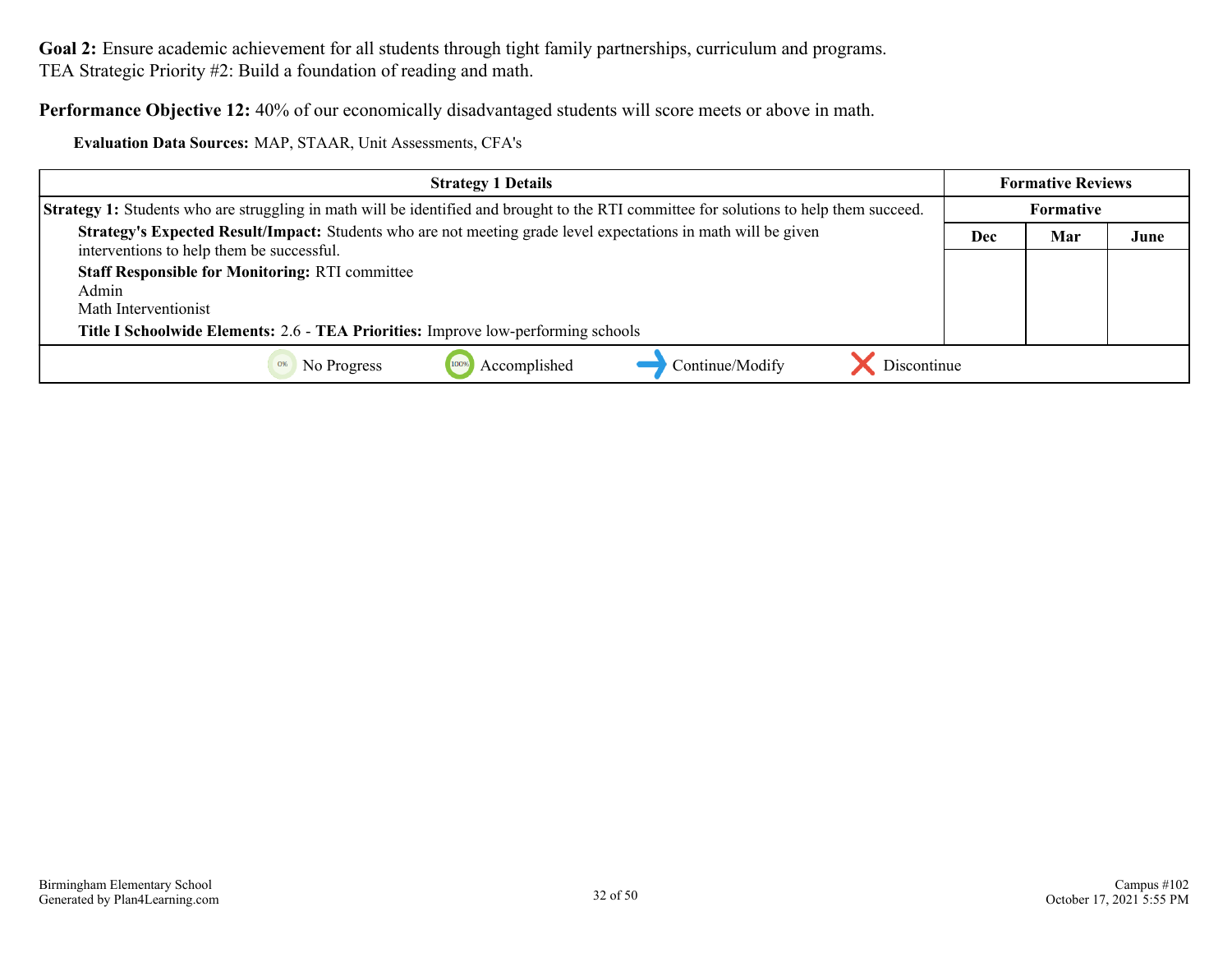**Performance Objective 12:** 40% of our economically disadvantaged students will score meets or above in math.

| Evaluation Data Sources: MAP, STAAR, Unit Assessments, CFA's |  |
|--------------------------------------------------------------|--|
|--------------------------------------------------------------|--|

| <b>Strategy 1 Details</b>                                                                                                                                                    |     | <b>Formative Reviews</b> |      |
|------------------------------------------------------------------------------------------------------------------------------------------------------------------------------|-----|--------------------------|------|
| <b>Strategy 1:</b> Students who are struggling in math will be identified and brought to the RTI committee for solutions to help them succeed.                               |     | Formative                |      |
| Strategy's Expected Result/Impact: Students who are not meeting grade level expectations in math will be given<br>interventions to help them be successful.                  | Dec | Mar                      | June |
| <b>Staff Responsible for Monitoring: RTI committee</b><br>Admin<br>Math Interventionist<br>Title I Schoolwide Elements: 2.6 - TEA Priorities: Improve low-performing schools |     |                          |      |
| Discontinue<br>Continue/Modify<br>Accomplished<br>No Progress<br>0%                                                                                                          |     |                          |      |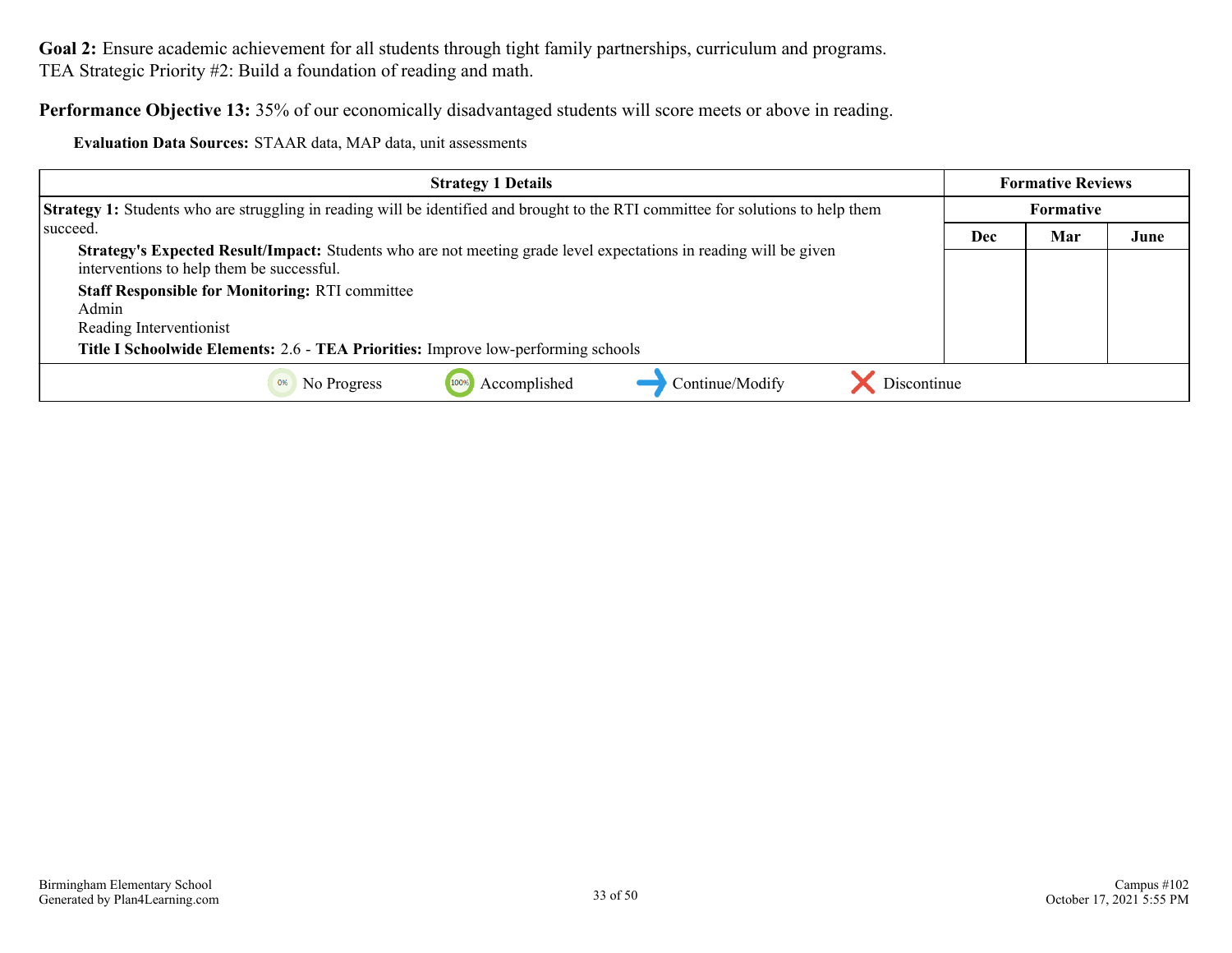**Performance Objective 13:** 35% of our economically disadvantaged students will score meets or above in reading.

**Evaluation Data Sources:** STAAR data, MAP data, unit assessments

| <b>Strategy 1 Details</b>                                                                                                                                      |     | <b>Formative Reviews</b> |      |
|----------------------------------------------------------------------------------------------------------------------------------------------------------------|-----|--------------------------|------|
| Strategy 1: Students who are struggling in reading will be identified and brought to the RTI committee for solutions to help them                              |     | <b>Formative</b>         |      |
| succeed.                                                                                                                                                       | Dec | Mar                      | June |
| Strategy's Expected Result/Impact: Students who are not meeting grade level expectations in reading will be given<br>interventions to help them be successful. |     |                          |      |
| <b>Staff Responsible for Monitoring: RTI committee</b>                                                                                                         |     |                          |      |
| Admin                                                                                                                                                          |     |                          |      |
| Reading Interventionist                                                                                                                                        |     |                          |      |
| Title I Schoolwide Elements: 2.6 - TEA Priorities: Improve low-performing schools                                                                              |     |                          |      |
| Continue/Modify<br>Discontinue<br>Accomplished<br>No Progress                                                                                                  |     |                          |      |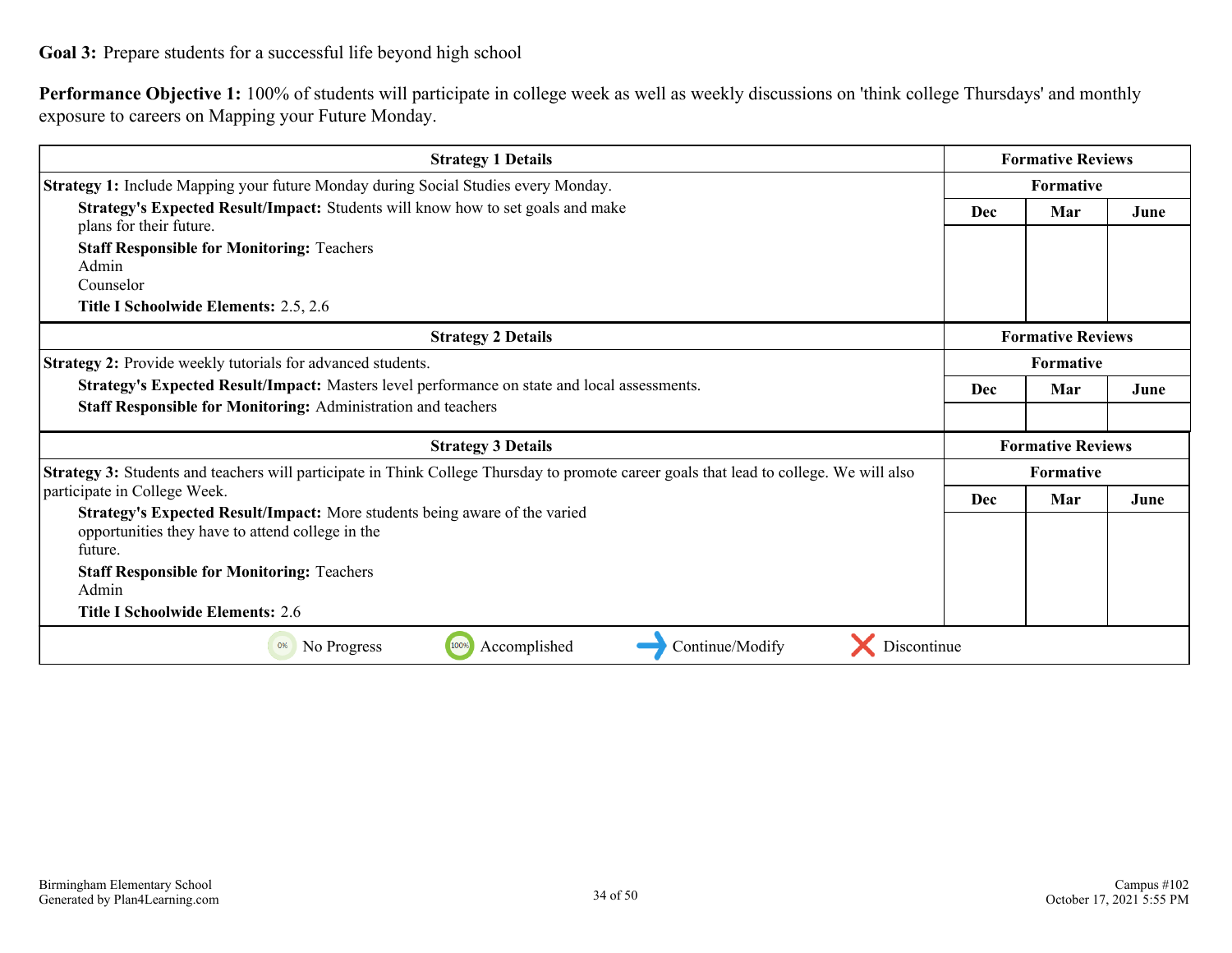<span id="page-33-0"></span>**Performance Objective 1:** 100% of students will participate in college week as well as weekly discussions on 'think college Thursdays' and monthly exposure to careers on Mapping your Future Monday.

| <b>Strategy 1 Details</b>                                                                                                               |                  | <b>Formative Reviews</b> |      |
|-----------------------------------------------------------------------------------------------------------------------------------------|------------------|--------------------------|------|
| Strategy 1: Include Mapping your future Monday during Social Studies every Monday.                                                      | <b>Formative</b> |                          |      |
| Strategy's Expected Result/Impact: Students will know how to set goals and make<br>plans for their future.                              | Dec              | Mar                      | June |
| <b>Staff Responsible for Monitoring: Teachers</b>                                                                                       |                  |                          |      |
| Admin                                                                                                                                   |                  |                          |      |
| Counselor                                                                                                                               |                  |                          |      |
| Title I Schoolwide Elements: 2.5, 2.6                                                                                                   |                  |                          |      |
| <b>Strategy 2 Details</b>                                                                                                               |                  | <b>Formative Reviews</b> |      |
| Strategy 2: Provide weekly tutorials for advanced students.                                                                             |                  | <b>Formative</b>         |      |
| Strategy's Expected Result/Impact: Masters level performance on state and local assessments.                                            | Dec              | Mar                      | June |
| <b>Staff Responsible for Monitoring: Administration and teachers</b>                                                                    |                  |                          |      |
| <b>Strategy 3 Details</b>                                                                                                               |                  | <b>Formative Reviews</b> |      |
| Strategy 3: Students and teachers will participate in Think College Thursday to promote career goals that lead to college. We will also |                  | <b>Formative</b>         |      |
| participate in College Week.                                                                                                            | Dec              | Mar                      | June |
| Strategy's Expected Result/Impact: More students being aware of the varied<br>opportunities they have to attend college in the          |                  |                          |      |
| future.                                                                                                                                 |                  |                          |      |
| <b>Staff Responsible for Monitoring: Teachers</b>                                                                                       |                  |                          |      |
| Admin                                                                                                                                   |                  |                          |      |
| <b>Title I Schoolwide Elements: 2.6</b>                                                                                                 |                  |                          |      |
| Continue/Modify<br>Accomplished<br>Discontinue<br>0%<br>No Progress<br>100%                                                             |                  |                          |      |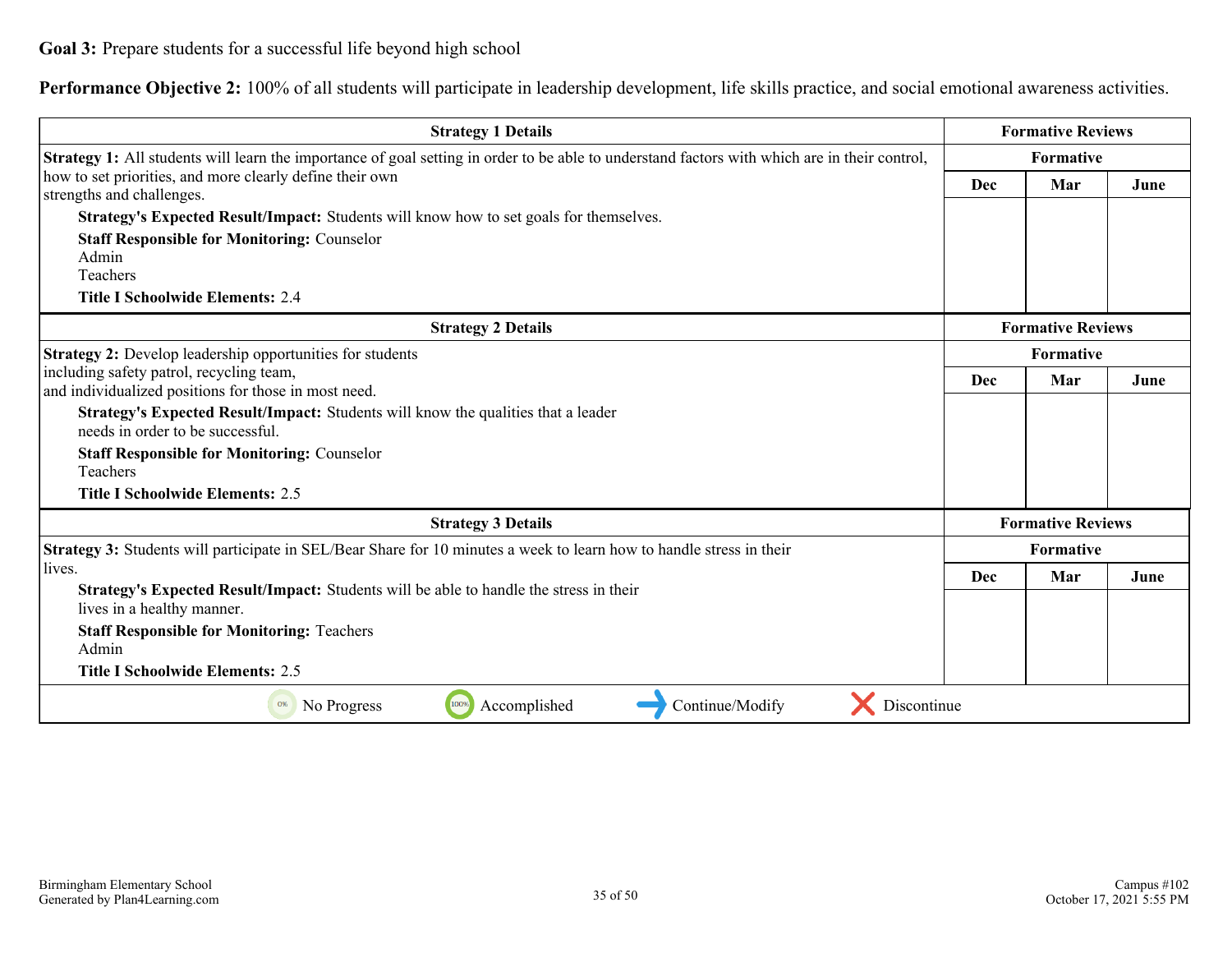**Performance Objective 2:** 100% of all students will participate in leadership development, life skills practice, and social emotional awareness activities.

| <b>Strategy 1 Details</b>                                                                                                                     |           | <b>Formative Reviews</b> |      |
|-----------------------------------------------------------------------------------------------------------------------------------------------|-----------|--------------------------|------|
| Strategy 1: All students will learn the importance of goal setting in order to be able to understand factors with which are in their control, |           | Formative                |      |
| how to set priorities, and more clearly define their own<br>strengths and challenges.                                                         | Dec       | Mar                      | June |
| Strategy's Expected Result/Impact: Students will know how to set goals for themselves.                                                        |           |                          |      |
| <b>Staff Responsible for Monitoring: Counselor</b>                                                                                            |           |                          |      |
| Admin                                                                                                                                         |           |                          |      |
| Teachers                                                                                                                                      |           |                          |      |
| <b>Title I Schoolwide Elements: 2.4</b>                                                                                                       |           |                          |      |
| <b>Strategy 2 Details</b>                                                                                                                     |           | <b>Formative Reviews</b> |      |
| Strategy 2: Develop leadership opportunities for students                                                                                     | Formative |                          |      |
| including safety patrol, recycling team,                                                                                                      | Dec       | Mar                      | June |
| and individualized positions for those in most need.                                                                                          |           |                          |      |
| Strategy's Expected Result/Impact: Students will know the qualities that a leader<br>needs in order to be successful.                         |           |                          |      |
| <b>Staff Responsible for Monitoring: Counselor</b><br>Teachers                                                                                |           |                          |      |
| <b>Title I Schoolwide Elements: 2.5</b>                                                                                                       |           |                          |      |
| <b>Strategy 3 Details</b>                                                                                                                     |           | <b>Formative Reviews</b> |      |
| Strategy 3: Students will participate in SEL/Bear Share for 10 minutes a week to learn how to handle stress in their                          |           | Formative                |      |
| lives.                                                                                                                                        | Dec       | Mar                      | June |
| Strategy's Expected Result/Impact: Students will be able to handle the stress in their<br>lives in a healthy manner.                          |           |                          |      |
| <b>Staff Responsible for Monitoring: Teachers</b><br>Admin                                                                                    |           |                          |      |
| <b>Title I Schoolwide Elements: 2.5</b>                                                                                                       |           |                          |      |
| Continue/Modify<br>Discontinue<br>100%<br>Accomplished<br>0%<br>No Progress                                                                   |           |                          |      |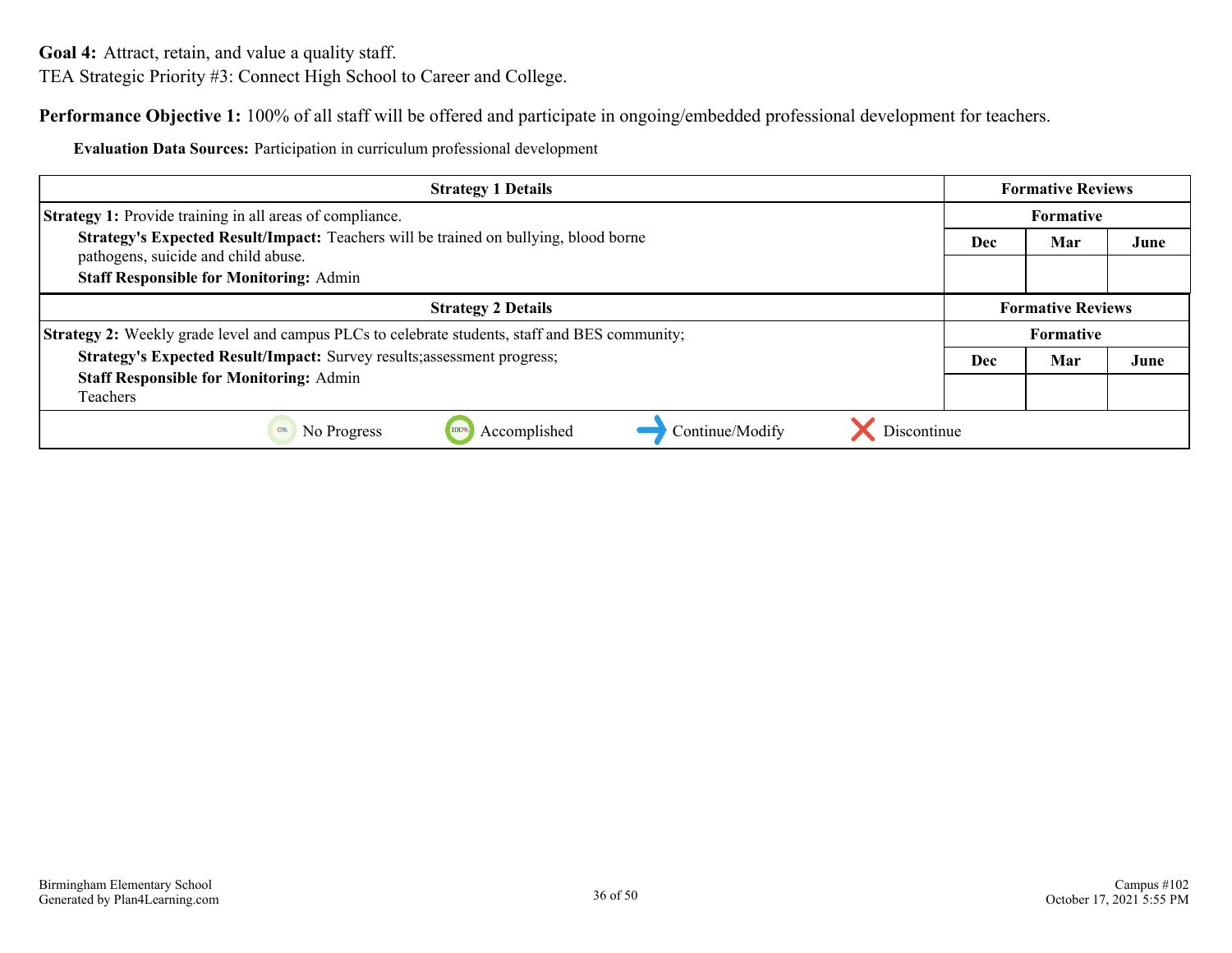<span id="page-35-0"></span>**Goal 4:** Attract, retain, and value a quality staff.

TEA Strategic Priority #3: Connect High School to Career and College.

**Performance Objective 1:** 100% of all staff will be offered and participate in ongoing/embedded professional development for teachers.

**Evaluation Data Sources:** Participation in curriculum professional development

| <b>Strategy 1 Details</b>                                                                                                   | <b>Formative Reviews</b> |                          |      |
|-----------------------------------------------------------------------------------------------------------------------------|--------------------------|--------------------------|------|
| <b>Strategy 1:</b> Provide training in all areas of compliance.                                                             | <b>Formative</b>         |                          |      |
| Strategy's Expected Result/Impact: Teachers will be trained on bullying, blood borne<br>pathogens, suicide and child abuse. | Dec                      | Mar                      | June |
| <b>Staff Responsible for Monitoring: Admin</b>                                                                              |                          |                          |      |
| <b>Strategy 2 Details</b>                                                                                                   |                          | <b>Formative Reviews</b> |      |
| Strategy 2: Weekly grade level and campus PLCs to celebrate students, staff and BES community;                              |                          | <b>Formative</b>         |      |
| Strategy's Expected Result/Impact: Survey results; assessment progress;                                                     | <b>Dec</b>               | Mar                      | June |
| <b>Staff Responsible for Monitoring: Admin</b>                                                                              |                          |                          |      |
| <b>Teachers</b>                                                                                                             |                          |                          |      |
| Discontinue<br>Accomplished<br>Continue/Modify<br>100%<br>0%<br>No Progress                                                 |                          |                          |      |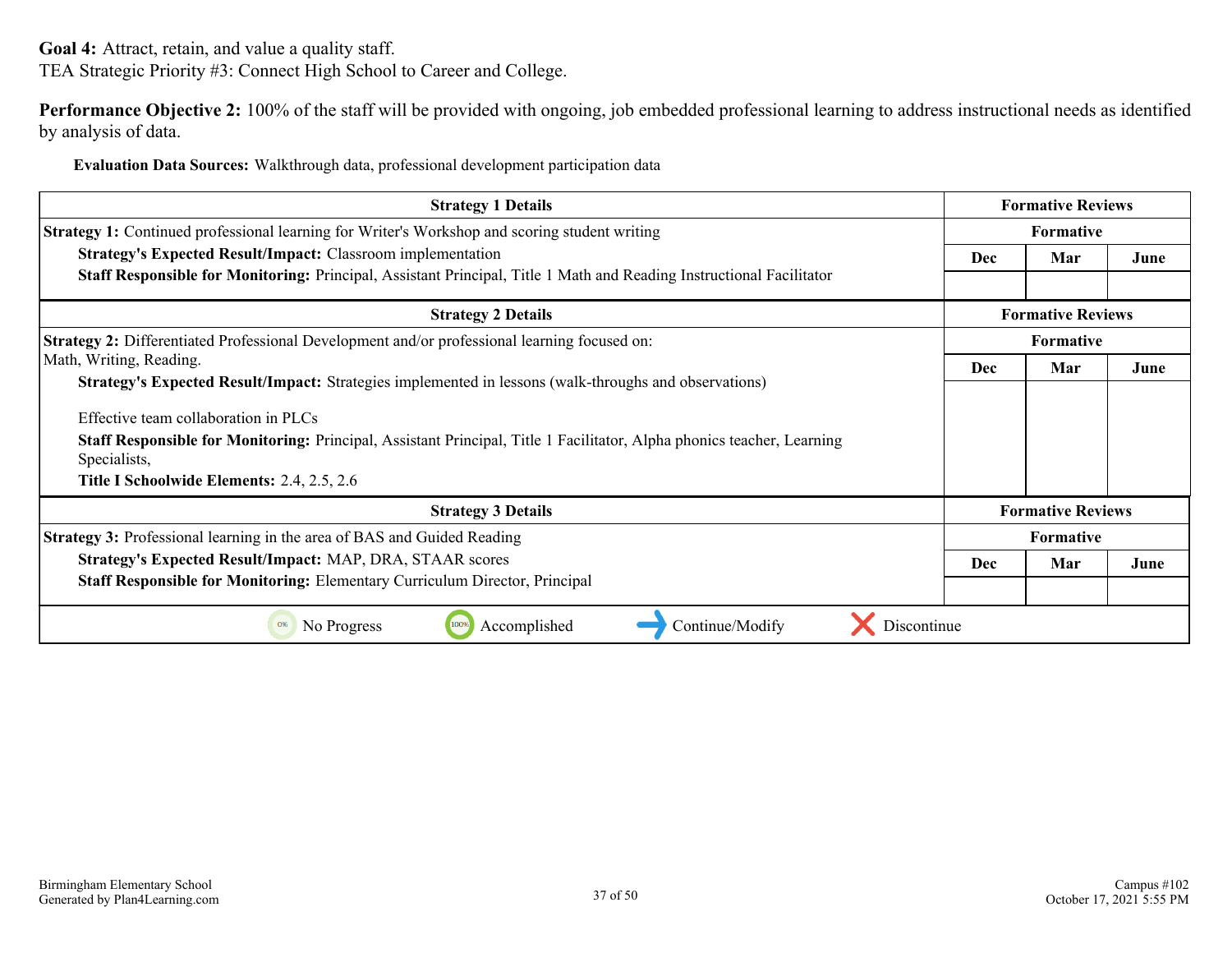**Goal 4:** Attract, retain, and value a quality staff. TEA Strategic Priority #3: Connect High School to Career and College.

**Performance Objective 2:** 100% of the staff will be provided with ongoing, job embedded professional learning to address instructional needs as identified by analysis of data.

**Evaluation Data Sources:** Walkthrough data, professional development participation data

| <b>Strategy 1 Details</b>                                                                                                              |                  | <b>Formative Reviews</b> |      |
|----------------------------------------------------------------------------------------------------------------------------------------|------------------|--------------------------|------|
| <b>Strategy 1:</b> Continued professional learning for Writer's Workshop and scoring student writing                                   | <b>Formative</b> |                          |      |
| <b>Strategy's Expected Result/Impact: Classroom implementation</b>                                                                     | <b>Dec</b>       | Mar                      | June |
| <b>Staff Responsible for Monitoring:</b> Principal, Assistant Principal, Title 1 Math and Reading Instructional Facilitator            |                  |                          |      |
| <b>Strategy 2 Details</b>                                                                                                              |                  | <b>Formative Reviews</b> |      |
| Strategy 2: Differentiated Professional Development and/or professional learning focused on:                                           |                  | <b>Formative</b>         |      |
| Math, Writing, Reading.                                                                                                                | <b>Dec</b>       | Mar                      | June |
| <b>Strategy's Expected Result/Impact:</b> Strategies implemented in lessons (walk-throughs and observations)                           |                  |                          |      |
| Effective team collaboration in PLCs                                                                                                   |                  |                          |      |
| Staff Responsible for Monitoring: Principal, Assistant Principal, Title 1 Facilitator, Alpha phonics teacher, Learning<br>Specialists, |                  |                          |      |
| Title I Schoolwide Elements: 2.4, 2.5, 2.6                                                                                             |                  |                          |      |
| <b>Strategy 3 Details</b>                                                                                                              |                  | <b>Formative Reviews</b> |      |
| <b>Strategy 3:</b> Professional learning in the area of BAS and Guided Reading                                                         |                  | <b>Formative</b>         |      |
| Strategy's Expected Result/Impact: MAP, DRA, STAAR scores                                                                              | <b>Dec</b>       | Mar                      | June |
| Staff Responsible for Monitoring: Elementary Curriculum Director, Principal                                                            |                  |                          |      |
| Discontinue<br>Accomplished<br>No Progress<br>Continue/Modify<br>0%<br>100%                                                            |                  |                          |      |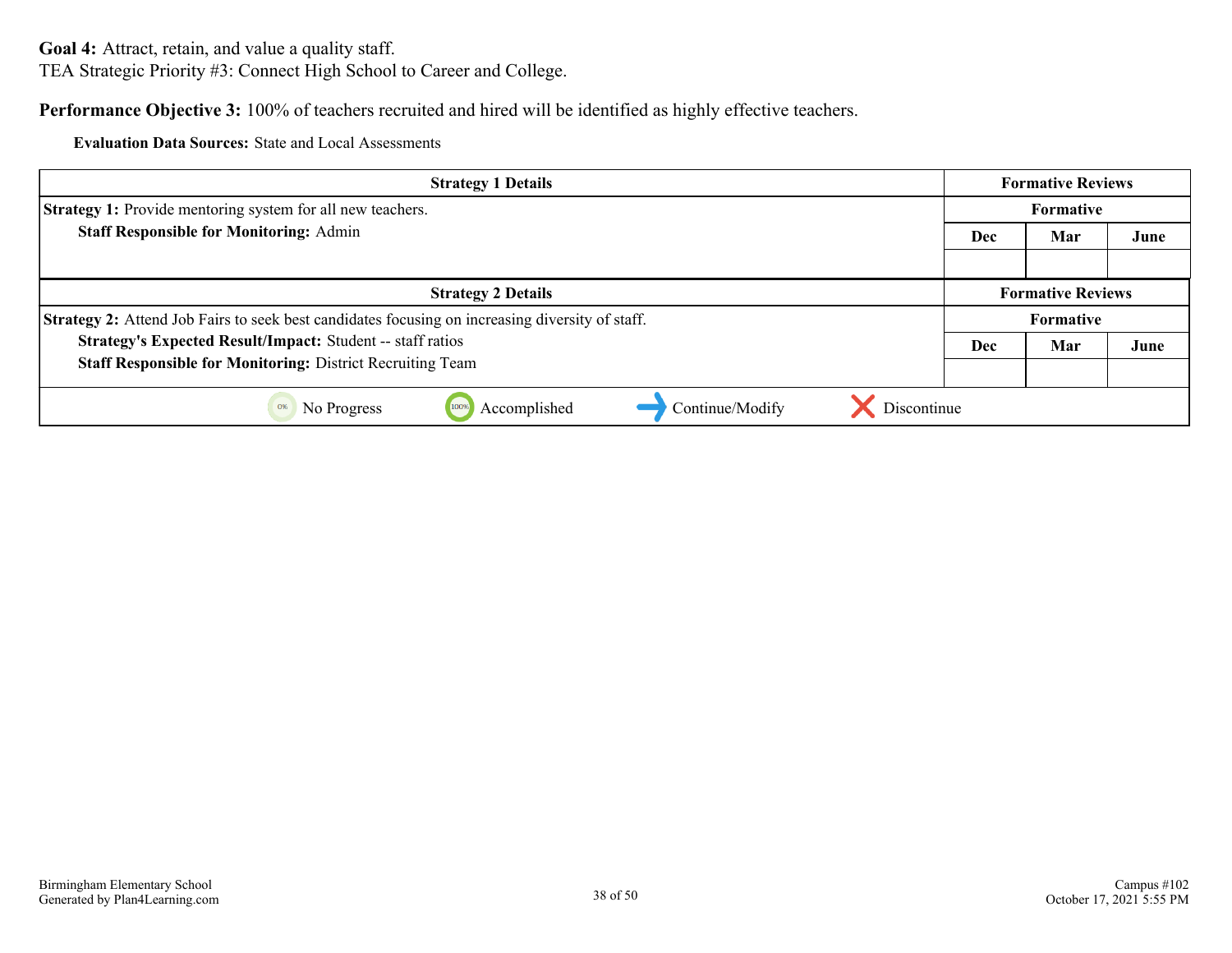#### **Performance Objective 3:** 100% of teachers recruited and hired will be identified as highly effective teachers.

**Evaluation Data Sources:** State and Local Assessments

| <b>Strategy 1 Details</b>                                                                              | <b>Formative Reviews</b> |                          |      |
|--------------------------------------------------------------------------------------------------------|--------------------------|--------------------------|------|
| <b>Strategy 1:</b> Provide mentoring system for all new teachers.                                      |                          | Formative                |      |
| <b>Staff Responsible for Monitoring: Admin</b>                                                         | <b>Dec</b><br>Mar        |                          | June |
|                                                                                                        |                          |                          |      |
| <b>Strategy 2 Details</b>                                                                              |                          | <b>Formative Reviews</b> |      |
| <b>Strategy 2:</b> Attend Job Fairs to seek best candidates focusing on increasing diversity of staff. |                          | <b>Formative</b>         |      |
| Strategy's Expected Result/Impact: Student -- staff ratios                                             | <b>Dec</b>               | Mar                      | June |
| <b>Staff Responsible for Monitoring: District Recruiting Team</b>                                      |                          |                          |      |
| Discontinue<br>Accomplished<br>Continue/Modify<br>No Progress<br>100%                                  |                          |                          |      |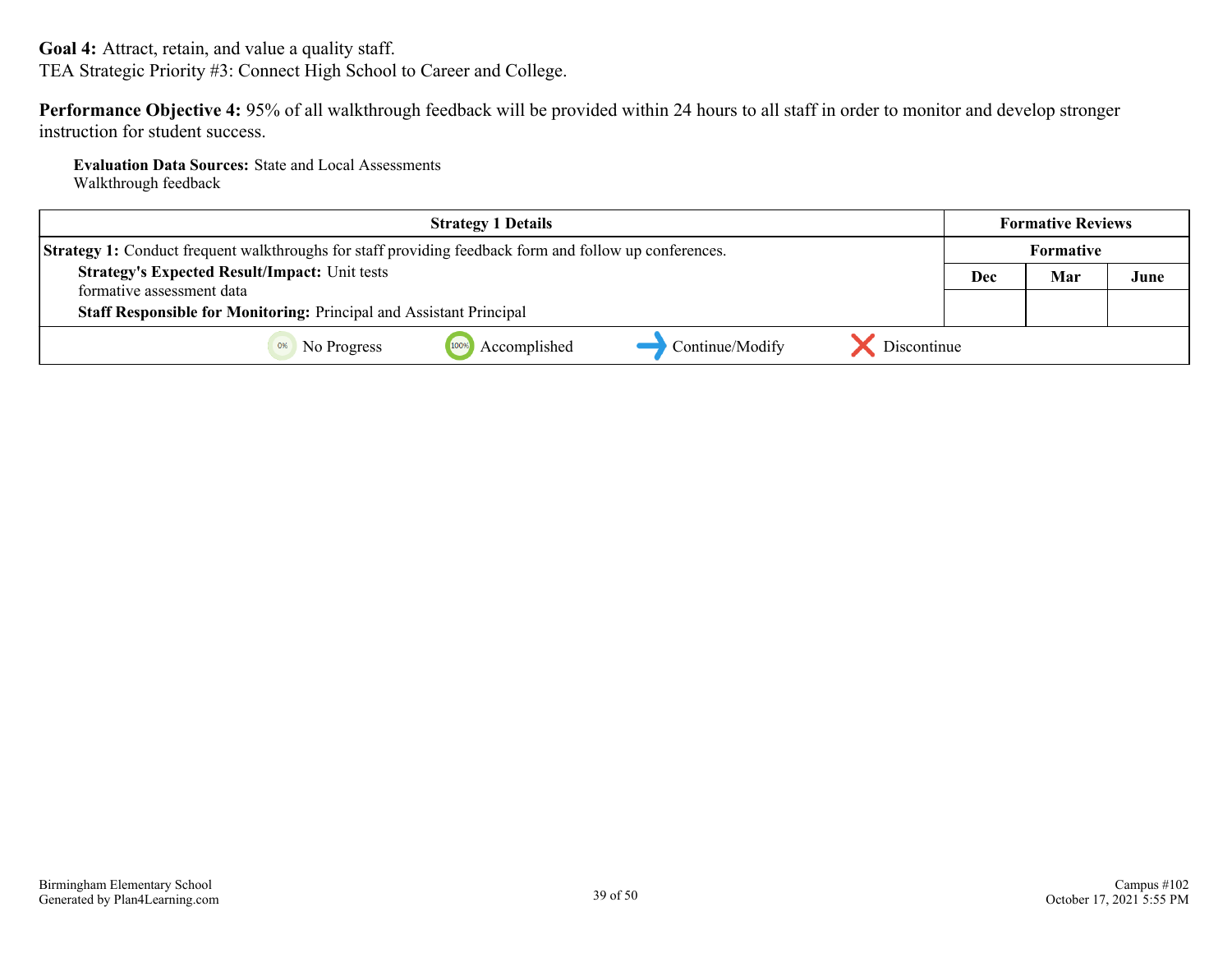**Goal 4:** Attract, retain, and value a quality staff. TEA Strategic Priority #3: Connect High School to Career and College.

**Performance Objective 4:** 95% of all walkthrough feedback will be provided within 24 hours to all staff in order to monitor and develop stronger instruction for student success.

**Evaluation Data Sources:** State and Local Assessments Walkthrough feedback

| <b>Strategy 1 Details</b>                                                                                     |             |     | <b>Formative Reviews</b> |      |
|---------------------------------------------------------------------------------------------------------------|-------------|-----|--------------------------|------|
| <b>Strategy 1:</b> Conduct frequent walkthroughs for staff providing feedback form and follow up conferences. |             |     | <b>Formative</b>         |      |
| <b>Strategy's Expected Result/Impact: Unit tests</b><br>formative assessment data                             |             | Dec | Mar                      | June |
| <b>Staff Responsible for Monitoring: Principal and Assistant Principal</b>                                    |             |     |                          |      |
| 100%<br>Accomplished<br>Continue/Modify<br>No Progress                                                        | Discontinue |     |                          |      |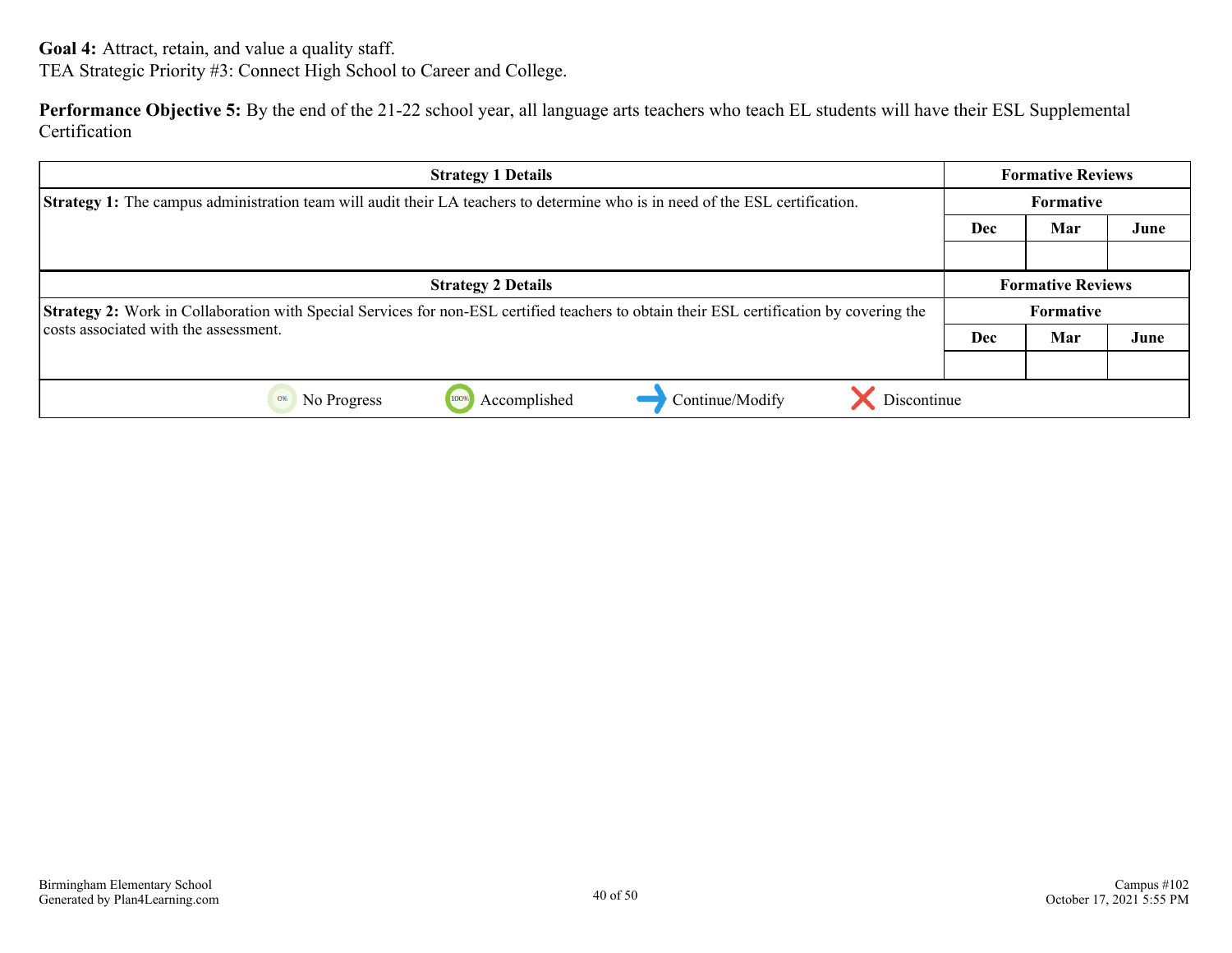**Goal 4:** Attract, retain, and value a quality staff. TEA Strategic Priority #3: Connect High School to Career and College.

**Performance Objective 5:** By the end of the 21-22 school year, all language arts teachers who teach EL students will have their ESL Supplemental **Certification** 

| <b>Strategy 1 Details</b>                                                                                                                |                  | <b>Formative Reviews</b> |      |
|------------------------------------------------------------------------------------------------------------------------------------------|------------------|--------------------------|------|
| <b>Strategy 1:</b> The campus administration team will audit their LA teachers to determine who is in need of the ESL certification.     | <b>Formative</b> |                          |      |
|                                                                                                                                          | Dec              | Mar                      | June |
|                                                                                                                                          |                  |                          |      |
| <b>Strategy 2 Details</b>                                                                                                                |                  | <b>Formative Reviews</b> |      |
| Strategy 2: Work in Collaboration with Special Services for non-ESL certified teachers to obtain their ESL certification by covering the |                  | Formative                |      |
| costs associated with the assessment.                                                                                                    | Dec              | Mar                      | June |
|                                                                                                                                          |                  |                          |      |
| Discontinue<br>Accomplished<br>Continue/Modify<br>No Progress<br>100%<br>0%                                                              |                  |                          |      |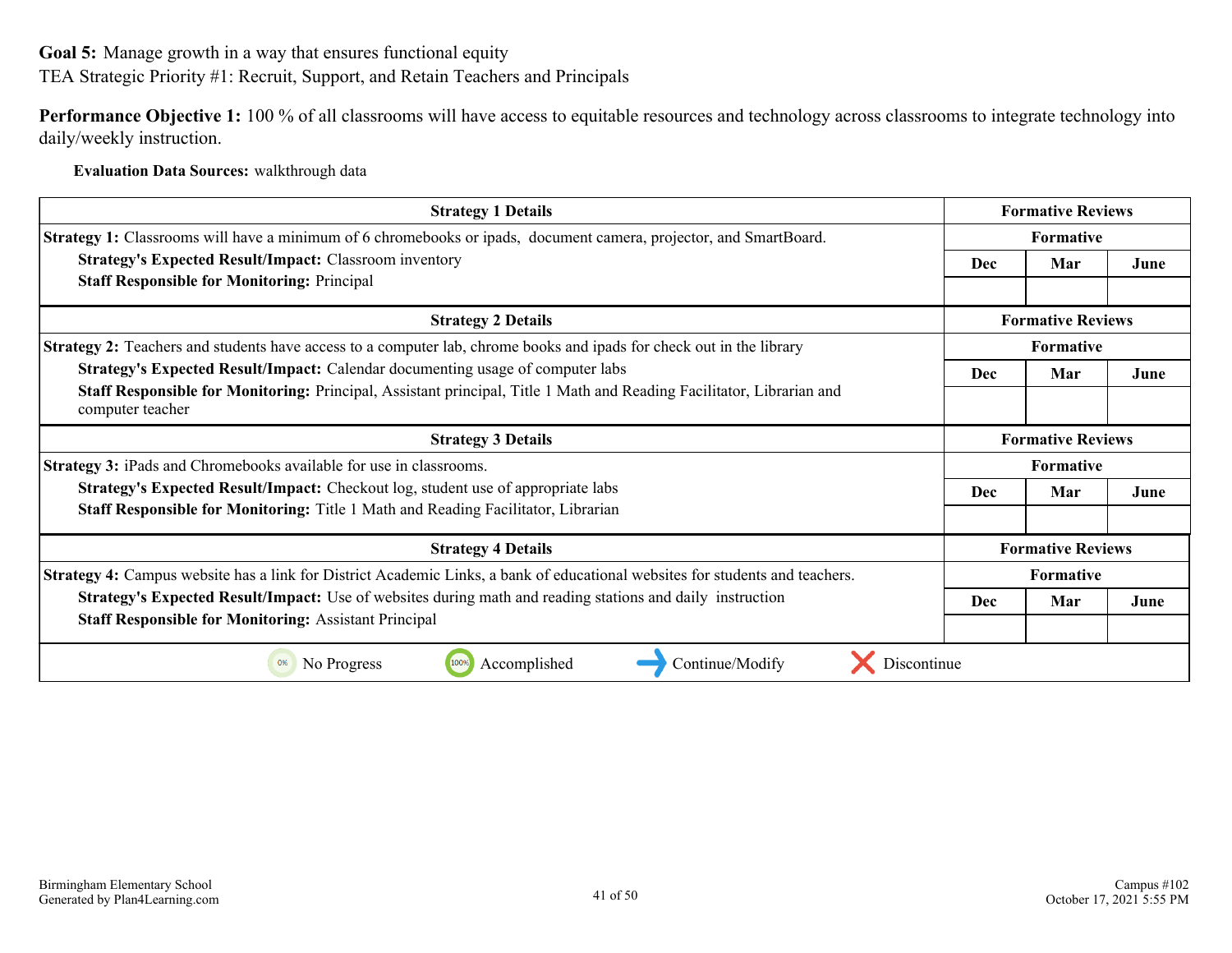<span id="page-40-0"></span>**Goal 5:** Manage growth in a way that ensures functional equity

TEA Strategic Priority #1: Recruit, Support, and Retain Teachers and Principals

**Performance Objective 1:** 100 % of all classrooms will have access to equitable resources and technology across classrooms to integrate technology into daily/weekly instruction.

**Evaluation Data Sources:** walkthrough data

| <b>Strategy 1 Details</b>                                                                                                                 | <b>Formative Reviews</b> |                          |      |
|-------------------------------------------------------------------------------------------------------------------------------------------|--------------------------|--------------------------|------|
| <b>Strategy 1:</b> Classrooms will have a minimum of 6 chromebooks or ipads, document camera, projector, and SmartBoard.                  | <b>Formative</b>         |                          |      |
| <b>Strategy's Expected Result/Impact: Classroom inventory</b>                                                                             | Dec                      | Mar                      | June |
| <b>Staff Responsible for Monitoring: Principal</b>                                                                                        |                          |                          |      |
| <b>Strategy 2 Details</b>                                                                                                                 | <b>Formative Reviews</b> |                          |      |
| <b>Strategy 2:</b> Teachers and students have access to a computer lab, chrome books and ipads for check out in the library               |                          | <b>Formative</b>         |      |
| <b>Strategy's Expected Result/Impact:</b> Calendar documenting usage of computer labs                                                     | Dec                      | Mar                      | June |
| Staff Responsible for Monitoring: Principal, Assistant principal, Title 1 Math and Reading Facilitator, Librarian and<br>computer teacher |                          |                          |      |
| <b>Strategy 3 Details</b>                                                                                                                 | <b>Formative Reviews</b> |                          |      |
| <b>Strategy 3: iPads and Chromebooks available for use in classrooms.</b>                                                                 | <b>Formative</b>         |                          |      |
| <b>Strategy's Expected Result/Impact:</b> Checkout log, student use of appropriate labs                                                   | Dec                      | Mar                      | June |
| <b>Staff Responsible for Monitoring:</b> Title 1 Math and Reading Facilitator, Librarian                                                  |                          |                          |      |
| <b>Strategy 4 Details</b>                                                                                                                 |                          | <b>Formative Reviews</b> |      |
| Strategy 4: Campus website has a link for District Academic Links, a bank of educational websites for students and teachers.              | <b>Formative</b>         |                          |      |
| <b>Strategy's Expected Result/Impact:</b> Use of websites during math and reading stations and daily instruction                          | <b>Dec</b>               | Mar                      | June |
| <b>Staff Responsible for Monitoring: Assistant Principal</b>                                                                              |                          |                          |      |
| Discontinue<br>100%<br>Accomplished<br>Continue/Modify<br>No Progress                                                                     |                          |                          |      |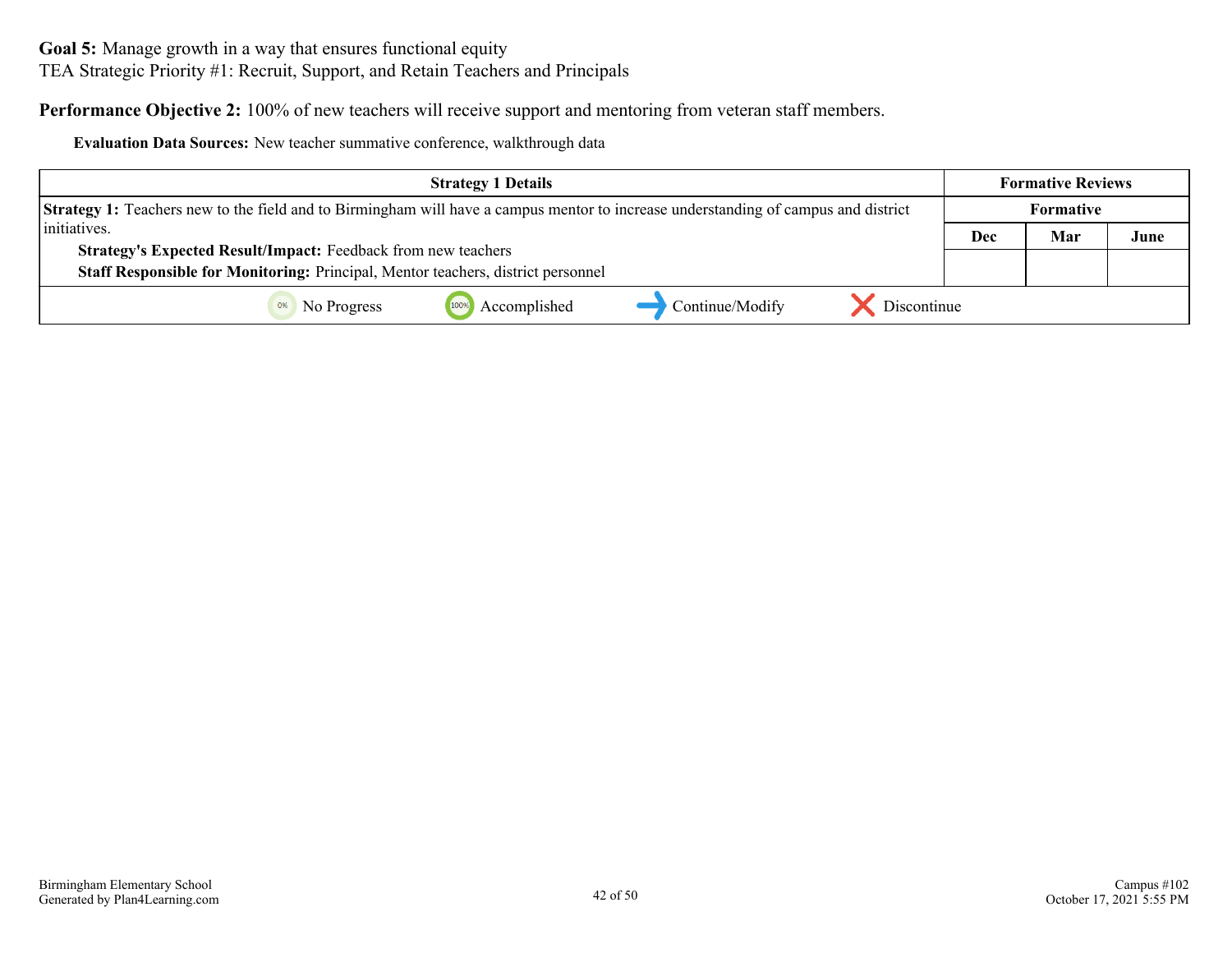**Goal 5:** Manage growth in a way that ensures functional equity TEA Strategic Priority #1: Recruit, Support, and Retain Teachers and Principals

**Performance Objective 2:** 100% of new teachers will receive support and mentoring from veteran staff members.

**Evaluation Data Sources:** New teacher summative conference, walkthrough data

| <b>Strategy 1 Details</b>                                                                                                                 |     | <b>Formative Reviews</b> |      |
|-------------------------------------------------------------------------------------------------------------------------------------------|-----|--------------------------|------|
| <b>Strategy 1:</b> Teachers new to the field and to Birmingham will have a campus mentor to increase understanding of campus and district |     | Formative                |      |
| initiatives.                                                                                                                              | Dec | Mar                      | June |
| <b>Strategy's Expected Result/Impact: Feedback from new teachers</b>                                                                      |     |                          |      |
| Staff Responsible for Monitoring: Principal, Mentor teachers, district personnel                                                          |     |                          |      |
| Discontinue<br>Accomplished<br>Continue/Modify<br>No Progress                                                                             |     |                          |      |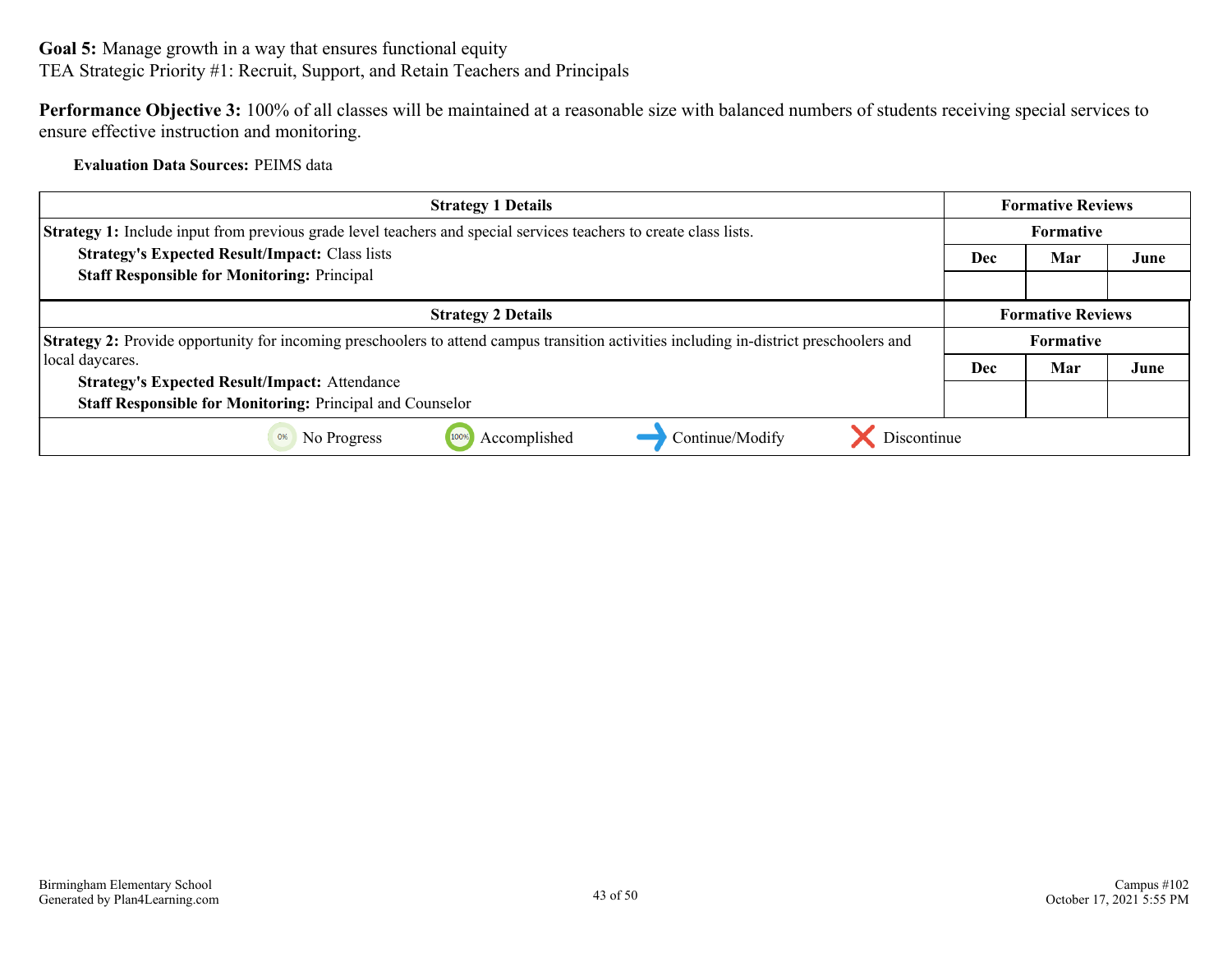**Goal 5:** Manage growth in a way that ensures functional equity TEA Strategic Priority #1: Recruit, Support, and Retain Teachers and Principals

**Performance Objective 3:** 100% of all classes will be maintained at a reasonable size with balanced numbers of students receiving special services to ensure effective instruction and monitoring.

**Evaluation Data Sources:** PEIMS data

| <b>Strategy 1 Details</b>                                                                                                                      |                  | <b>Formative Reviews</b> |      |
|------------------------------------------------------------------------------------------------------------------------------------------------|------------------|--------------------------|------|
| <b>Strategy 1:</b> Include input from previous grade level teachers and special services teachers to create class lists.                       | <b>Formative</b> |                          |      |
| <b>Strategy's Expected Result/Impact: Class lists</b>                                                                                          | <b>Dec</b>       | Mar                      | June |
| <b>Staff Responsible for Monitoring: Principal</b>                                                                                             |                  |                          |      |
| <b>Strategy 2 Details</b>                                                                                                                      |                  | <b>Formative Reviews</b> |      |
| <b>Strategy 2:</b> Provide opportunity for incoming preschoolers to attend campus transition activities including in-district preschoolers and | <b>Formative</b> |                          |      |
| local daycares.                                                                                                                                | <b>Dec</b>       | Mar                      | June |
| <b>Strategy's Expected Result/Impact: Attendance</b>                                                                                           |                  |                          |      |
| Staff Responsible for Monitoring: Principal and Counselor                                                                                      |                  |                          |      |
| Discontinue<br>Accomplished<br>Continue/Modify<br>No Progress<br>100%<br>0%                                                                    |                  |                          |      |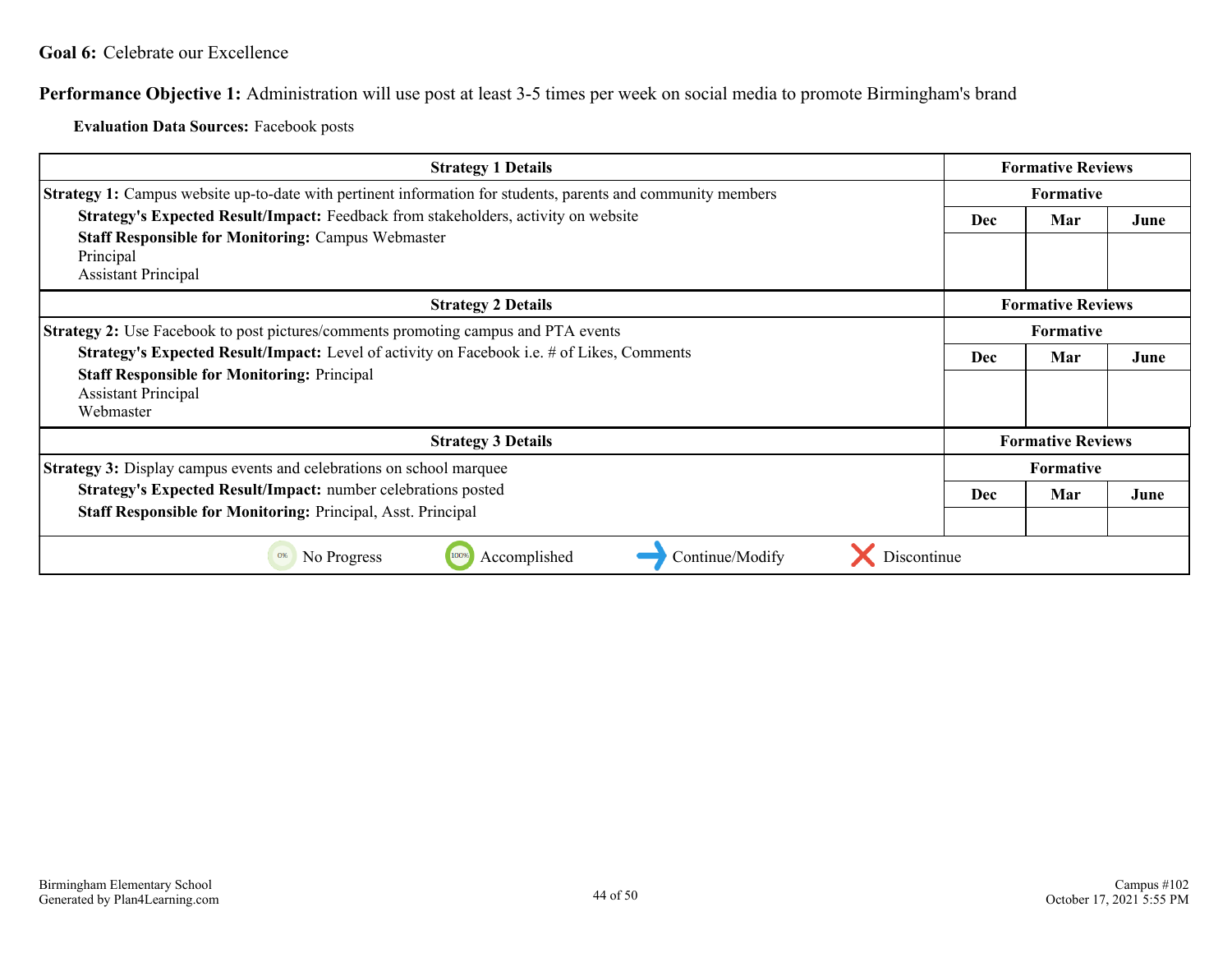<span id="page-43-0"></span>**Performance Objective 1:** Administration will use post at least 3-5 times per week on social media to promote Birmingham's brand

**Evaluation Data Sources:** Facebook posts

| <b>Strategy 1 Details</b>                                                                                                                                                                          |                  | <b>Formative Reviews</b> |      |
|----------------------------------------------------------------------------------------------------------------------------------------------------------------------------------------------------|------------------|--------------------------|------|
| <b>Strategy 1:</b> Campus website up-to-date with pertinent information for students, parents and community members                                                                                | <b>Formative</b> |                          |      |
| Strategy's Expected Result/Impact: Feedback from stakeholders, activity on website<br><b>Staff Responsible for Monitoring: Campus Webmaster</b><br>Principal<br><b>Assistant Principal</b>         |                  | Mar                      | June |
| <b>Strategy 2 Details</b>                                                                                                                                                                          |                  | <b>Formative Reviews</b> |      |
| Strategy 2: Use Facebook to post pictures/comments promoting campus and PTA events                                                                                                                 |                  | <b>Formative</b>         |      |
| <b>Strategy's Expected Result/Impact:</b> Level of activity on Facebook i.e. # of Likes, Comments<br><b>Staff Responsible for Monitoring: Principal</b><br><b>Assistant Principal</b><br>Webmaster | <b>Dec</b>       | Mar                      | June |
| <b>Strategy 3 Details</b>                                                                                                                                                                          |                  | <b>Formative Reviews</b> |      |
| <b>Strategy 3:</b> Display campus events and celebrations on school marquee                                                                                                                        |                  | <b>Formative</b>         |      |
| <b>Strategy's Expected Result/Impact:</b> number celebrations posted<br><b>Staff Responsible for Monitoring: Principal, Asst. Principal</b>                                                        |                  | Mar                      | June |
| Accomplished<br>Continue/Modify<br>No Progress<br>100%<br>Discontinue<br>0%                                                                                                                        |                  |                          |      |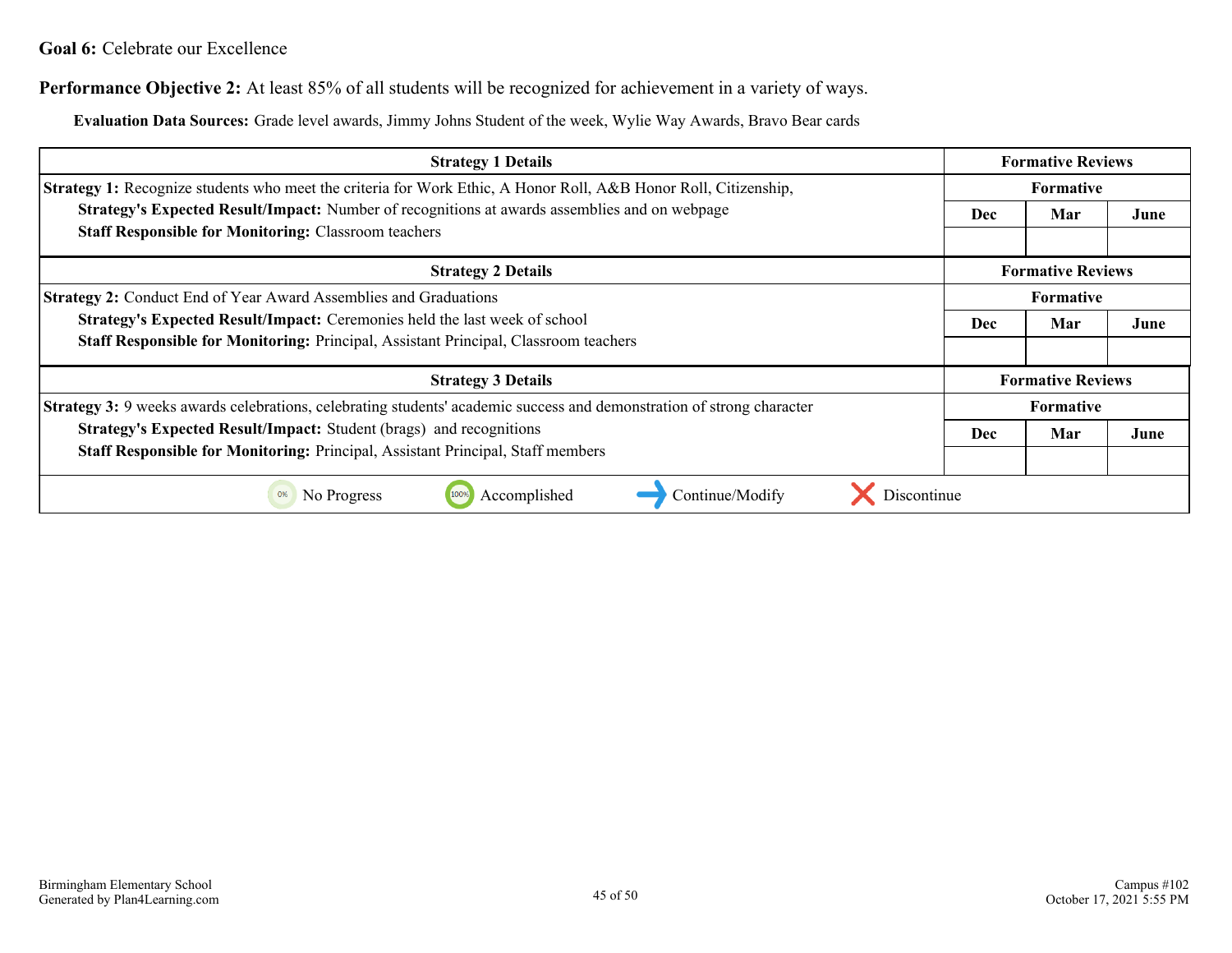#### **Goal 6:** Celebrate our Excellence

**Performance Objective 2:** At least 85% of all students will be recognized for achievement in a variety of ways.

**Evaluation Data Sources:** Grade level awards, Jimmy Johns Student of the week, Wylie Way Awards, Bravo Bear cards

| <b>Strategy 1 Details</b>                                                                                                    |  | <b>Formative Reviews</b> |      |  |
|------------------------------------------------------------------------------------------------------------------------------|--|--------------------------|------|--|
| Strategy 1: Recognize students who meet the criteria for Work Ethic, A Honor Roll, A&B Honor Roll, Citizenship,              |  | <b>Formative</b>         |      |  |
| Strategy's Expected Result/Impact: Number of recognitions at awards assemblies and on webpage                                |  | Mar                      | June |  |
| <b>Staff Responsible for Monitoring: Classroom teachers</b>                                                                  |  |                          |      |  |
| <b>Strategy 2 Details</b>                                                                                                    |  | <b>Formative Reviews</b> |      |  |
| <b>Strategy 2: Conduct End of Year Award Assemblies and Graduations</b>                                                      |  | <b>Formative</b>         |      |  |
| Strategy's Expected Result/Impact: Ceremonies held the last week of school                                                   |  | Mar                      | June |  |
| <b>Staff Responsible for Monitoring: Principal, Assistant Principal, Classroom teachers</b>                                  |  |                          |      |  |
| <b>Strategy 3 Details</b>                                                                                                    |  | <b>Formative Reviews</b> |      |  |
| <b>Strategy 3:</b> 9 weeks awards celebrations, celebrating students' academic success and demonstration of strong character |  | <b>Formative</b>         |      |  |
| Strategy's Expected Result/Impact: Student (brags) and recognitions                                                          |  | Mar                      | June |  |
| Staff Responsible for Monitoring: Principal, Assistant Principal, Staff members                                              |  |                          |      |  |
| Discontinue<br>Accomplished<br>No Progress<br>Continue/Modify<br>0%<br>100%                                                  |  |                          |      |  |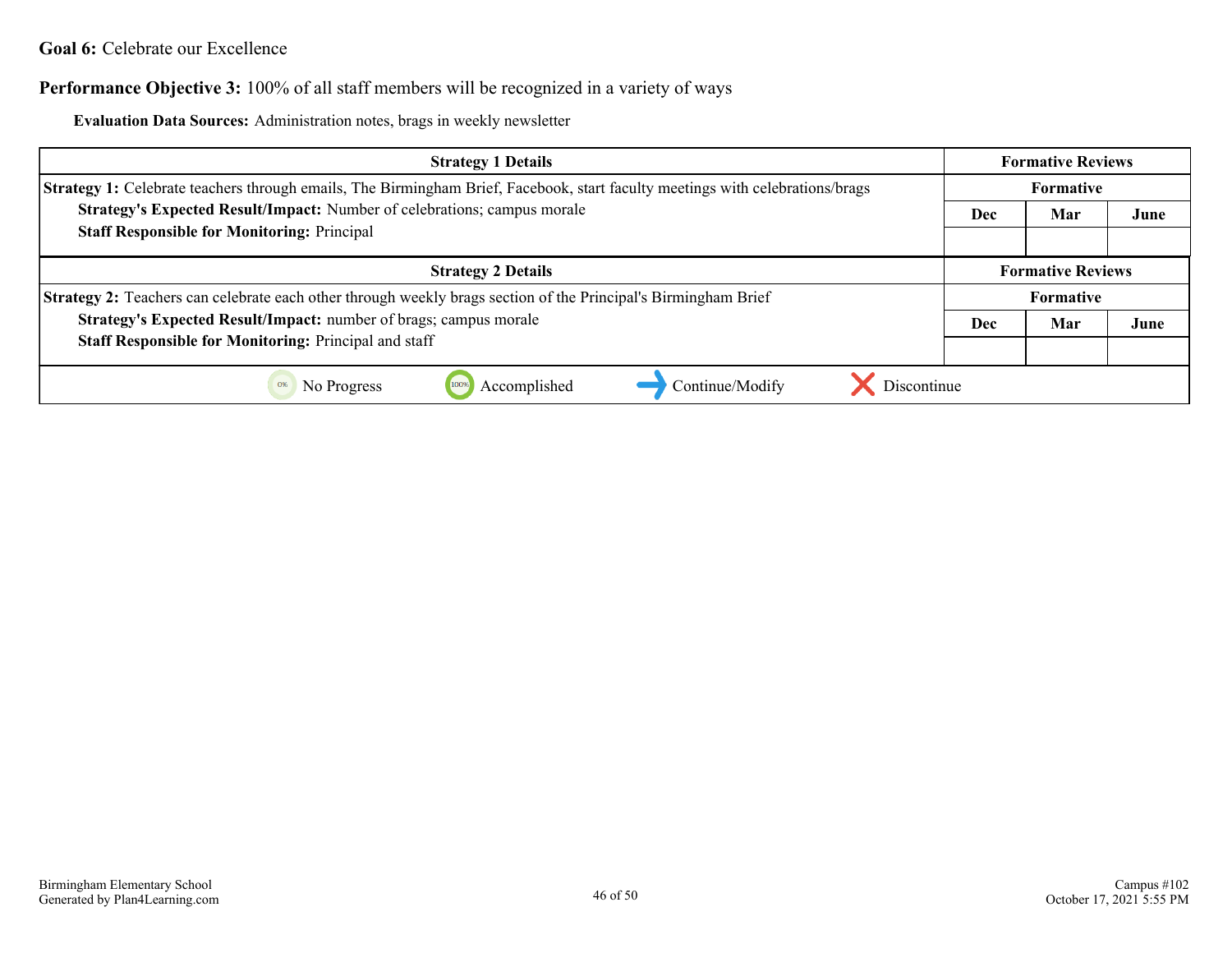#### **Goal 6:** Celebrate our Excellence

#### **Performance Objective 3:** 100% of all staff members will be recognized in a variety of ways

**Evaluation Data Sources:** Administration notes, brags in weekly newsletter

| <b>Strategy 1 Details</b>                                                                                                     |  | <b>Formative Reviews</b> |      |  |
|-------------------------------------------------------------------------------------------------------------------------------|--|--------------------------|------|--|
| Strategy 1: Celebrate teachers through emails, The Birmingham Brief, Facebook, start faculty meetings with celebrations/brags |  | <b>Formative</b>         |      |  |
| Strategy's Expected Result/Impact: Number of celebrations; campus morale                                                      |  | Mar                      | June |  |
| <b>Staff Responsible for Monitoring: Principal</b>                                                                            |  |                          |      |  |
| <b>Strategy 2 Details</b>                                                                                                     |  | <b>Formative Reviews</b> |      |  |
| <b>Strategy 2:</b> Teachers can celebrate each other through weekly brags section of the Principal's Birmingham Brief         |  | <b>Formative</b>         |      |  |
| Strategy's Expected Result/Impact: number of brags; campus morale                                                             |  | Mar                      | June |  |
| <b>Staff Responsible for Monitoring: Principal and staff</b>                                                                  |  |                          |      |  |
| Discontinue<br>Accomplished<br>Continue/Modify<br>No Progress<br>0%                                                           |  |                          |      |  |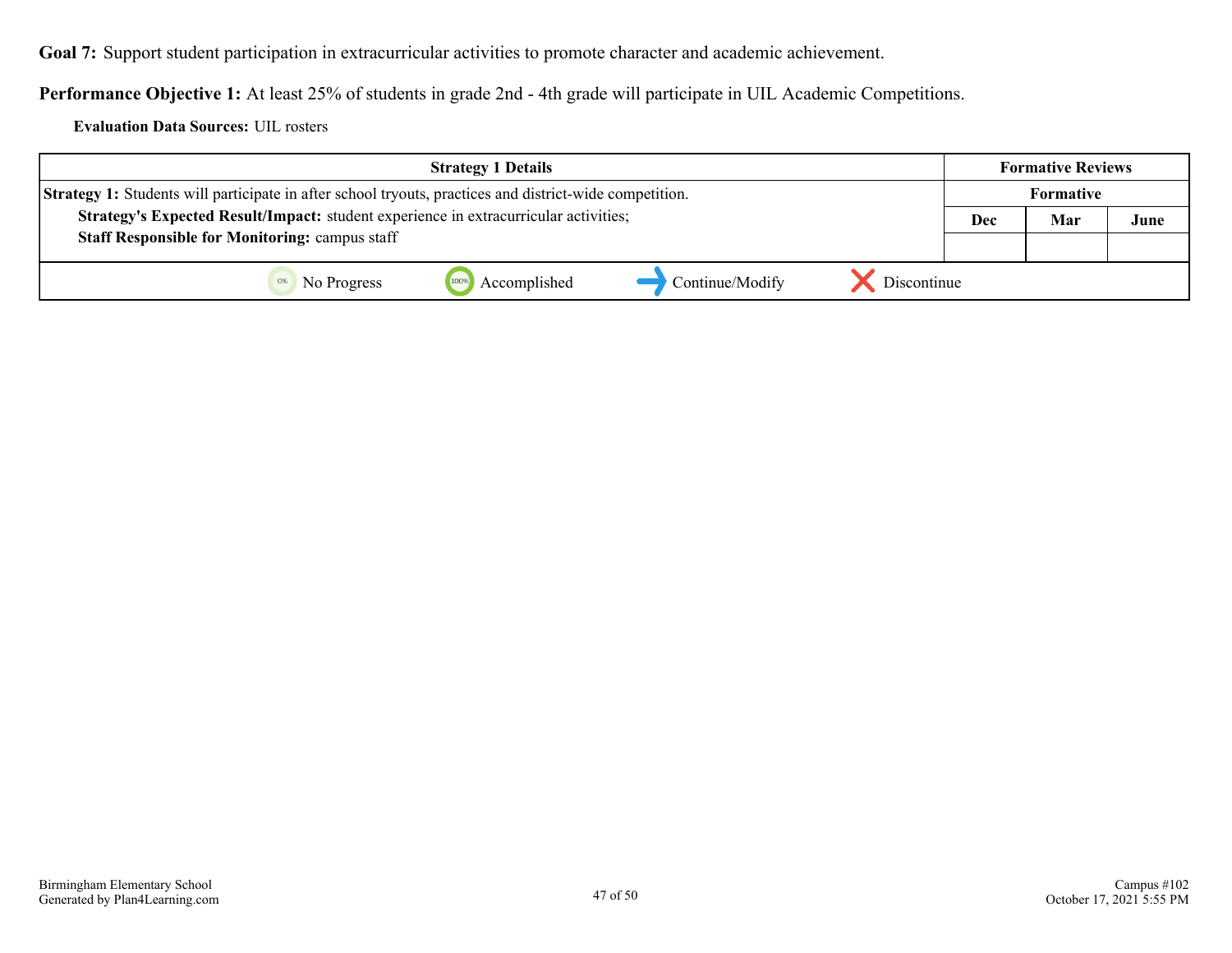<span id="page-46-0"></span>**Goal 7:** Support student participation in extracurricular activities to promote character and academic achievement.

**Performance Objective 1:** At least 25% of students in grade 2nd - 4th grade will participate in UIL Academic Competitions.

**Evaluation Data Sources:** UIL rosters

| <b>Strategy 1 Details</b>                                                                                      |                 | <b>Formative Reviews</b> |                  |     |      |
|----------------------------------------------------------------------------------------------------------------|-----------------|--------------------------|------------------|-----|------|
| <b>Strategy 1:</b> Students will participate in after school tryouts, practices and district-wide competition. |                 |                          | <b>Formative</b> |     |      |
| Strategy's Expected Result/Impact: student experience in extracurricular activities;                           |                 |                          | Dec              | Mar | June |
| <b>Staff Responsible for Monitoring: campus staff</b>                                                          |                 |                          |                  |     |      |
| Accomplished<br>No Progress                                                                                    | Continue/Modify | Discontinue              |                  |     |      |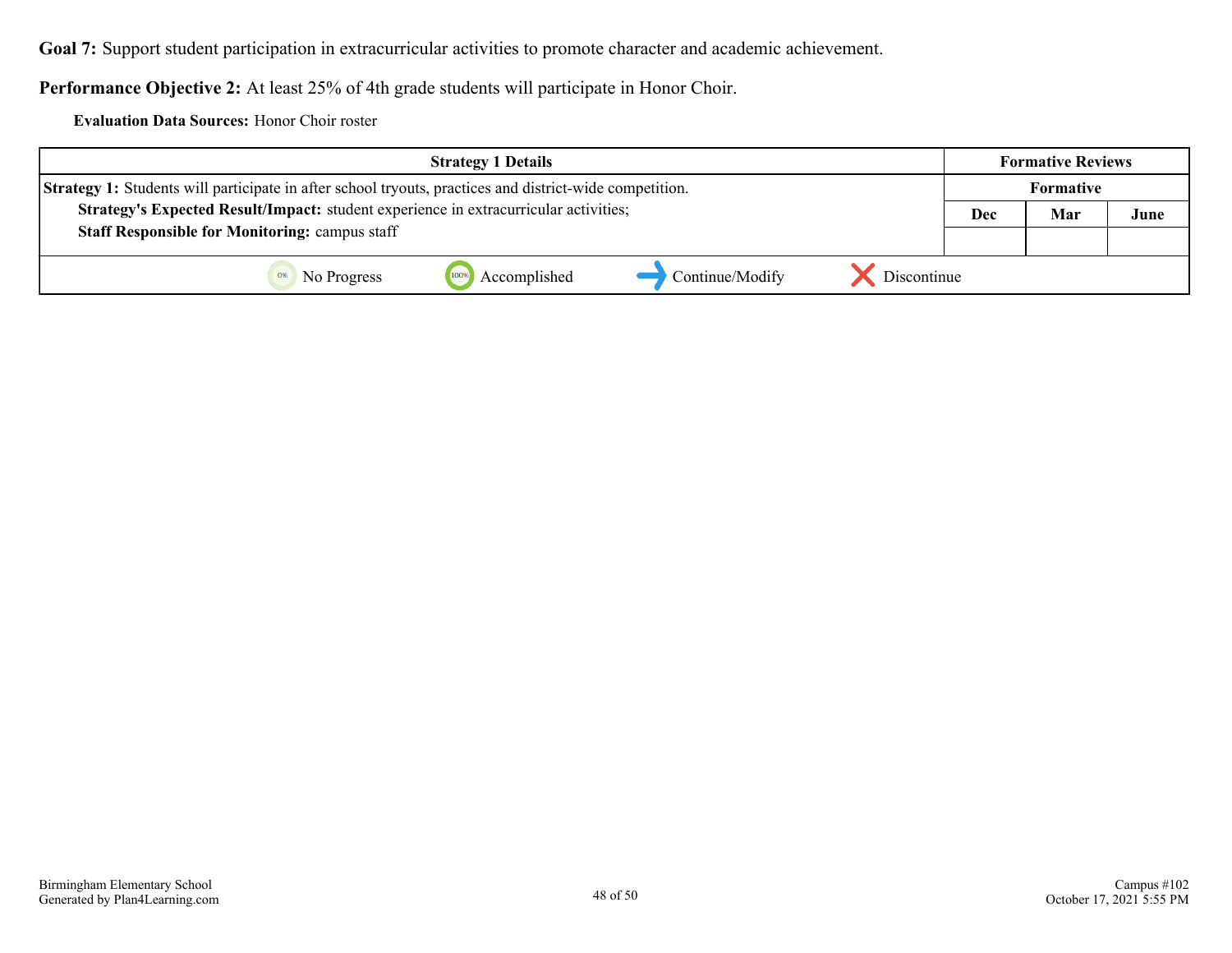**Goal 7:** Support student participation in extracurricular activities to promote character and academic achievement.

**Performance Objective 2:** At least 25% of 4th grade students will participate in Honor Choir.

**Evaluation Data Sources:** Honor Choir roster

| <b>Strategy 1 Details</b>                                                                                      |                                | <b>Formative Reviews</b> |                  |      |
|----------------------------------------------------------------------------------------------------------------|--------------------------------|--------------------------|------------------|------|
| <b>Strategy 1:</b> Students will participate in after school tryouts, practices and district-wide competition. |                                |                          | <b>Formative</b> |      |
| Strategy's Expected Result/Impact: student experience in extracurricular activities;                           |                                |                          | Mar              | June |
| <b>Staff Responsible for Monitoring: campus staff</b>                                                          |                                |                          |                  |      |
| Accomplished<br>100%<br>No Progress                                                                            | Discontinue<br>Continue/Modify |                          |                  |      |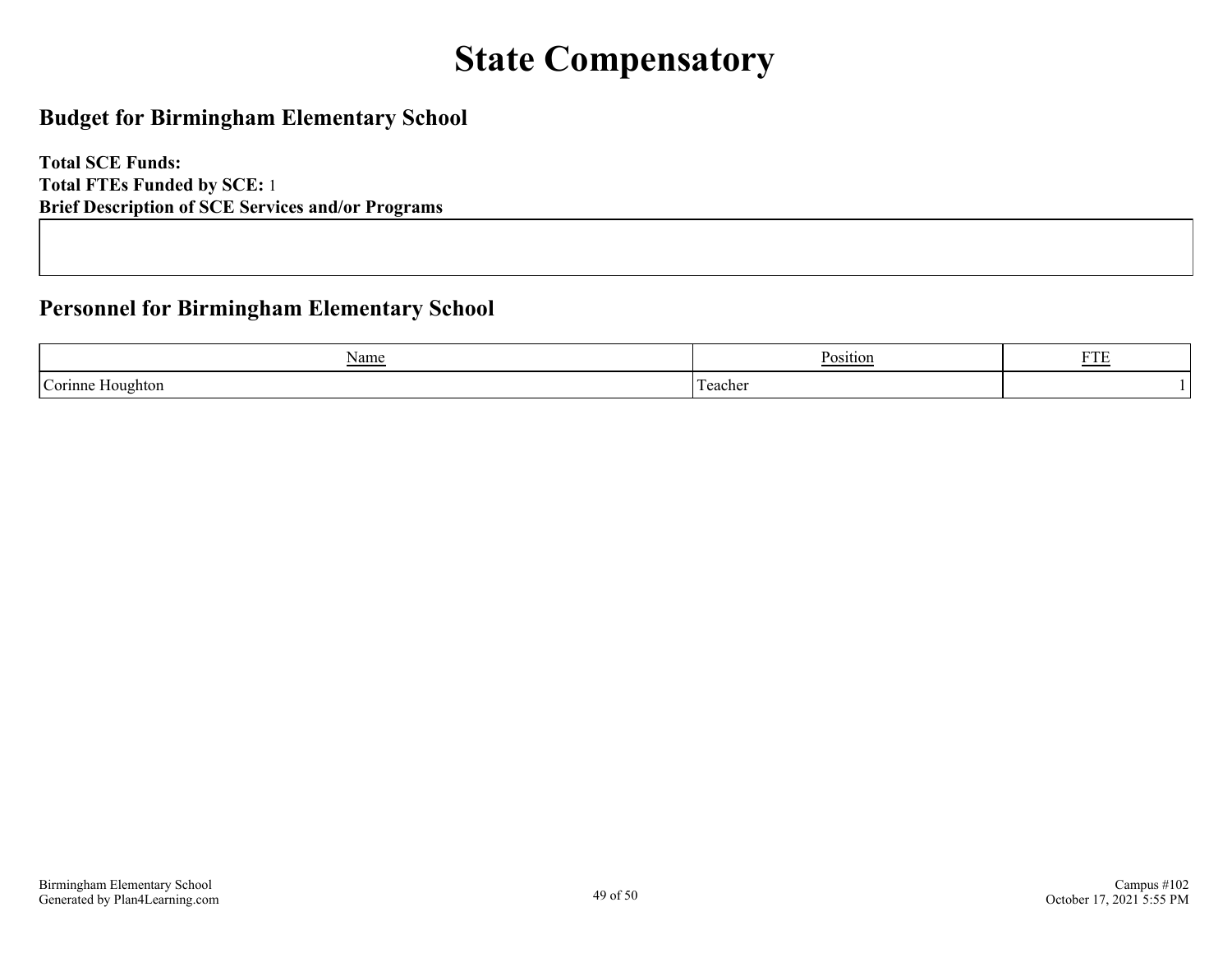# **State Compensatory**

### <span id="page-48-0"></span>**Budget for Birmingham Elementary School**

**Total SCE Funds: Total FTEs Funded by SCE:** 1 **Brief Description of SCE Services and/or Programs**

### **Personnel for Birmingham Elementary School**

| $\sqrt{ }$<br>Name<br>$\overline{\phantom{a}}$ | T.<br>ositior | <b>DOD</b><br>. . |
|------------------------------------------------|---------------|-------------------|
| $\sim$<br>$\alpha$ rinn<br>loughton            | .<br>eache    |                   |